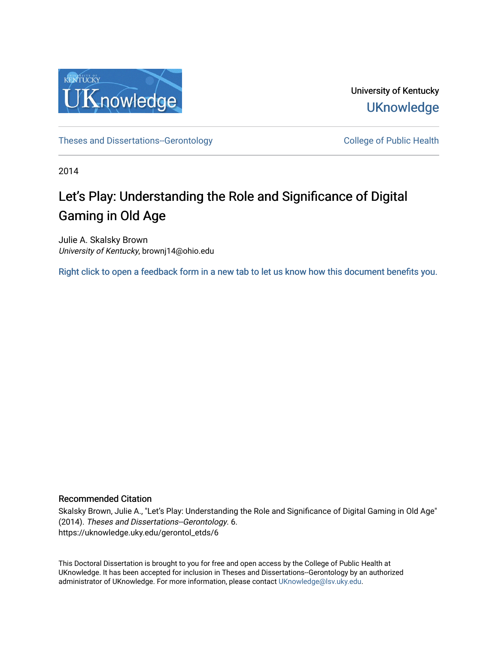

University of Kentucky **UKnowledge** 

[Theses and Dissertations--Gerontology](https://uknowledge.uky.edu/gerontol_etds) College of Public Health

2014

# Let's Play: Understanding the Role and Significance of Digital Gaming in Old Age

Julie A. Skalsky Brown University of Kentucky, brownj14@ohio.edu

[Right click to open a feedback form in a new tab to let us know how this document benefits you.](https://uky.az1.qualtrics.com/jfe/form/SV_9mq8fx2GnONRfz7)

### Recommended Citation

Skalsky Brown, Julie A., "Let's Play: Understanding the Role and Significance of Digital Gaming in Old Age" (2014). Theses and Dissertations--Gerontology. 6. https://uknowledge.uky.edu/gerontol\_etds/6

This Doctoral Dissertation is brought to you for free and open access by the College of Public Health at UKnowledge. It has been accepted for inclusion in Theses and Dissertations--Gerontology by an authorized administrator of UKnowledge. For more information, please contact [UKnowledge@lsv.uky.edu](mailto:UKnowledge@lsv.uky.edu).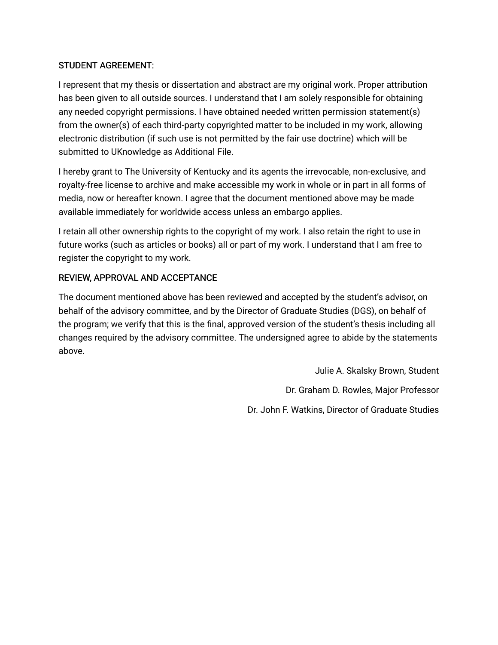# STUDENT AGREEMENT:

I represent that my thesis or dissertation and abstract are my original work. Proper attribution has been given to all outside sources. I understand that I am solely responsible for obtaining any needed copyright permissions. I have obtained needed written permission statement(s) from the owner(s) of each third-party copyrighted matter to be included in my work, allowing electronic distribution (if such use is not permitted by the fair use doctrine) which will be submitted to UKnowledge as Additional File.

I hereby grant to The University of Kentucky and its agents the irrevocable, non-exclusive, and royalty-free license to archive and make accessible my work in whole or in part in all forms of media, now or hereafter known. I agree that the document mentioned above may be made available immediately for worldwide access unless an embargo applies.

I retain all other ownership rights to the copyright of my work. I also retain the right to use in future works (such as articles or books) all or part of my work. I understand that I am free to register the copyright to my work.

# REVIEW, APPROVAL AND ACCEPTANCE

The document mentioned above has been reviewed and accepted by the student's advisor, on behalf of the advisory committee, and by the Director of Graduate Studies (DGS), on behalf of the program; we verify that this is the final, approved version of the student's thesis including all changes required by the advisory committee. The undersigned agree to abide by the statements above.

> Julie A. Skalsky Brown, Student Dr. Graham D. Rowles, Major Professor Dr. John F. Watkins, Director of Graduate Studies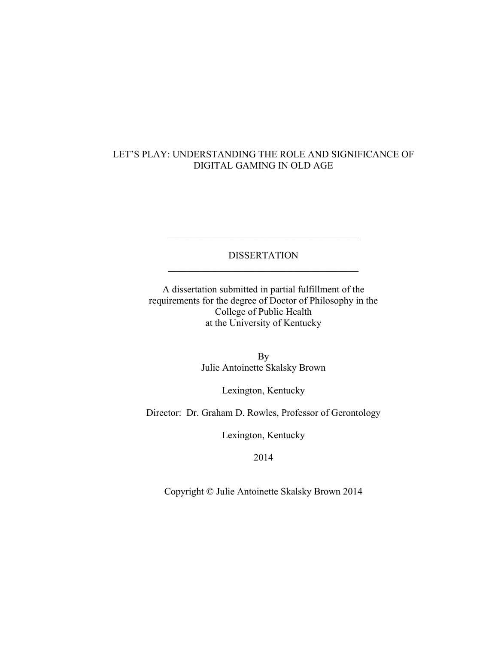# LET'S PLAY: UNDERSTANDING THE ROLE AND SIGNIFICANCE OF DIGITAL GAMING IN OLD AGE

## DISSERTATION  $\mathcal{L}_\text{max}$  , and the set of the set of the set of the set of the set of the set of the set of the set of the set of the set of the set of the set of the set of the set of the set of the set of the set of the set of the

 $\mathcal{L}_\text{max}$  , and the set of the set of the set of the set of the set of the set of the set of the set of the set of the set of the set of the set of the set of the set of the set of the set of the set of the set of the

A dissertation submitted in partial fulfillment of the requirements for the degree of Doctor of Philosophy in the College of Public Health at the University of Kentucky

> By Julie Antoinette Skalsky Brown

> > Lexington, Kentucky

Director: Dr. Graham D. Rowles, Professor of Gerontology

Lexington, Kentucky

2014

Copyright © Julie Antoinette Skalsky Brown 2014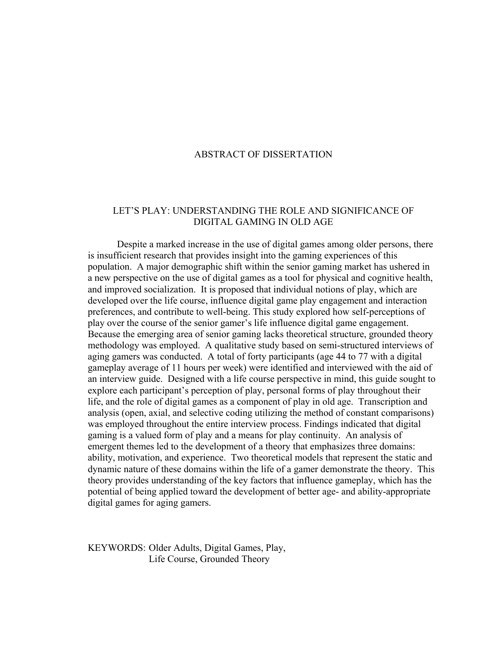### ABSTRACT OF DISSERTATION

## LET'S PLAY: UNDERSTANDING THE ROLE AND SIGNIFICANCE OF DIGITAL GAMING IN OLD AGE

Despite a marked increase in the use of digital games among older persons, there is insufficient research that provides insight into the gaming experiences of this population. A major demographic shift within the senior gaming market has ushered in a new perspective on the use of digital games as a tool for physical and cognitive health, and improved socialization. It is proposed that individual notions of play, which are developed over the life course, influence digital game play engagement and interaction preferences, and contribute to well-being. This study explored how self-perceptions of play over the course of the senior gamer's life influence digital game engagement. Because the emerging area of senior gaming lacks theoretical structure, grounded theory methodology was employed. A qualitative study based on semi-structured interviews of aging gamers was conducted. A total of forty participants (age 44 to 77 with a digital gameplay average of 11 hours per week) were identified and interviewed with the aid of an interview guide. Designed with a life course perspective in mind, this guide sought to explore each participant's perception of play, personal forms of play throughout their life, and the role of digital games as a component of play in old age. Transcription and analysis (open, axial, and selective coding utilizing the method of constant comparisons) was employed throughout the entire interview process. Findings indicated that digital gaming is a valued form of play and a means for play continuity. An analysis of emergent themes led to the development of a theory that emphasizes three domains: ability, motivation, and experience. Two theoretical models that represent the static and dynamic nature of these domains within the life of a gamer demonstrate the theory. This theory provides understanding of the key factors that influence gameplay, which has the potential of being applied toward the development of better age- and ability-appropriate digital games for aging gamers.

KEYWORDS: Older Adults, Digital Games, Play, Life Course, Grounded Theory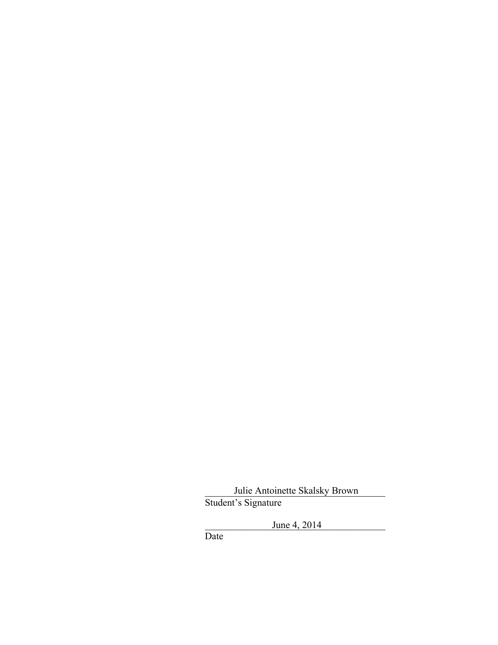Julie Antoinette Skalsky Brown Student's Signature

 $June\ 4, \, 2014$ 

Date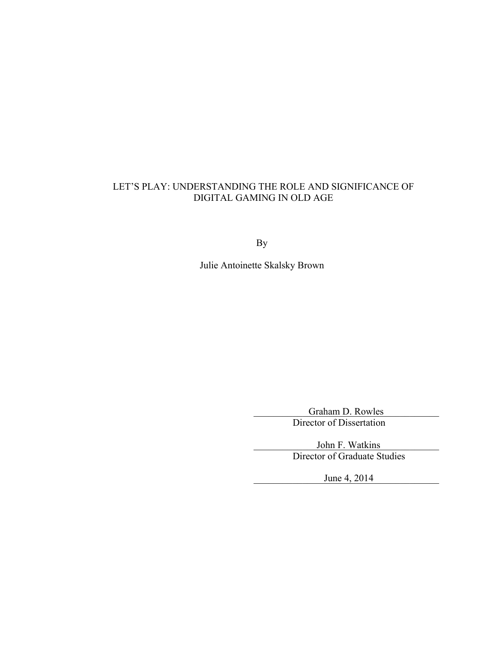# LET'S PLAY: UNDERSTANDING THE ROLE AND SIGNIFICANCE OF DIGITAL GAMING IN OLD AGE

By

Julie Antoinette Skalsky Brown

Graham D. Rowles Director of Dissertation

John F. Watkins Director of Graduate Studies

 $June\ 4, \ 2014$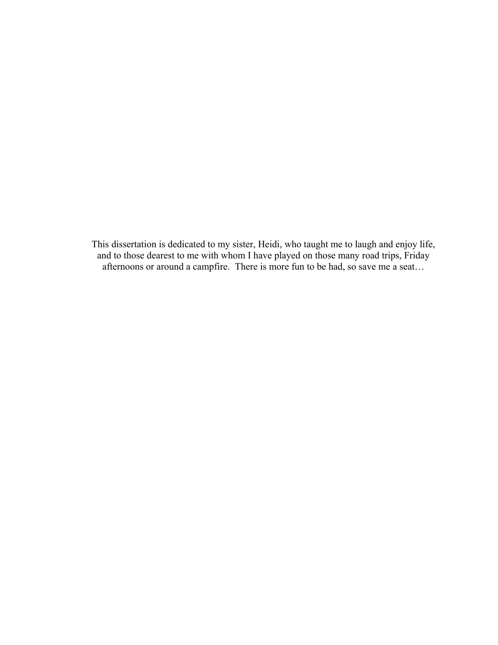This dissertation is dedicated to my sister, Heidi, who taught me to laugh and enjoy life, and to those dearest to me with whom I have played on those many road trips, Friday afternoons or around a campfire. There is more fun to be had, so save me a seat…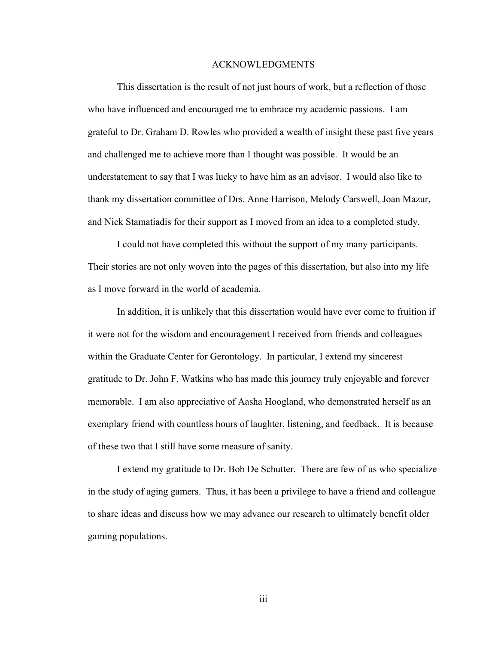#### ACKNOWLEDGMENTS

This dissertation is the result of not just hours of work, but a reflection of those who have influenced and encouraged me to embrace my academic passions. I am grateful to Dr. Graham D. Rowles who provided a wealth of insight these past five years and challenged me to achieve more than I thought was possible. It would be an understatement to say that I was lucky to have him as an advisor. I would also like to thank my dissertation committee of Drs. Anne Harrison, Melody Carswell, Joan Mazur, and Nick Stamatiadis for their support as I moved from an idea to a completed study.

I could not have completed this without the support of my many participants. Their stories are not only woven into the pages of this dissertation, but also into my life as I move forward in the world of academia.

In addition, it is unlikely that this dissertation would have ever come to fruition if it were not for the wisdom and encouragement I received from friends and colleagues within the Graduate Center for Gerontology. In particular, I extend my sincerest gratitude to Dr. John F. Watkins who has made this journey truly enjoyable and forever memorable. I am also appreciative of Aasha Hoogland, who demonstrated herself as an exemplary friend with countless hours of laughter, listening, and feedback. It is because of these two that I still have some measure of sanity.

I extend my gratitude to Dr. Bob De Schutter. There are few of us who specialize in the study of aging gamers. Thus, it has been a privilege to have a friend and colleague to share ideas and discuss how we may advance our research to ultimately benefit older gaming populations.

iii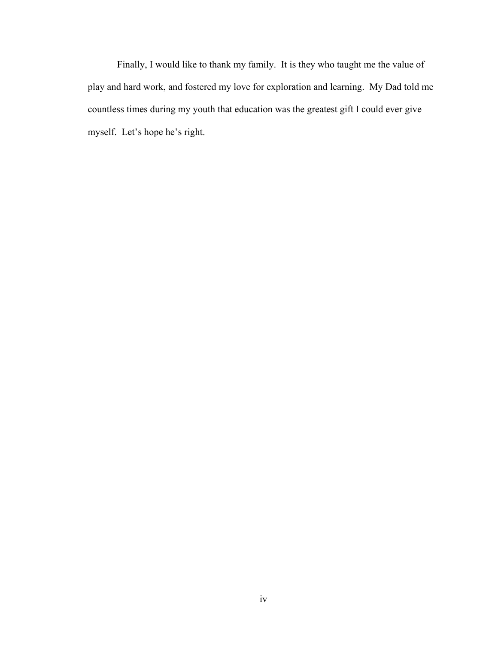Finally, I would like to thank my family. It is they who taught me the value of play and hard work, and fostered my love for exploration and learning. My Dad told me countless times during my youth that education was the greatest gift I could ever give myself. Let's hope he's right.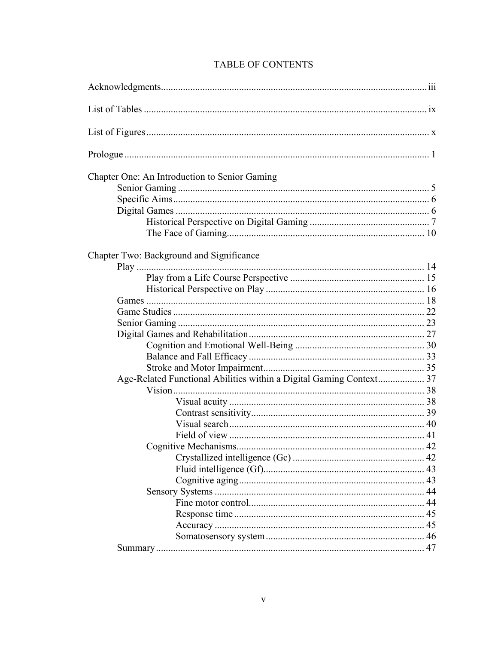| Chapter One: An Introduction to Senior Gaming                       |  |
|---------------------------------------------------------------------|--|
|                                                                     |  |
|                                                                     |  |
|                                                                     |  |
|                                                                     |  |
|                                                                     |  |
| Chapter Two: Background and Significance                            |  |
|                                                                     |  |
|                                                                     |  |
|                                                                     |  |
|                                                                     |  |
|                                                                     |  |
|                                                                     |  |
|                                                                     |  |
|                                                                     |  |
|                                                                     |  |
|                                                                     |  |
| Age-Related Functional Abilities within a Digital Gaming Context 37 |  |
|                                                                     |  |
|                                                                     |  |
|                                                                     |  |
|                                                                     |  |
|                                                                     |  |
|                                                                     |  |
|                                                                     |  |
|                                                                     |  |
|                                                                     |  |
|                                                                     |  |
|                                                                     |  |
|                                                                     |  |
|                                                                     |  |
|                                                                     |  |
|                                                                     |  |

# TABLE OF CONTENTS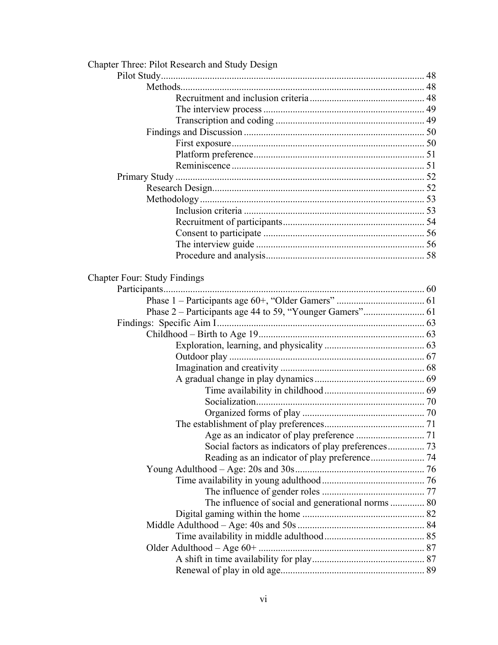| Chapter Three: Pilot Research and Study Design      |  |
|-----------------------------------------------------|--|
|                                                     |  |
|                                                     |  |
|                                                     |  |
|                                                     |  |
|                                                     |  |
|                                                     |  |
|                                                     |  |
|                                                     |  |
|                                                     |  |
|                                                     |  |
|                                                     |  |
|                                                     |  |
|                                                     |  |
|                                                     |  |
|                                                     |  |
|                                                     |  |
|                                                     |  |
|                                                     |  |
| <b>Chapter Four: Study Findings</b>                 |  |
|                                                     |  |
|                                                     |  |
|                                                     |  |
|                                                     |  |
|                                                     |  |
|                                                     |  |
|                                                     |  |
|                                                     |  |
|                                                     |  |
|                                                     |  |
|                                                     |  |
|                                                     |  |
|                                                     |  |
|                                                     |  |
| Social factors as indicators of play preferences 73 |  |
|                                                     |  |
|                                                     |  |
|                                                     |  |
|                                                     |  |
| The influence of social and generational norms  80  |  |
|                                                     |  |
|                                                     |  |
|                                                     |  |
|                                                     |  |
|                                                     |  |
|                                                     |  |
|                                                     |  |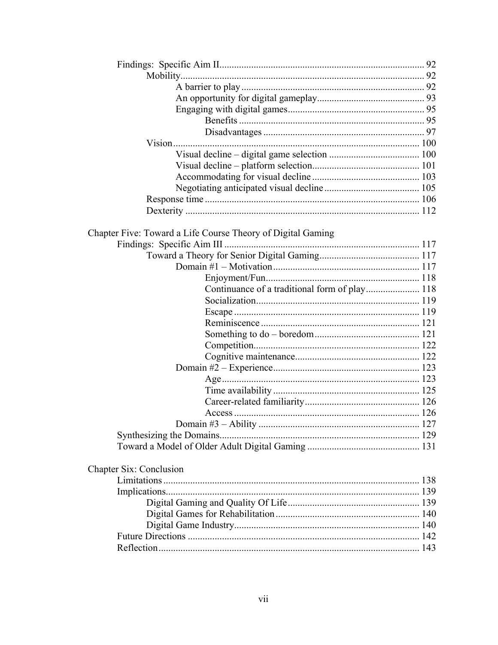| Chapter Five: Toward a Life Course Theory of Digital Gaming |  |  |
|-------------------------------------------------------------|--|--|
|                                                             |  |  |
|                                                             |  |  |
|                                                             |  |  |
| Continuance of a traditional form of play 118               |  |  |
|                                                             |  |  |
|                                                             |  |  |
|                                                             |  |  |
|                                                             |  |  |
|                                                             |  |  |
|                                                             |  |  |
|                                                             |  |  |
|                                                             |  |  |
|                                                             |  |  |
|                                                             |  |  |
|                                                             |  |  |
|                                                             |  |  |
|                                                             |  |  |
|                                                             |  |  |
| <b>Chapter Six: Conclusion</b>                              |  |  |
|                                                             |  |  |
|                                                             |  |  |
|                                                             |  |  |
|                                                             |  |  |
|                                                             |  |  |
|                                                             |  |  |
|                                                             |  |  |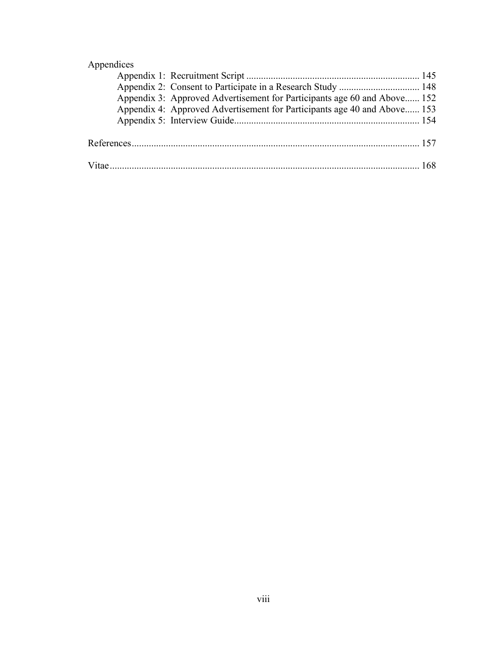# Appendices

|  | Appendix 3: Approved Advertisement for Participants age 60 and Above 152 |  |
|--|--------------------------------------------------------------------------|--|
|  | Appendix 4: Approved Advertisement for Participants age 40 and Above 153 |  |
|  |                                                                          |  |
|  |                                                                          |  |
|  |                                                                          |  |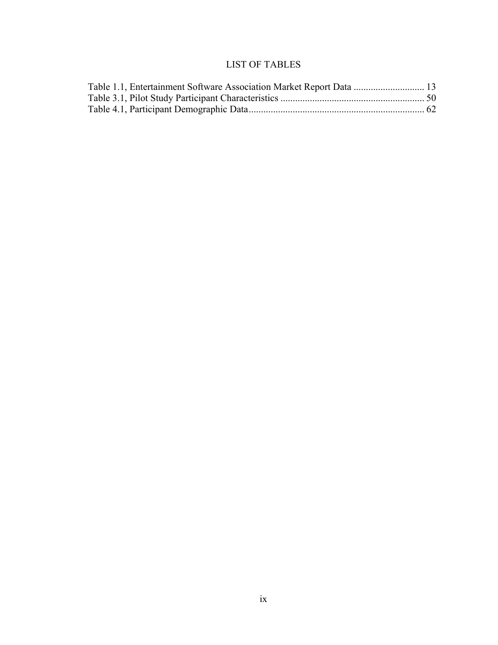# LIST OF TABLES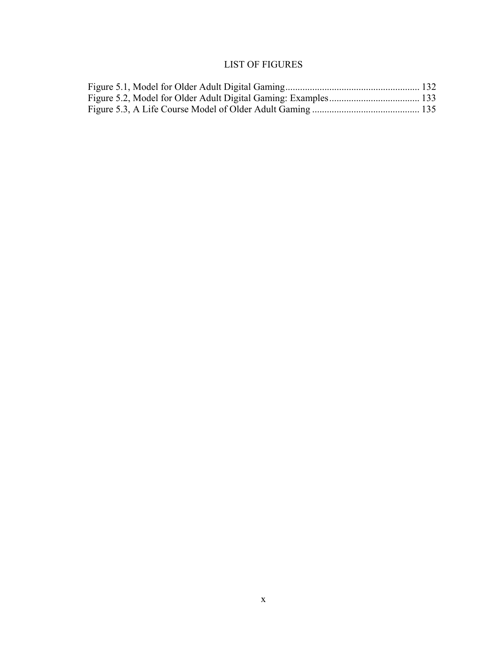# LIST OF FIGURES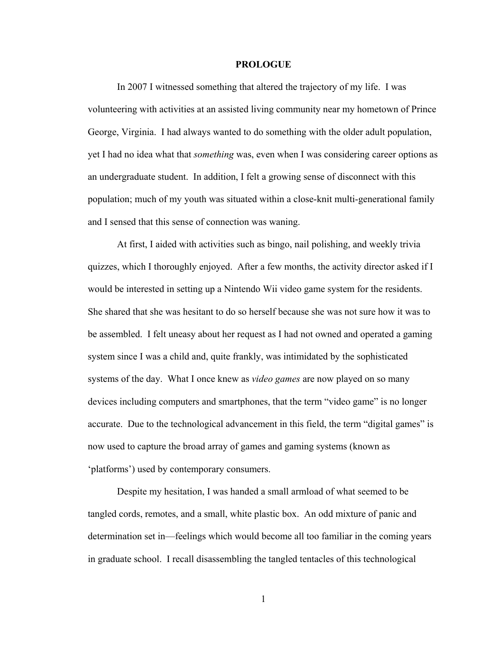#### **PROLOGUE**

In 2007 I witnessed something that altered the trajectory of my life. I was volunteering with activities at an assisted living community near my hometown of Prince George, Virginia. I had always wanted to do something with the older adult population, yet I had no idea what that *something* was, even when I was considering career options as an undergraduate student. In addition, I felt a growing sense of disconnect with this population; much of my youth was situated within a close-knit multi-generational family and I sensed that this sense of connection was waning.

At first, I aided with activities such as bingo, nail polishing, and weekly trivia quizzes, which I thoroughly enjoyed. After a few months, the activity director asked if I would be interested in setting up a Nintendo Wii video game system for the residents. She shared that she was hesitant to do so herself because she was not sure how it was to be assembled. I felt uneasy about her request as I had not owned and operated a gaming system since I was a child and, quite frankly, was intimidated by the sophisticated systems of the day. What I once knew as *video games* are now played on so many devices including computers and smartphones, that the term "video game" is no longer accurate. Due to the technological advancement in this field, the term "digital games" is now used to capture the broad array of games and gaming systems (known as 'platforms') used by contemporary consumers.

Despite my hesitation, I was handed a small armload of what seemed to be tangled cords, remotes, and a small, white plastic box. An odd mixture of panic and determination set in—feelings which would become all too familiar in the coming years in graduate school. I recall disassembling the tangled tentacles of this technological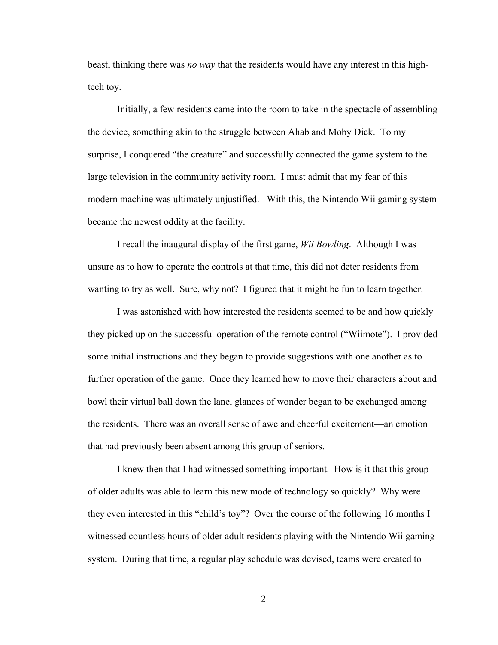beast, thinking there was *no way* that the residents would have any interest in this hightech toy.

Initially, a few residents came into the room to take in the spectacle of assembling the device, something akin to the struggle between Ahab and Moby Dick. To my surprise, I conquered "the creature" and successfully connected the game system to the large television in the community activity room. I must admit that my fear of this modern machine was ultimately unjustified. With this, the Nintendo Wii gaming system became the newest oddity at the facility.

I recall the inaugural display of the first game, *Wii Bowling*. Although I was unsure as to how to operate the controls at that time, this did not deter residents from wanting to try as well. Sure, why not? I figured that it might be fun to learn together.

I was astonished with how interested the residents seemed to be and how quickly they picked up on the successful operation of the remote control ("Wiimote"). I provided some initial instructions and they began to provide suggestions with one another as to further operation of the game. Once they learned how to move their characters about and bowl their virtual ball down the lane, glances of wonder began to be exchanged among the residents. There was an overall sense of awe and cheerful excitement—an emotion that had previously been absent among this group of seniors.

I knew then that I had witnessed something important. How is it that this group of older adults was able to learn this new mode of technology so quickly? Why were they even interested in this "child's toy"? Over the course of the following 16 months I witnessed countless hours of older adult residents playing with the Nintendo Wii gaming system. During that time, a regular play schedule was devised, teams were created to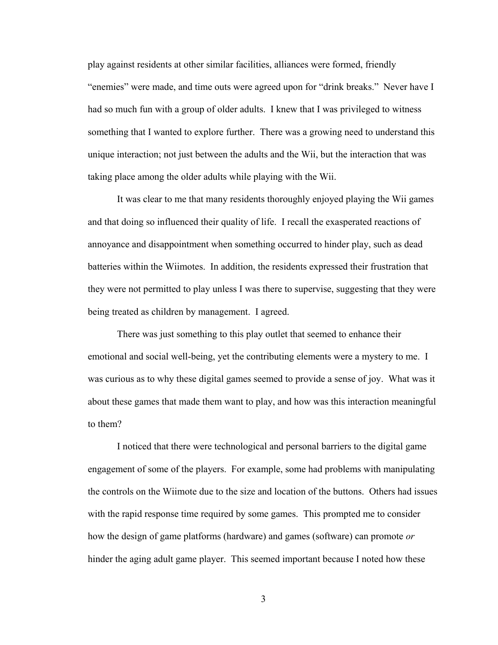play against residents at other similar facilities, alliances were formed, friendly "enemies" were made, and time outs were agreed upon for "drink breaks." Never have I had so much fun with a group of older adults. I knew that I was privileged to witness something that I wanted to explore further. There was a growing need to understand this unique interaction; not just between the adults and the Wii, but the interaction that was taking place among the older adults while playing with the Wii.

It was clear to me that many residents thoroughly enjoyed playing the Wii games and that doing so influenced their quality of life. I recall the exasperated reactions of annoyance and disappointment when something occurred to hinder play, such as dead batteries within the Wiimotes. In addition, the residents expressed their frustration that they were not permitted to play unless I was there to supervise, suggesting that they were being treated as children by management. I agreed.

There was just something to this play outlet that seemed to enhance their emotional and social well-being, yet the contributing elements were a mystery to me. I was curious as to why these digital games seemed to provide a sense of joy. What was it about these games that made them want to play, and how was this interaction meaningful to them?

I noticed that there were technological and personal barriers to the digital game engagement of some of the players. For example, some had problems with manipulating the controls on the Wiimote due to the size and location of the buttons. Others had issues with the rapid response time required by some games. This prompted me to consider how the design of game platforms (hardware) and games (software) can promote *or*  hinder the aging adult game player. This seemed important because I noted how these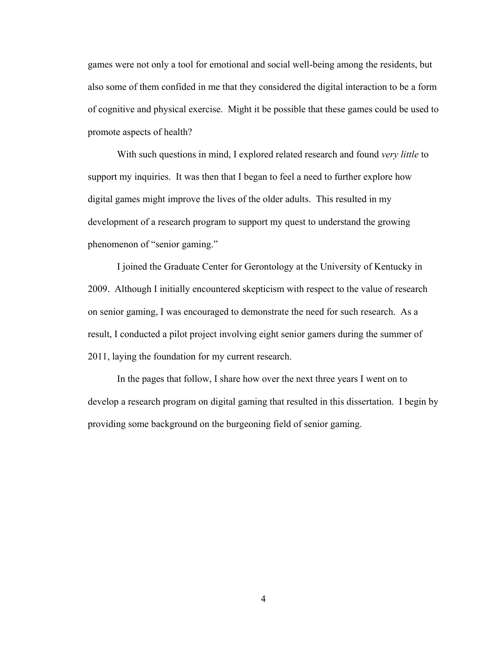games were not only a tool for emotional and social well-being among the residents, but also some of them confided in me that they considered the digital interaction to be a form of cognitive and physical exercise. Might it be possible that these games could be used to promote aspects of health?

With such questions in mind, I explored related research and found *very little* to support my inquiries. It was then that I began to feel a need to further explore how digital games might improve the lives of the older adults. This resulted in my development of a research program to support my quest to understand the growing phenomenon of "senior gaming."

I joined the Graduate Center for Gerontology at the University of Kentucky in 2009. Although I initially encountered skepticism with respect to the value of research on senior gaming, I was encouraged to demonstrate the need for such research. As a result, I conducted a pilot project involving eight senior gamers during the summer of 2011, laying the foundation for my current research.

In the pages that follow, I share how over the next three years I went on to develop a research program on digital gaming that resulted in this dissertation. I begin by providing some background on the burgeoning field of senior gaming.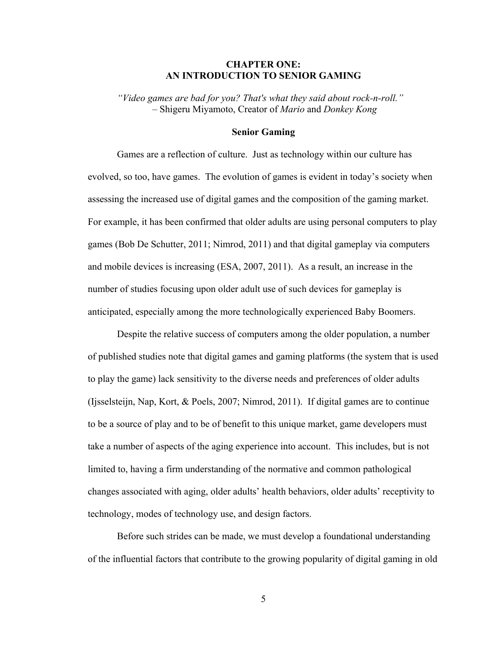### **CHAPTER ONE: AN INTRODUCTION TO SENIOR GAMING**

*"Video games are bad for you? That's what they said about rock-n-roll." –* Shigeru Miyamoto, Creator of *Mario* and *Donkey Kong*

#### **Senior Gaming**

Games are a reflection of culture. Just as technology within our culture has evolved, so too, have games. The evolution of games is evident in today's society when assessing the increased use of digital games and the composition of the gaming market. For example, it has been confirmed that older adults are using personal computers to play games (Bob De Schutter, 2011; Nimrod, 2011) and that digital gameplay via computers and mobile devices is increasing (ESA, 2007, 2011). As a result, an increase in the number of studies focusing upon older adult use of such devices for gameplay is anticipated, especially among the more technologically experienced Baby Boomers.

Despite the relative success of computers among the older population, a number of published studies note that digital games and gaming platforms (the system that is used to play the game) lack sensitivity to the diverse needs and preferences of older adults (Ijsselsteijn, Nap, Kort, & Poels, 2007; Nimrod, 2011). If digital games are to continue to be a source of play and to be of benefit to this unique market, game developers must take a number of aspects of the aging experience into account. This includes, but is not limited to, having a firm understanding of the normative and common pathological changes associated with aging, older adults' health behaviors, older adults' receptivity to technology, modes of technology use, and design factors.

Before such strides can be made, we must develop a foundational understanding of the influential factors that contribute to the growing popularity of digital gaming in old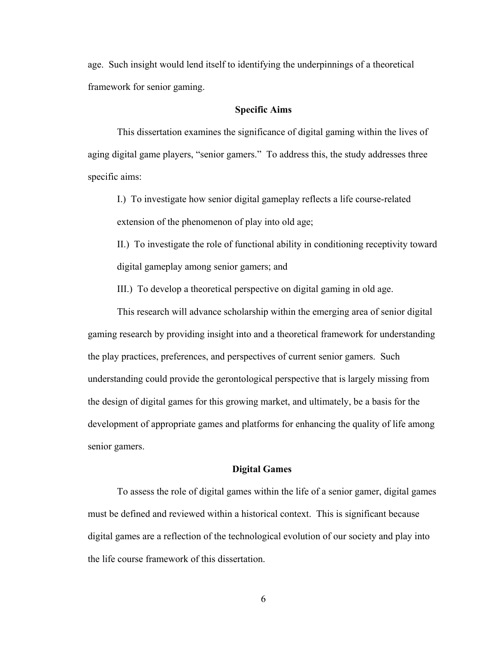age. Such insight would lend itself to identifying the underpinnings of a theoretical framework for senior gaming.

### **Specific Aims**

This dissertation examines the significance of digital gaming within the lives of aging digital game players, "senior gamers." To address this, the study addresses three specific aims:

I.) To investigate how senior digital gameplay reflects a life course-related extension of the phenomenon of play into old age;

II.) To investigate the role of functional ability in conditioning receptivity toward digital gameplay among senior gamers; and

III.) To develop a theoretical perspective on digital gaming in old age.

This research will advance scholarship within the emerging area of senior digital gaming research by providing insight into and a theoretical framework for understanding the play practices, preferences, and perspectives of current senior gamers. Such understanding could provide the gerontological perspective that is largely missing from the design of digital games for this growing market, and ultimately, be a basis for the development of appropriate games and platforms for enhancing the quality of life among senior gamers.

#### **Digital Games**

To assess the role of digital games within the life of a senior gamer, digital games must be defined and reviewed within a historical context. This is significant because digital games are a reflection of the technological evolution of our society and play into the life course framework of this dissertation.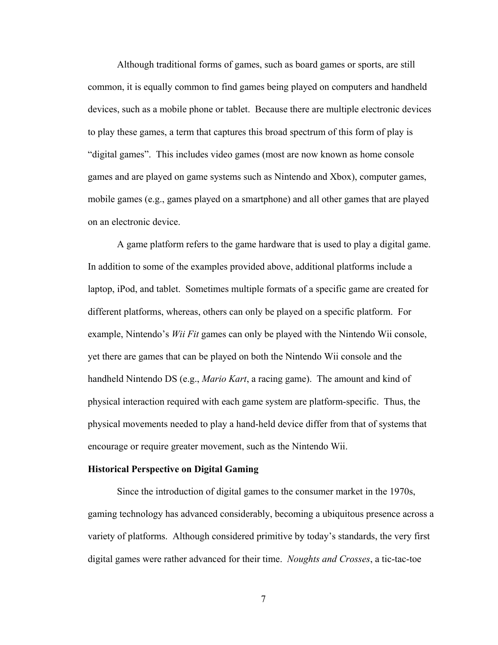Although traditional forms of games, such as board games or sports, are still common, it is equally common to find games being played on computers and handheld devices, such as a mobile phone or tablet. Because there are multiple electronic devices to play these games, a term that captures this broad spectrum of this form of play is "digital games". This includes video games (most are now known as home console games and are played on game systems such as Nintendo and Xbox), computer games, mobile games (e.g., games played on a smartphone) and all other games that are played on an electronic device.

A game platform refers to the game hardware that is used to play a digital game. In addition to some of the examples provided above, additional platforms include a laptop, iPod, and tablet. Sometimes multiple formats of a specific game are created for different platforms, whereas, others can only be played on a specific platform. For example, Nintendo's *Wii Fit* games can only be played with the Nintendo Wii console, yet there are games that can be played on both the Nintendo Wii console and the handheld Nintendo DS (e.g., *Mario Kart*, a racing game). The amount and kind of physical interaction required with each game system are platform-specific. Thus, the physical movements needed to play a hand-held device differ from that of systems that encourage or require greater movement, such as the Nintendo Wii.

#### **Historical Perspective on Digital Gaming**

Since the introduction of digital games to the consumer market in the 1970s, gaming technology has advanced considerably, becoming a ubiquitous presence across a variety of platforms. Although considered primitive by today's standards, the very first digital games were rather advanced for their time. *Noughts and Crosses*, a tic-tac-toe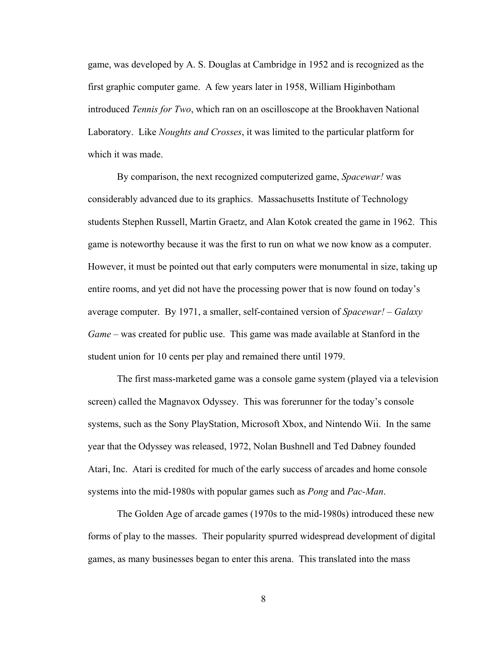game, was developed by A. S. Douglas at Cambridge in 1952 and is recognized as the first graphic computer game. A few years later in 1958, William Higinbotham introduced *Tennis for Two*, which ran on an oscilloscope at the Brookhaven National Laboratory. Like *Noughts and Crosses*, it was limited to the particular platform for which it was made.

By comparison, the next recognized computerized game, *Spacewar!* was considerably advanced due to its graphics. Massachusetts Institute of Technology students Stephen Russell, Martin Graetz, and Alan Kotok created the game in 1962. This game is noteworthy because it was the first to run on what we now know as a computer. However, it must be pointed out that early computers were monumental in size, taking up entire rooms, and yet did not have the processing power that is now found on today's average computer. By 1971, a smaller, self-contained version of *Spacewar!* – *Galaxy Game* – was created for public use. This game was made available at Stanford in the student union for 10 cents per play and remained there until 1979.

The first mass-marketed game was a console game system (played via a television screen) called the Magnavox Odyssey. This was forerunner for the today's console systems, such as the Sony PlayStation, Microsoft Xbox, and Nintendo Wii. In the same year that the Odyssey was released, 1972, Nolan Bushnell and Ted Dabney founded Atari, Inc. Atari is credited for much of the early success of arcades and home console systems into the mid-1980s with popular games such as *Pong* and *Pac-Man*.

The Golden Age of arcade games (1970s to the mid-1980s) introduced these new forms of play to the masses. Their popularity spurred widespread development of digital games, as many businesses began to enter this arena. This translated into the mass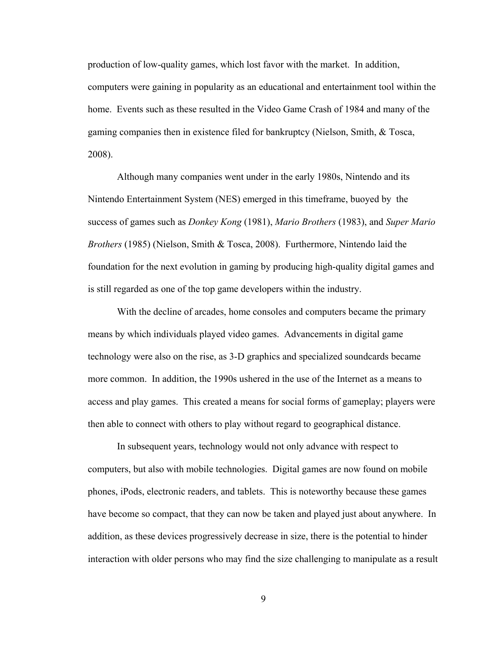production of low-quality games, which lost favor with the market. In addition, computers were gaining in popularity as an educational and entertainment tool within the home. Events such as these resulted in the Video Game Crash of 1984 and many of the gaming companies then in existence filed for bankruptcy (Nielson, Smith, & Tosca, 2008).

Although many companies went under in the early 1980s, Nintendo and its Nintendo Entertainment System (NES) emerged in this timeframe, buoyed by the success of games such as *Donkey Kong* (1981), *Mario Brothers* (1983), and *Super Mario Brothers* (1985) (Nielson, Smith & Tosca, 2008). Furthermore, Nintendo laid the foundation for the next evolution in gaming by producing high-quality digital games and is still regarded as one of the top game developers within the industry.

With the decline of arcades, home consoles and computers became the primary means by which individuals played video games. Advancements in digital game technology were also on the rise, as 3-D graphics and specialized soundcards became more common. In addition, the 1990s ushered in the use of the Internet as a means to access and play games. This created a means for social forms of gameplay; players were then able to connect with others to play without regard to geographical distance.

In subsequent years, technology would not only advance with respect to computers, but also with mobile technologies. Digital games are now found on mobile phones, iPods, electronic readers, and tablets. This is noteworthy because these games have become so compact, that they can now be taken and played just about anywhere. In addition, as these devices progressively decrease in size, there is the potential to hinder interaction with older persons who may find the size challenging to manipulate as a result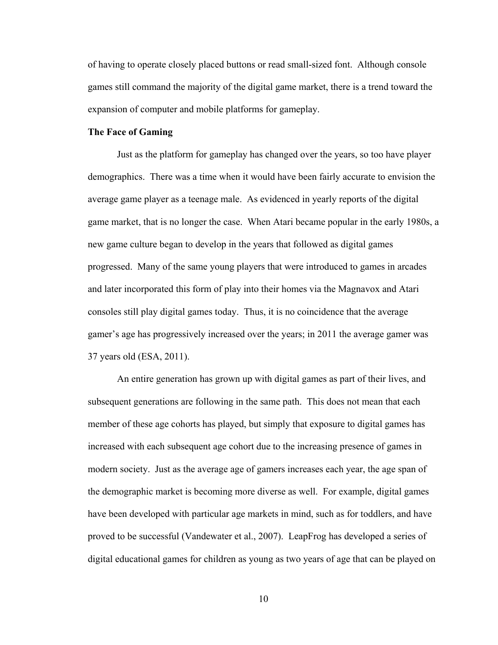of having to operate closely placed buttons or read small-sized font. Although console games still command the majority of the digital game market, there is a trend toward the expansion of computer and mobile platforms for gameplay.

#### **The Face of Gaming**

Just as the platform for gameplay has changed over the years, so too have player demographics. There was a time when it would have been fairly accurate to envision the average game player as a teenage male. As evidenced in yearly reports of the digital game market, that is no longer the case. When Atari became popular in the early 1980s, a new game culture began to develop in the years that followed as digital games progressed. Many of the same young players that were introduced to games in arcades and later incorporated this form of play into their homes via the Magnavox and Atari consoles still play digital games today. Thus, it is no coincidence that the average gamer's age has progressively increased over the years; in 2011 the average gamer was 37 years old (ESA, 2011).

An entire generation has grown up with digital games as part of their lives, and subsequent generations are following in the same path. This does not mean that each member of these age cohorts has played, but simply that exposure to digital games has increased with each subsequent age cohort due to the increasing presence of games in modern society. Just as the average age of gamers increases each year, the age span of the demographic market is becoming more diverse as well. For example, digital games have been developed with particular age markets in mind, such as for toddlers, and have proved to be successful (Vandewater et al., 2007). LeapFrog has developed a series of digital educational games for children as young as two years of age that can be played on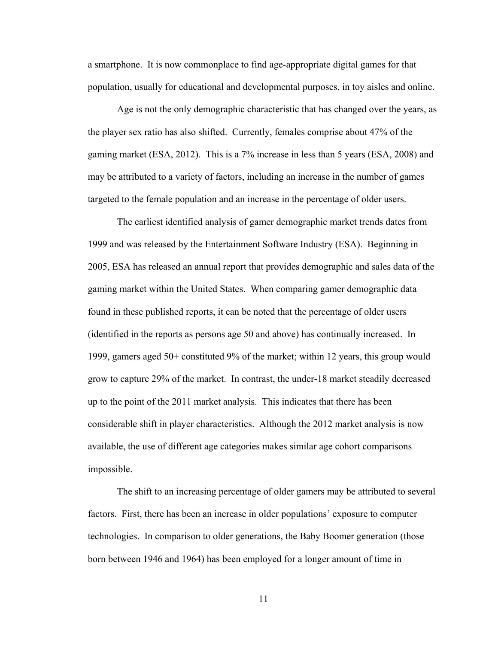a smartphone. It is now commonplace to find age-appropriate digital games for that population, usually for educational and developmental purposes, in toy aisles and online.

Age is not the only demographic characteristic that has changed over the years, as the player sex ratio has also shifted. Currently, females comprise about 47% of the gaming market (ESA, 2012). This is a 7% increase in less than 5 years (ESA, 2008) and may be attributed to a variety of factors, including an increase in the number of games targeted to the female population and an increase in the percentage of older users.

The earliest identified analysis of gamer demographic market trends dates from 1999 and was released by the Entertainment Software Industry (ESA). Beginning in 2005, ESA has released an annual report that provides demographic and sales data of the gaming market within the United States. When comparing gamer demographic data found in these published reports, it can be noted that the percentage of older users (identified in the reports as persons age 50 and above) has continually increased. In 1999, gamers aged 50+ constituted 9% of the market; within 12 years, this group would grow to capture 29% of the market. In contrast, the under-18 market steadily decreased up to the point of the 2011 market analysis. This indicates that there has been considerable shift in player characteristics. Although the 2012 market analysis is now available, the use of different age categories makes similar age cohort comparisons impossible.

The shift to an increasing percentage of older gamers may be attributed to several factors. First, there has been an increase in older populations' exposure to computer technologies. In comparison to older generations, the Baby Boomer generation (those born between 1946 and 1964) has been employed for a longer amount of time in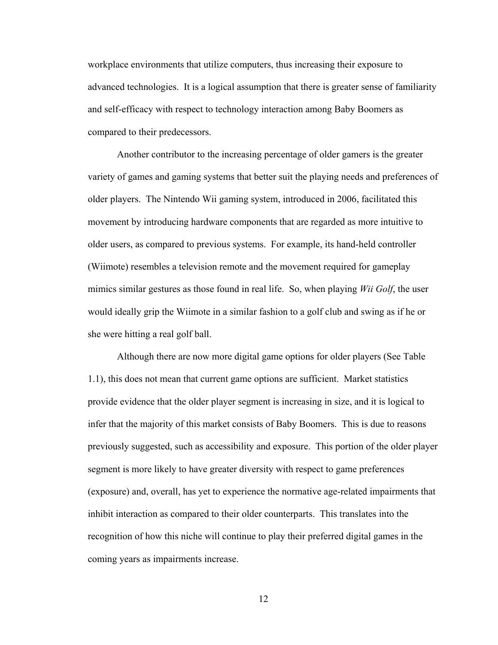workplace environments that utilize computers, thus increasing their exposure to advanced technologies. It is a logical assumption that there is greater sense of familiarity and self-efficacy with respect to technology interaction among Baby Boomers as compared to their predecessors.

Another contributor to the increasing percentage of older gamers is the greater variety of games and gaming systems that better suit the playing needs and preferences of older players. The Nintendo Wii gaming system, introduced in 2006, facilitated this movement by introducing hardware components that are regarded as more intuitive to older users, as compared to previous systems. For example, its hand-held controller (Wiimote) resembles a television remote and the movement required for gameplay mimics similar gestures as those found in real life. So, when playing *Wii Golf*, the user would ideally grip the Wiimote in a similar fashion to a golf club and swing as if he or she were hitting a real golf ball.

Although there are now more digital game options for older players (See Table 1.1), this does not mean that current game options are sufficient. Market statistics provide evidence that the older player segment is increasing in size, and it is logical to infer that the majority of this market consists of Baby Boomers. This is due to reasons previously suggested, such as accessibility and exposure. This portion of the older player segment is more likely to have greater diversity with respect to game preferences (exposure) and, overall, has yet to experience the normative age-related impairments that inhibit interaction as compared to their older counterparts. This translates into the recognition of how this niche will continue to play their preferred digital games in the coming years as impairments increase.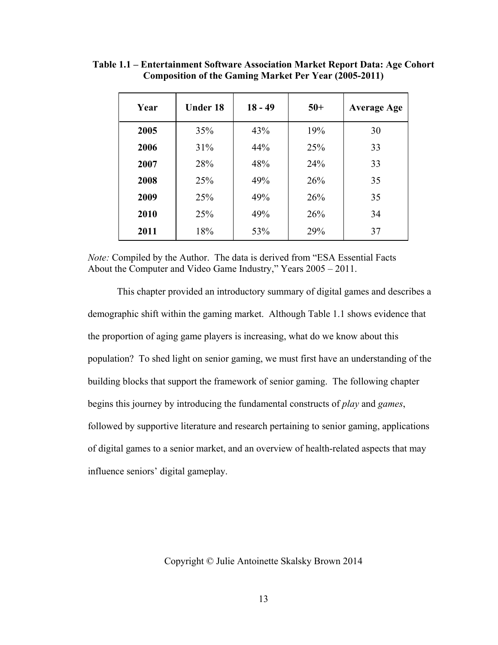| Year | <b>Under 18</b> | $18 - 49$ | $50+$ | <b>Average Age</b> |
|------|-----------------|-----------|-------|--------------------|
| 2005 | 35%             | 43%       | 19%   | 30                 |
| 2006 | 31%             | 44%       | 25%   | 33                 |
| 2007 | 28%             | 48%       | 24%   | 33                 |
| 2008 | 25%             | 49%       | 26%   | 35                 |
| 2009 | 25%             | 49%       | 26%   | 35                 |
| 2010 | 25%             | 49%       | 26%   | 34                 |
| 2011 | 18%             | 53%       | 29%   | 37                 |

**Table 1.1 – Entertainment Software Association Market Report Data: Age Cohort Composition of the Gaming Market Per Year (2005-2011)** 

*Note:* Compiled by the Author. The data is derived from "ESA Essential Facts About the Computer and Video Game Industry," Years 2005 – 2011.

 This chapter provided an introductory summary of digital games and describes a demographic shift within the gaming market. Although Table 1.1 shows evidence that the proportion of aging game players is increasing, what do we know about this population? To shed light on senior gaming, we must first have an understanding of the building blocks that support the framework of senior gaming. The following chapter begins this journey by introducing the fundamental constructs of *play* and *games*, followed by supportive literature and research pertaining to senior gaming, applications of digital games to a senior market, and an overview of health-related aspects that may influence seniors' digital gameplay.

Copyright © Julie Antoinette Skalsky Brown 2014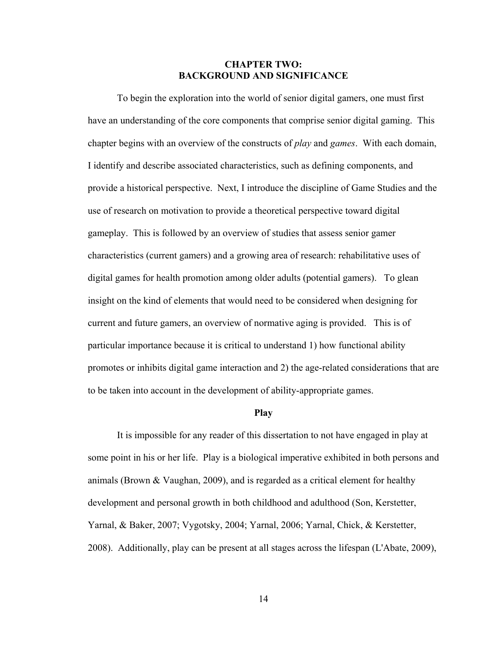### **CHAPTER TWO: BACKGROUND AND SIGNIFICANCE**

To begin the exploration into the world of senior digital gamers, one must first have an understanding of the core components that comprise senior digital gaming. This chapter begins with an overview of the constructs of *play* and *games*. With each domain, I identify and describe associated characteristics, such as defining components, and provide a historical perspective. Next, I introduce the discipline of Game Studies and the use of research on motivation to provide a theoretical perspective toward digital gameplay. This is followed by an overview of studies that assess senior gamer characteristics (current gamers) and a growing area of research: rehabilitative uses of digital games for health promotion among older adults (potential gamers). To glean insight on the kind of elements that would need to be considered when designing for current and future gamers, an overview of normative aging is provided. This is of particular importance because it is critical to understand 1) how functional ability promotes or inhibits digital game interaction and 2) the age-related considerations that are to be taken into account in the development of ability-appropriate games.

### **Play**

 It is impossible for any reader of this dissertation to not have engaged in play at some point in his or her life. Play is a biological imperative exhibited in both persons and animals (Brown & Vaughan, 2009), and is regarded as a critical element for healthy development and personal growth in both childhood and adulthood (Son, Kerstetter, Yarnal, & Baker, 2007; Vygotsky, 2004; Yarnal, 2006; Yarnal, Chick, & Kerstetter, 2008). Additionally, play can be present at all stages across the lifespan (L'Abate, 2009),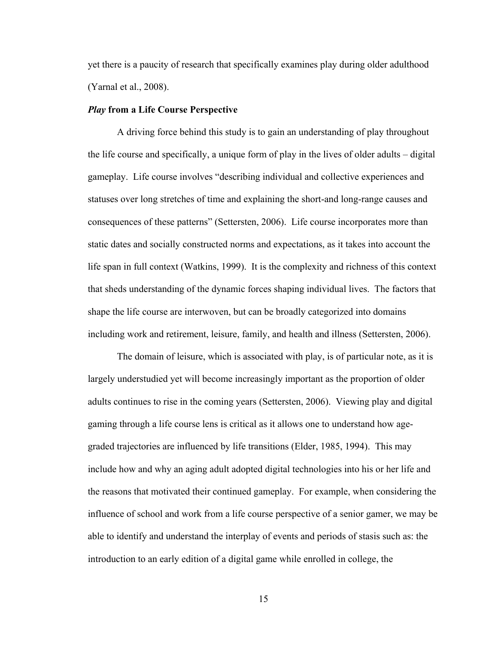yet there is a paucity of research that specifically examines play during older adulthood (Yarnal et al., 2008).

#### *Play* **from a Life Course Perspective**

A driving force behind this study is to gain an understanding of play throughout the life course and specifically, a unique form of play in the lives of older adults – digital gameplay. Life course involves "describing individual and collective experiences and statuses over long stretches of time and explaining the short-and long-range causes and consequences of these patterns" (Settersten, 2006). Life course incorporates more than static dates and socially constructed norms and expectations, as it takes into account the life span in full context (Watkins, 1999). It is the complexity and richness of this context that sheds understanding of the dynamic forces shaping individual lives. The factors that shape the life course are interwoven, but can be broadly categorized into domains including work and retirement, leisure, family, and health and illness (Settersten, 2006).

The domain of leisure, which is associated with play, is of particular note, as it is largely understudied yet will become increasingly important as the proportion of older adults continues to rise in the coming years (Settersten, 2006). Viewing play and digital gaming through a life course lens is critical as it allows one to understand how agegraded trajectories are influenced by life transitions (Elder, 1985, 1994). This may include how and why an aging adult adopted digital technologies into his or her life and the reasons that motivated their continued gameplay. For example, when considering the influence of school and work from a life course perspective of a senior gamer, we may be able to identify and understand the interplay of events and periods of stasis such as: the introduction to an early edition of a digital game while enrolled in college, the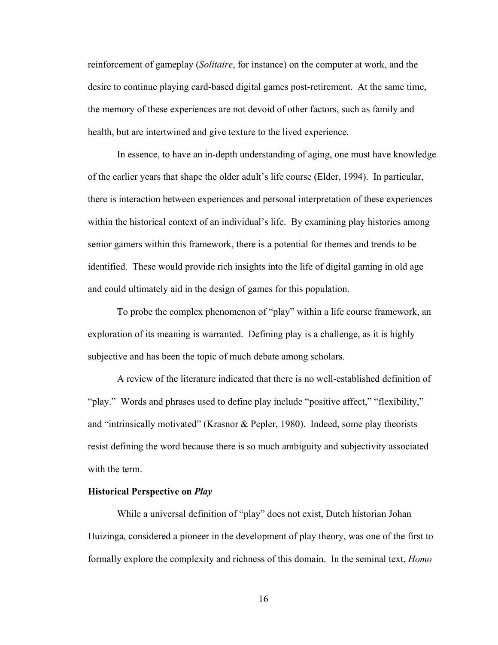reinforcement of gameplay (*Solitaire*, for instance) on the computer at work, and the desire to continue playing card-based digital games post-retirement. At the same time, the memory of these experiences are not devoid of other factors, such as family and health, but are intertwined and give texture to the lived experience.

In essence, to have an in-depth understanding of aging, one must have knowledge of the earlier years that shape the older adult's life course (Elder, 1994). In particular, there is interaction between experiences and personal interpretation of these experiences within the historical context of an individual's life. By examining play histories among senior gamers within this framework, there is a potential for themes and trends to be identified. These would provide rich insights into the life of digital gaming in old age and could ultimately aid in the design of games for this population.

To probe the complex phenomenon of "play" within a life course framework, an exploration of its meaning is warranted. Defining play is a challenge, as it is highly subjective and has been the topic of much debate among scholars.

A review of the literature indicated that there is no well-established definition of "play." Words and phrases used to define play include "positive affect," "flexibility," and "intrinsically motivated" (Krasnor & Pepler, 1980). Indeed, some play theorists resist defining the word because there is so much ambiguity and subjectivity associated with the term.

### **Historical Perspective on** *Play*

While a universal definition of "play" does not exist, Dutch historian Johan Huizinga, considered a pioneer in the development of play theory, was one of the first to formally explore the complexity and richness of this domain. In the seminal text, *Homo*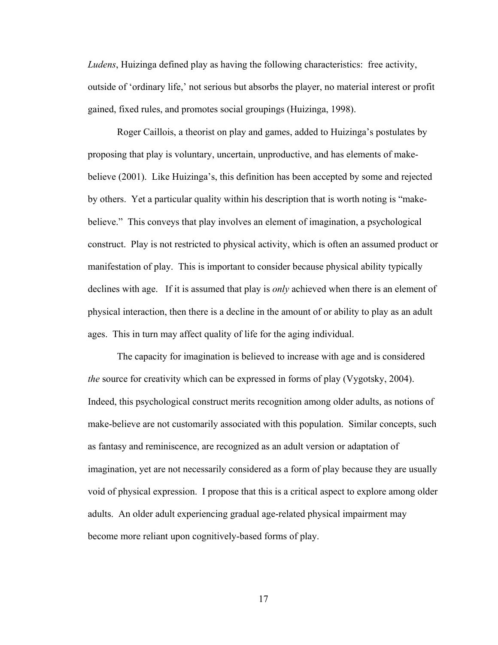*Ludens*, Huizinga defined play as having the following characteristics: free activity, outside of 'ordinary life,' not serious but absorbs the player, no material interest or profit gained, fixed rules, and promotes social groupings (Huizinga, 1998).

Roger Caillois, a theorist on play and games, added to Huizinga's postulates by proposing that play is voluntary, uncertain, unproductive, and has elements of makebelieve (2001). Like Huizinga's, this definition has been accepted by some and rejected by others. Yet a particular quality within his description that is worth noting is "makebelieve." This conveys that play involves an element of imagination, a psychological construct. Play is not restricted to physical activity, which is often an assumed product or manifestation of play. This is important to consider because physical ability typically declines with age. If it is assumed that play is *only* achieved when there is an element of physical interaction, then there is a decline in the amount of or ability to play as an adult ages. This in turn may affect quality of life for the aging individual.

The capacity for imagination is believed to increase with age and is considered *the* source for creativity which can be expressed in forms of play (Vygotsky, 2004). Indeed, this psychological construct merits recognition among older adults, as notions of make-believe are not customarily associated with this population. Similar concepts, such as fantasy and reminiscence, are recognized as an adult version or adaptation of imagination, yet are not necessarily considered as a form of play because they are usually void of physical expression. I propose that this is a critical aspect to explore among older adults. An older adult experiencing gradual age-related physical impairment may become more reliant upon cognitively-based forms of play.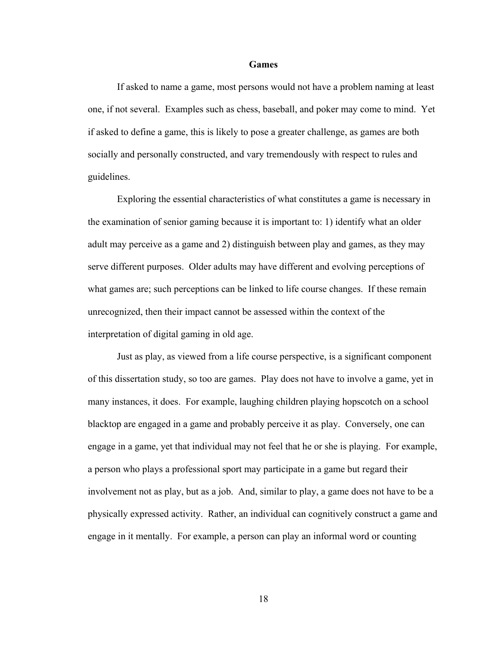#### **Games**

If asked to name a game, most persons would not have a problem naming at least one, if not several. Examples such as chess, baseball, and poker may come to mind. Yet if asked to define a game, this is likely to pose a greater challenge, as games are both socially and personally constructed, and vary tremendously with respect to rules and guidelines.

Exploring the essential characteristics of what constitutes a game is necessary in the examination of senior gaming because it is important to: 1) identify what an older adult may perceive as a game and 2) distinguish between play and games, as they may serve different purposes. Older adults may have different and evolving perceptions of what games are; such perceptions can be linked to life course changes. If these remain unrecognized, then their impact cannot be assessed within the context of the interpretation of digital gaming in old age.

Just as play, as viewed from a life course perspective, is a significant component of this dissertation study, so too are games. Play does not have to involve a game, yet in many instances, it does. For example, laughing children playing hopscotch on a school blacktop are engaged in a game and probably perceive it as play. Conversely, one can engage in a game, yet that individual may not feel that he or she is playing. For example, a person who plays a professional sport may participate in a game but regard their involvement not as play, but as a job. And, similar to play, a game does not have to be a physically expressed activity. Rather, an individual can cognitively construct a game and engage in it mentally. For example, a person can play an informal word or counting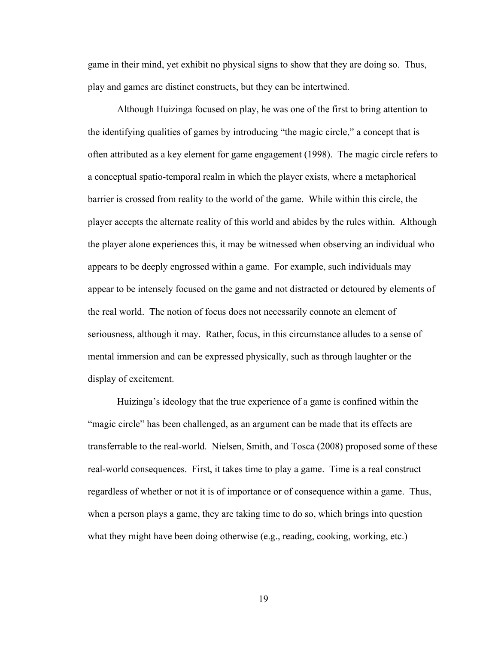game in their mind, yet exhibit no physical signs to show that they are doing so. Thus, play and games are distinct constructs, but they can be intertwined.

Although Huizinga focused on play, he was one of the first to bring attention to the identifying qualities of games by introducing "the magic circle," a concept that is often attributed as a key element for game engagement (1998). The magic circle refers to a conceptual spatio-temporal realm in which the player exists, where a metaphorical barrier is crossed from reality to the world of the game. While within this circle, the player accepts the alternate reality of this world and abides by the rules within. Although the player alone experiences this, it may be witnessed when observing an individual who appears to be deeply engrossed within a game. For example, such individuals may appear to be intensely focused on the game and not distracted or detoured by elements of the real world. The notion of focus does not necessarily connote an element of seriousness, although it may. Rather, focus, in this circumstance alludes to a sense of mental immersion and can be expressed physically, such as through laughter or the display of excitement.

Huizinga's ideology that the true experience of a game is confined within the "magic circle" has been challenged, as an argument can be made that its effects are transferrable to the real-world. Nielsen, Smith, and Tosca (2008) proposed some of these real-world consequences. First, it takes time to play a game. Time is a real construct regardless of whether or not it is of importance or of consequence within a game. Thus, when a person plays a game, they are taking time to do so, which brings into question what they might have been doing otherwise (e.g., reading, cooking, working, etc.)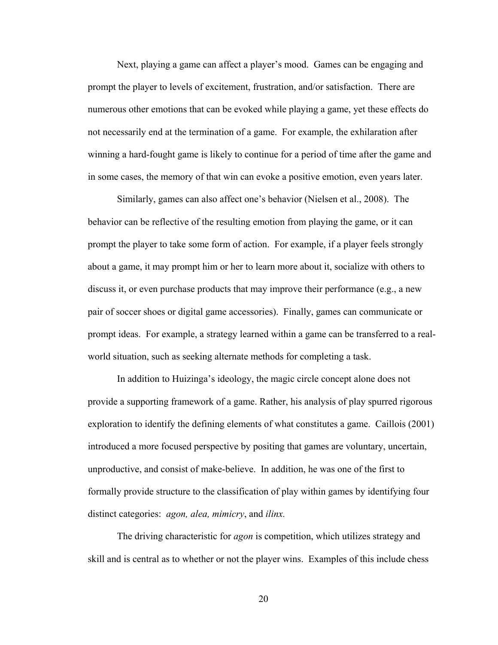Next, playing a game can affect a player's mood. Games can be engaging and prompt the player to levels of excitement, frustration, and/or satisfaction. There are numerous other emotions that can be evoked while playing a game, yet these effects do not necessarily end at the termination of a game. For example, the exhilaration after winning a hard-fought game is likely to continue for a period of time after the game and in some cases, the memory of that win can evoke a positive emotion, even years later.

Similarly, games can also affect one's behavior (Nielsen et al., 2008). The behavior can be reflective of the resulting emotion from playing the game, or it can prompt the player to take some form of action. For example, if a player feels strongly about a game, it may prompt him or her to learn more about it, socialize with others to discuss it, or even purchase products that may improve their performance (e.g., a new pair of soccer shoes or digital game accessories). Finally, games can communicate or prompt ideas. For example, a strategy learned within a game can be transferred to a realworld situation, such as seeking alternate methods for completing a task.

In addition to Huizinga's ideology, the magic circle concept alone does not provide a supporting framework of a game. Rather, his analysis of play spurred rigorous exploration to identify the defining elements of what constitutes a game. Caillois (2001) introduced a more focused perspective by positing that games are voluntary, uncertain, unproductive, and consist of make-believe. In addition, he was one of the first to formally provide structure to the classification of play within games by identifying four distinct categories: *agon, alea, mimicry*, and *ilinx.*

The driving characteristic for *agon* is competition, which utilizes strategy and skill and is central as to whether or not the player wins. Examples of this include chess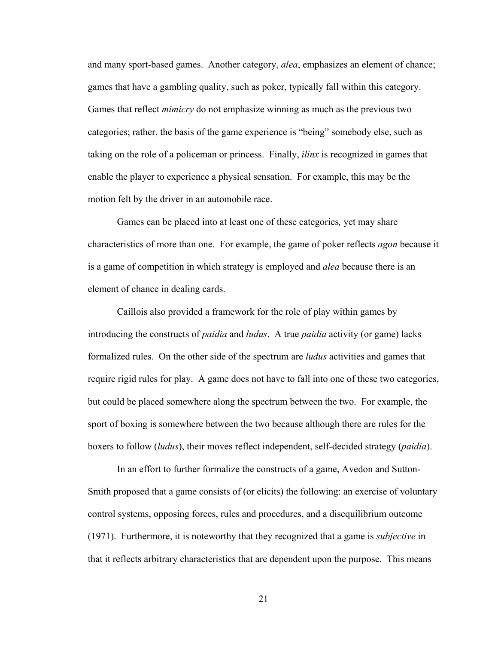and many sport-based games. Another category, *alea*, emphasizes an element of chance; games that have a gambling quality, such as poker, typically fall within this category. Games that reflect *mimicry* do not emphasize winning as much as the previous two categories; rather, the basis of the game experience is "being" somebody else, such as taking on the role of a policeman or princess. Finally, *ilinx* is recognized in games that enable the player to experience a physical sensation. For example, this may be the motion felt by the driver in an automobile race.

Games can be placed into at least one of these categories*,* yet may share characteristics of more than one. For example, the game of poker reflects *agon* because it is a game of competition in which strategy is employed and *alea* because there is an element of chance in dealing cards.

Caillois also provided a framework for the role of play within games by introducing the constructs of *paidia* and *ludus*. A true *paidia* activity (or game) lacks formalized rules. On the other side of the spectrum are *ludus* activities and games that require rigid rules for play. A game does not have to fall into one of these two categories, but could be placed somewhere along the spectrum between the two. For example, the sport of boxing is somewhere between the two because although there are rules for the boxers to follow (*ludus*), their moves reflect independent, self-decided strategy (*paidia*).

In an effort to further formalize the constructs of a game, Avedon and Sutton-Smith proposed that a game consists of (or elicits) the following: an exercise of voluntary control systems, opposing forces, rules and procedures, and a disequilibrium outcome (1971). Furthermore, it is noteworthy that they recognized that a game is *subjective* in that it reflects arbitrary characteristics that are dependent upon the purpose. This means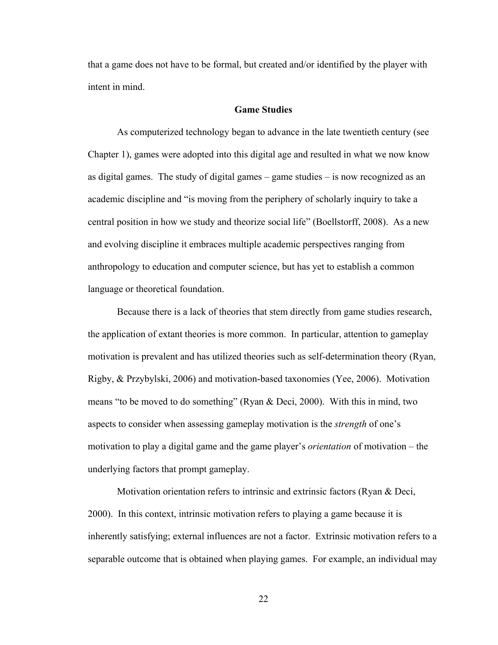that a game does not have to be formal, but created and/or identified by the player with intent in mind.

# **Game Studies**

As computerized technology began to advance in the late twentieth century (see Chapter 1), games were adopted into this digital age and resulted in what we now know as digital games. The study of digital games – game studies – is now recognized as an academic discipline and "is moving from the periphery of scholarly inquiry to take a central position in how we study and theorize social life" (Boellstorff, 2008). As a new and evolving discipline it embraces multiple academic perspectives ranging from anthropology to education and computer science, but has yet to establish a common language or theoretical foundation.

 Because there is a lack of theories that stem directly from game studies research, the application of extant theories is more common. In particular, attention to gameplay motivation is prevalent and has utilized theories such as self-determination theory (Ryan, Rigby, & Przybylski, 2006) and motivation-based taxonomies (Yee, 2006). Motivation means "to be moved to do something" (Ryan & Deci, 2000). With this in mind, two aspects to consider when assessing gameplay motivation is the *strength* of one's motivation to play a digital game and the game player's *orientation* of motivation – the underlying factors that prompt gameplay.

 Motivation orientation refers to intrinsic and extrinsic factors (Ryan & Deci, 2000). In this context, intrinsic motivation refers to playing a game because it is inherently satisfying; external influences are not a factor. Extrinsic motivation refers to a separable outcome that is obtained when playing games. For example, an individual may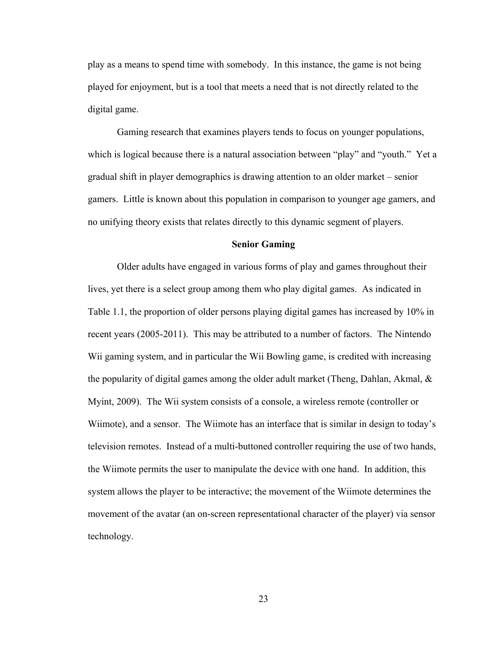play as a means to spend time with somebody. In this instance, the game is not being played for enjoyment, but is a tool that meets a need that is not directly related to the digital game.

 Gaming research that examines players tends to focus on younger populations, which is logical because there is a natural association between "play" and "youth." Yet a gradual shift in player demographics is drawing attention to an older market – senior gamers. Little is known about this population in comparison to younger age gamers, and no unifying theory exists that relates directly to this dynamic segment of players.

### **Senior Gaming**

Older adults have engaged in various forms of play and games throughout their lives, yet there is a select group among them who play digital games. As indicated in Table 1.1, the proportion of older persons playing digital games has increased by 10% in recent years (2005-2011). This may be attributed to a number of factors. The Nintendo Wii gaming system, and in particular the Wii Bowling game, is credited with increasing the popularity of digital games among the older adult market (Theng, Dahlan, Akmal, & Myint, 2009). The Wii system consists of a console, a wireless remote (controller or Wiimote), and a sensor. The Wiimote has an interface that is similar in design to today's television remotes. Instead of a multi-buttoned controller requiring the use of two hands, the Wiimote permits the user to manipulate the device with one hand. In addition, this system allows the player to be interactive; the movement of the Wiimote determines the movement of the avatar (an on-screen representational character of the player) via sensor technology.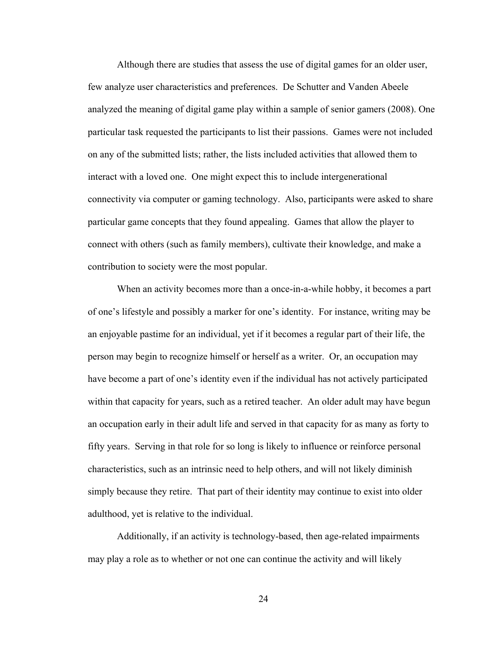Although there are studies that assess the use of digital games for an older user, few analyze user characteristics and preferences. De Schutter and Vanden Abeele analyzed the meaning of digital game play within a sample of senior gamers (2008). One particular task requested the participants to list their passions. Games were not included on any of the submitted lists; rather, the lists included activities that allowed them to interact with a loved one. One might expect this to include intergenerational connectivity via computer or gaming technology. Also, participants were asked to share particular game concepts that they found appealing. Games that allow the player to connect with others (such as family members), cultivate their knowledge, and make a contribution to society were the most popular.

When an activity becomes more than a once-in-a-while hobby, it becomes a part of one's lifestyle and possibly a marker for one's identity. For instance, writing may be an enjoyable pastime for an individual, yet if it becomes a regular part of their life, the person may begin to recognize himself or herself as a writer. Or, an occupation may have become a part of one's identity even if the individual has not actively participated within that capacity for years, such as a retired teacher. An older adult may have begun an occupation early in their adult life and served in that capacity for as many as forty to fifty years. Serving in that role for so long is likely to influence or reinforce personal characteristics, such as an intrinsic need to help others, and will not likely diminish simply because they retire. That part of their identity may continue to exist into older adulthood, yet is relative to the individual.

Additionally, if an activity is technology-based, then age-related impairments may play a role as to whether or not one can continue the activity and will likely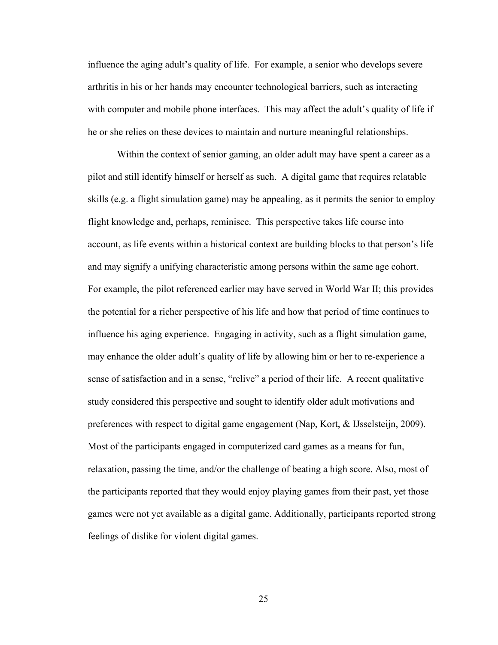influence the aging adult's quality of life. For example, a senior who develops severe arthritis in his or her hands may encounter technological barriers, such as interacting with computer and mobile phone interfaces. This may affect the adult's quality of life if he or she relies on these devices to maintain and nurture meaningful relationships.

Within the context of senior gaming, an older adult may have spent a career as a pilot and still identify himself or herself as such. A digital game that requires relatable skills (e.g. a flight simulation game) may be appealing, as it permits the senior to employ flight knowledge and, perhaps, reminisce. This perspective takes life course into account, as life events within a historical context are building blocks to that person's life and may signify a unifying characteristic among persons within the same age cohort. For example, the pilot referenced earlier may have served in World War II; this provides the potential for a richer perspective of his life and how that period of time continues to influence his aging experience. Engaging in activity, such as a flight simulation game, may enhance the older adult's quality of life by allowing him or her to re-experience a sense of satisfaction and in a sense, "relive" a period of their life. A recent qualitative study considered this perspective and sought to identify older adult motivations and preferences with respect to digital game engagement (Nap, Kort, & IJsselsteijn, 2009). Most of the participants engaged in computerized card games as a means for fun, relaxation, passing the time, and/or the challenge of beating a high score. Also, most of the participants reported that they would enjoy playing games from their past, yet those games were not yet available as a digital game. Additionally, participants reported strong feelings of dislike for violent digital games.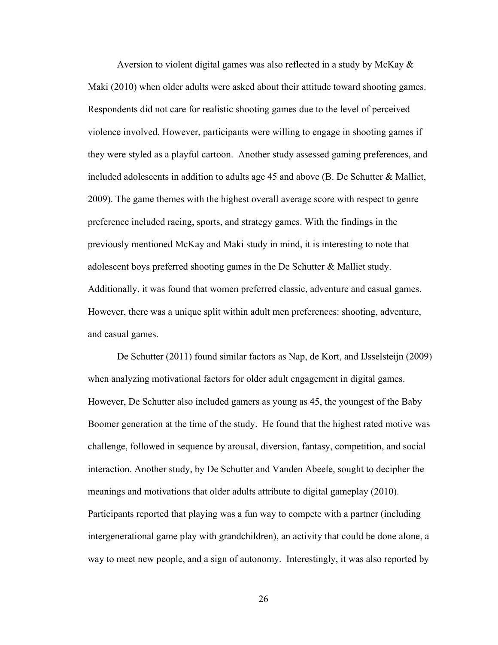Aversion to violent digital games was also reflected in a study by McKay  $\&$ Maki (2010) when older adults were asked about their attitude toward shooting games. Respondents did not care for realistic shooting games due to the level of perceived violence involved. However, participants were willing to engage in shooting games if they were styled as a playful cartoon. Another study assessed gaming preferences, and included adolescents in addition to adults age 45 and above (B. De Schutter & Malliet, 2009). The game themes with the highest overall average score with respect to genre preference included racing, sports, and strategy games. With the findings in the previously mentioned McKay and Maki study in mind, it is interesting to note that adolescent boys preferred shooting games in the De Schutter & Malliet study. Additionally, it was found that women preferred classic, adventure and casual games. However, there was a unique split within adult men preferences: shooting, adventure, and casual games.

De Schutter (2011) found similar factors as Nap, de Kort, and IJsselsteijn (2009) when analyzing motivational factors for older adult engagement in digital games. However, De Schutter also included gamers as young as 45, the youngest of the Baby Boomer generation at the time of the study. He found that the highest rated motive was challenge, followed in sequence by arousal, diversion, fantasy, competition, and social interaction. Another study, by De Schutter and Vanden Abeele, sought to decipher the meanings and motivations that older adults attribute to digital gameplay (2010). Participants reported that playing was a fun way to compete with a partner (including intergenerational game play with grandchildren), an activity that could be done alone, a way to meet new people, and a sign of autonomy. Interestingly, it was also reported by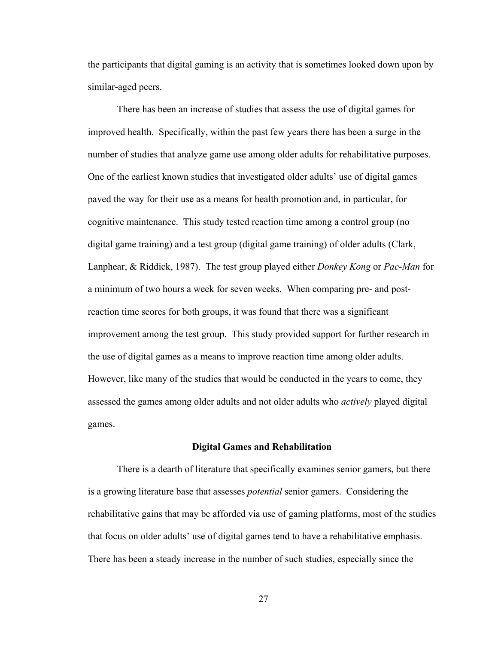the participants that digital gaming is an activity that is sometimes looked down upon by similar-aged peers.

There has been an increase of studies that assess the use of digital games for improved health. Specifically, within the past few years there has been a surge in the number of studies that analyze game use among older adults for rehabilitative purposes. One of the earliest known studies that investigated older adults' use of digital games paved the way for their use as a means for health promotion and, in particular, for cognitive maintenance. This study tested reaction time among a control group (no digital game training) and a test group (digital game training) of older adults (Clark, Lanphear, & Riddick, 1987). The test group played either *Donkey Kong* or *Pac-Man* for a minimum of two hours a week for seven weeks. When comparing pre- and postreaction time scores for both groups, it was found that there was a significant improvement among the test group. This study provided support for further research in the use of digital games as a means to improve reaction time among older adults. However, like many of the studies that would be conducted in the years to come, they assessed the games among older adults and not older adults who *actively* played digital games.

#### **Digital Games and Rehabilitation**

There is a dearth of literature that specifically examines senior gamers, but there is a growing literature base that assesses *potential* senior gamers. Considering the rehabilitative gains that may be afforded via use of gaming platforms, most of the studies that focus on older adults' use of digital games tend to have a rehabilitative emphasis. There has been a steady increase in the number of such studies, especially since the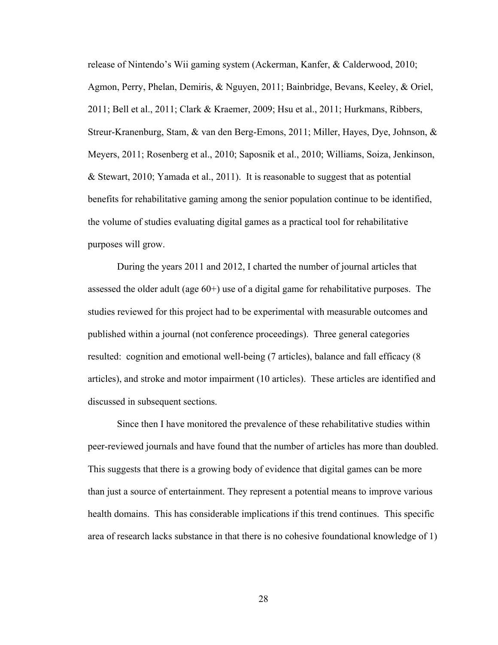release of Nintendo's Wii gaming system (Ackerman, Kanfer, & Calderwood, 2010; Agmon, Perry, Phelan, Demiris, & Nguyen, 2011; Bainbridge, Bevans, Keeley, & Oriel, 2011; Bell et al., 2011; Clark & Kraemer, 2009; Hsu et al., 2011; Hurkmans, Ribbers, Streur-Kranenburg, Stam, & van den Berg-Emons, 2011; Miller, Hayes, Dye, Johnson, & Meyers, 2011; Rosenberg et al., 2010; Saposnik et al., 2010; Williams, Soiza, Jenkinson, & Stewart, 2010; Yamada et al., 2011). It is reasonable to suggest that as potential benefits for rehabilitative gaming among the senior population continue to be identified, the volume of studies evaluating digital games as a practical tool for rehabilitative purposes will grow.

During the years 2011 and 2012, I charted the number of journal articles that assessed the older adult (age 60+) use of a digital game for rehabilitative purposes. The studies reviewed for this project had to be experimental with measurable outcomes and published within a journal (not conference proceedings). Three general categories resulted: cognition and emotional well-being (7 articles), balance and fall efficacy (8 articles), and stroke and motor impairment (10 articles). These articles are identified and discussed in subsequent sections.

Since then I have monitored the prevalence of these rehabilitative studies within peer-reviewed journals and have found that the number of articles has more than doubled. This suggests that there is a growing body of evidence that digital games can be more than just a source of entertainment. They represent a potential means to improve various health domains. This has considerable implications if this trend continues. This specific area of research lacks substance in that there is no cohesive foundational knowledge of 1)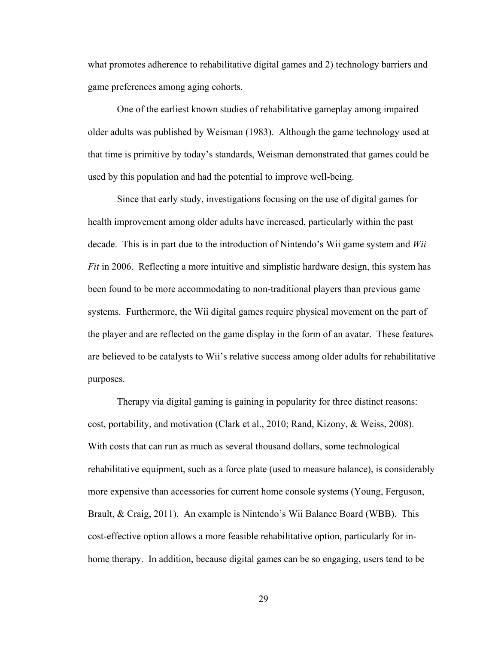what promotes adherence to rehabilitative digital games and 2) technology barriers and game preferences among aging cohorts.

 One of the earliest known studies of rehabilitative gameplay among impaired older adults was published by Weisman (1983). Although the game technology used at that time is primitive by today's standards, Weisman demonstrated that games could be used by this population and had the potential to improve well-being.

 Since that early study, investigations focusing on the use of digital games for health improvement among older adults have increased, particularly within the past decade. This is in part due to the introduction of Nintendo's Wii game system and *Wii Fit* in 2006. Reflecting a more intuitive and simplistic hardware design, this system has been found to be more accommodating to non-traditional players than previous game systems. Furthermore, the Wii digital games require physical movement on the part of the player and are reflected on the game display in the form of an avatar. These features are believed to be catalysts to Wii's relative success among older adults for rehabilitative purposes.

Therapy via digital gaming is gaining in popularity for three distinct reasons: cost, portability, and motivation (Clark et al., 2010; Rand, Kizony, & Weiss, 2008). With costs that can run as much as several thousand dollars, some technological rehabilitative equipment, such as a force plate (used to measure balance), is considerably more expensive than accessories for current home console systems (Young, Ferguson, Brault, & Craig, 2011). An example is Nintendo's Wii Balance Board (WBB). This cost-effective option allows a more feasible rehabilitative option, particularly for inhome therapy. In addition, because digital games can be so engaging, users tend to be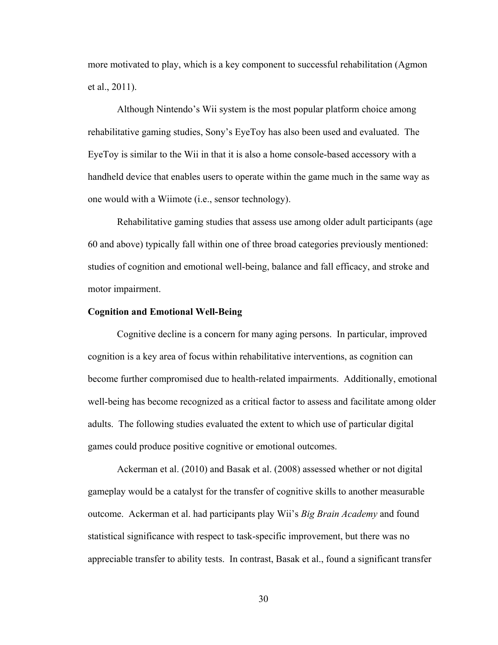more motivated to play, which is a key component to successful rehabilitation (Agmon et al., 2011).

Although Nintendo's Wii system is the most popular platform choice among rehabilitative gaming studies, Sony's EyeToy has also been used and evaluated. The EyeToy is similar to the Wii in that it is also a home console-based accessory with a handheld device that enables users to operate within the game much in the same way as one would with a Wiimote (i.e., sensor technology).

Rehabilitative gaming studies that assess use among older adult participants (age 60 and above) typically fall within one of three broad categories previously mentioned: studies of cognition and emotional well-being, balance and fall efficacy, and stroke and motor impairment.

### **Cognition and Emotional Well-Being**

Cognitive decline is a concern for many aging persons. In particular, improved cognition is a key area of focus within rehabilitative interventions, as cognition can become further compromised due to health-related impairments. Additionally, emotional well-being has become recognized as a critical factor to assess and facilitate among older adults. The following studies evaluated the extent to which use of particular digital games could produce positive cognitive or emotional outcomes.

Ackerman et al. (2010) and Basak et al. (2008) assessed whether or not digital gameplay would be a catalyst for the transfer of cognitive skills to another measurable outcome. Ackerman et al. had participants play Wii's *Big Brain Academy* and found statistical significance with respect to task-specific improvement, but there was no appreciable transfer to ability tests. In contrast, Basak et al., found a significant transfer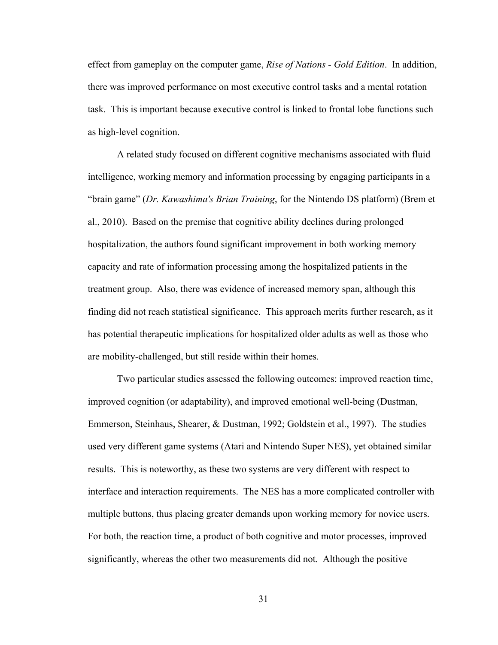effect from gameplay on the computer game, *Rise of Nations - Gold Edition*. In addition, there was improved performance on most executive control tasks and a mental rotation task. This is important because executive control is linked to frontal lobe functions such as high-level cognition.

A related study focused on different cognitive mechanisms associated with fluid intelligence, working memory and information processing by engaging participants in a "brain game" (*Dr. Kawashima's Brian Training*, for the Nintendo DS platform) (Brem et al., 2010). Based on the premise that cognitive ability declines during prolonged hospitalization, the authors found significant improvement in both working memory capacity and rate of information processing among the hospitalized patients in the treatment group. Also, there was evidence of increased memory span, although this finding did not reach statistical significance. This approach merits further research, as it has potential therapeutic implications for hospitalized older adults as well as those who are mobility-challenged, but still reside within their homes.

Two particular studies assessed the following outcomes: improved reaction time, improved cognition (or adaptability), and improved emotional well-being (Dustman, Emmerson, Steinhaus, Shearer, & Dustman, 1992; Goldstein et al., 1997). The studies used very different game systems (Atari and Nintendo Super NES), yet obtained similar results. This is noteworthy, as these two systems are very different with respect to interface and interaction requirements. The NES has a more complicated controller with multiple buttons, thus placing greater demands upon working memory for novice users. For both, the reaction time, a product of both cognitive and motor processes, improved significantly, whereas the other two measurements did not. Although the positive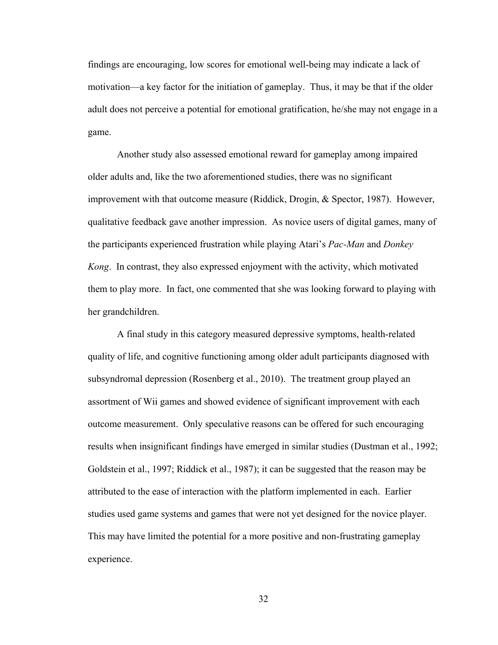findings are encouraging, low scores for emotional well-being may indicate a lack of motivation—a key factor for the initiation of gameplay. Thus, it may be that if the older adult does not perceive a potential for emotional gratification, he/she may not engage in a game.

Another study also assessed emotional reward for gameplay among impaired older adults and, like the two aforementioned studies, there was no significant improvement with that outcome measure (Riddick, Drogin, & Spector, 1987). However, qualitative feedback gave another impression. As novice users of digital games, many of the participants experienced frustration while playing Atari's *Pac-Man* and *Donkey Kong*. In contrast, they also expressed enjoyment with the activity, which motivated them to play more. In fact, one commented that she was looking forward to playing with her grandchildren.

A final study in this category measured depressive symptoms, health-related quality of life, and cognitive functioning among older adult participants diagnosed with subsyndromal depression (Rosenberg et al., 2010). The treatment group played an assortment of Wii games and showed evidence of significant improvement with each outcome measurement. Only speculative reasons can be offered for such encouraging results when insignificant findings have emerged in similar studies (Dustman et al., 1992; Goldstein et al., 1997; Riddick et al., 1987); it can be suggested that the reason may be attributed to the ease of interaction with the platform implemented in each. Earlier studies used game systems and games that were not yet designed for the novice player. This may have limited the potential for a more positive and non-frustrating gameplay experience.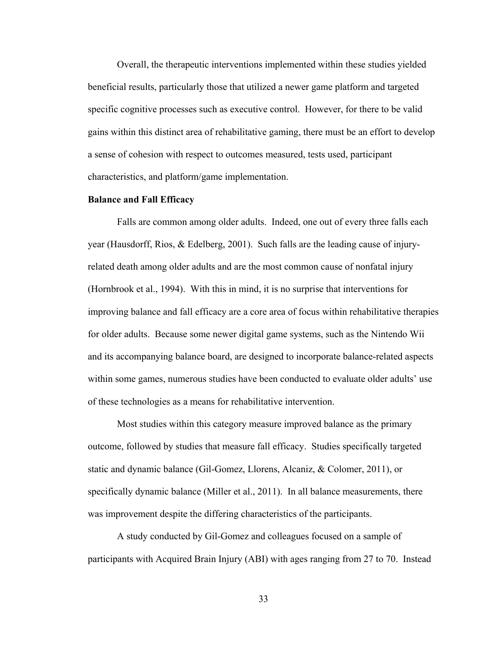Overall, the therapeutic interventions implemented within these studies yielded beneficial results, particularly those that utilized a newer game platform and targeted specific cognitive processes such as executive control. However, for there to be valid gains within this distinct area of rehabilitative gaming, there must be an effort to develop a sense of cohesion with respect to outcomes measured, tests used, participant characteristics, and platform/game implementation.

## **Balance and Fall Efficacy**

Falls are common among older adults. Indeed, one out of every three falls each year (Hausdorff, Rios, & Edelberg, 2001). Such falls are the leading cause of injuryrelated death among older adults and are the most common cause of nonfatal injury (Hornbrook et al., 1994). With this in mind, it is no surprise that interventions for improving balance and fall efficacy are a core area of focus within rehabilitative therapies for older adults. Because some newer digital game systems, such as the Nintendo Wii and its accompanying balance board, are designed to incorporate balance-related aspects within some games, numerous studies have been conducted to evaluate older adults' use of these technologies as a means for rehabilitative intervention.

 Most studies within this category measure improved balance as the primary outcome, followed by studies that measure fall efficacy. Studies specifically targeted static and dynamic balance (Gil-Gomez, Llorens, Alcaniz, & Colomer, 2011), or specifically dynamic balance (Miller et al., 2011). In all balance measurements, there was improvement despite the differing characteristics of the participants.

A study conducted by Gil-Gomez and colleagues focused on a sample of participants with Acquired Brain Injury (ABI) with ages ranging from 27 to 70. Instead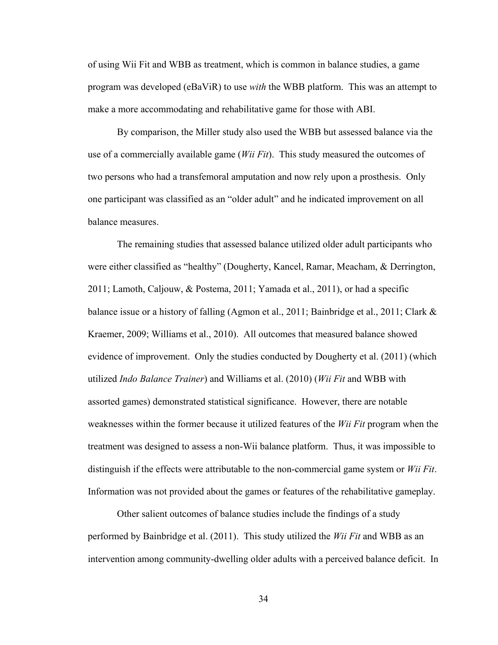of using Wii Fit and WBB as treatment, which is common in balance studies, a game program was developed (eBaViR) to use *with* the WBB platform. This was an attempt to make a more accommodating and rehabilitative game for those with ABI.

By comparison, the Miller study also used the WBB but assessed balance via the use of a commercially available game (*Wii Fit*). This study measured the outcomes of two persons who had a transfemoral amputation and now rely upon a prosthesis. Only one participant was classified as an "older adult" and he indicated improvement on all balance measures.

The remaining studies that assessed balance utilized older adult participants who were either classified as "healthy" (Dougherty, Kancel, Ramar, Meacham, & Derrington, 2011; Lamoth, Caljouw, & Postema, 2011; Yamada et al., 2011), or had a specific balance issue or a history of falling (Agmon et al., 2011; Bainbridge et al., 2011; Clark & Kraemer, 2009; Williams et al., 2010). All outcomes that measured balance showed evidence of improvement. Only the studies conducted by Dougherty et al. (2011) (which utilized *Indo Balance Trainer*) and Williams et al. (2010) (*Wii Fit* and WBB with assorted games) demonstrated statistical significance. However, there are notable weaknesses within the former because it utilized features of the *Wii Fit* program when the treatment was designed to assess a non-Wii balance platform. Thus, it was impossible to distinguish if the effects were attributable to the non-commercial game system or *Wii Fit*. Information was not provided about the games or features of the rehabilitative gameplay.

Other salient outcomes of balance studies include the findings of a study performed by Bainbridge et al. (2011). This study utilized the *Wii Fit* and WBB as an intervention among community-dwelling older adults with a perceived balance deficit. In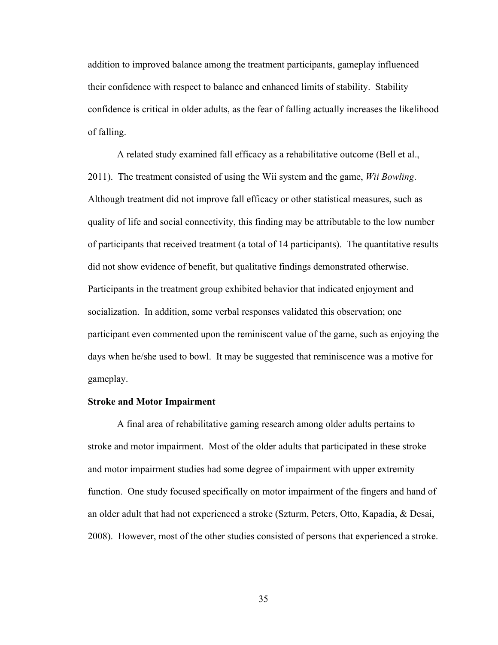addition to improved balance among the treatment participants, gameplay influenced their confidence with respect to balance and enhanced limits of stability. Stability confidence is critical in older adults, as the fear of falling actually increases the likelihood of falling.

A related study examined fall efficacy as a rehabilitative outcome (Bell et al., 2011). The treatment consisted of using the Wii system and the game, *Wii Bowling*. Although treatment did not improve fall efficacy or other statistical measures, such as quality of life and social connectivity, this finding may be attributable to the low number of participants that received treatment (a total of 14 participants). The quantitative results did not show evidence of benefit, but qualitative findings demonstrated otherwise. Participants in the treatment group exhibited behavior that indicated enjoyment and socialization. In addition, some verbal responses validated this observation; one participant even commented upon the reminiscent value of the game, such as enjoying the days when he/she used to bowl. It may be suggested that reminiscence was a motive for gameplay.

# **Stroke and Motor Impairment**

 A final area of rehabilitative gaming research among older adults pertains to stroke and motor impairment. Most of the older adults that participated in these stroke and motor impairment studies had some degree of impairment with upper extremity function. One study focused specifically on motor impairment of the fingers and hand of an older adult that had not experienced a stroke (Szturm, Peters, Otto, Kapadia, & Desai, 2008). However, most of the other studies consisted of persons that experienced a stroke.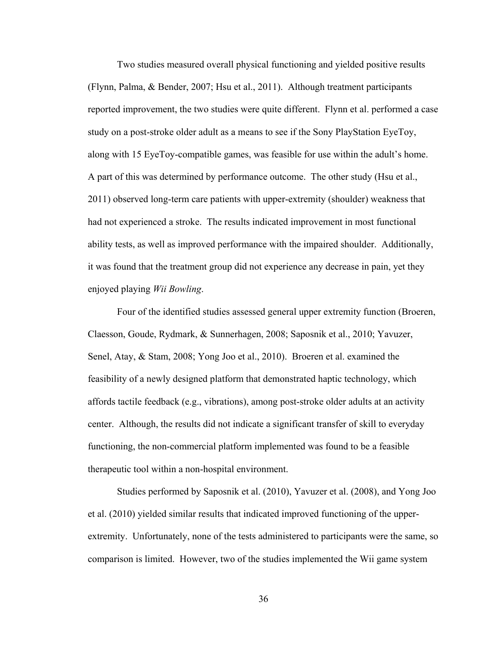Two studies measured overall physical functioning and yielded positive results (Flynn, Palma, & Bender, 2007; Hsu et al., 2011). Although treatment participants reported improvement, the two studies were quite different. Flynn et al. performed a case study on a post-stroke older adult as a means to see if the Sony PlayStation EyeToy, along with 15 EyeToy-compatible games, was feasible for use within the adult's home. A part of this was determined by performance outcome. The other study (Hsu et al., 2011) observed long-term care patients with upper-extremity (shoulder) weakness that had not experienced a stroke. The results indicated improvement in most functional ability tests, as well as improved performance with the impaired shoulder. Additionally, it was found that the treatment group did not experience any decrease in pain, yet they enjoyed playing *Wii Bowling*.

 Four of the identified studies assessed general upper extremity function (Broeren, Claesson, Goude, Rydmark, & Sunnerhagen, 2008; Saposnik et al., 2010; Yavuzer, Senel, Atay, & Stam, 2008; Yong Joo et al., 2010). Broeren et al. examined the feasibility of a newly designed platform that demonstrated haptic technology, which affords tactile feedback (e.g., vibrations), among post-stroke older adults at an activity center. Although, the results did not indicate a significant transfer of skill to everyday functioning, the non-commercial platform implemented was found to be a feasible therapeutic tool within a non-hospital environment.

 Studies performed by Saposnik et al. (2010), Yavuzer et al. (2008), and Yong Joo et al. (2010) yielded similar results that indicated improved functioning of the upperextremity. Unfortunately, none of the tests administered to participants were the same, so comparison is limited. However, two of the studies implemented the Wii game system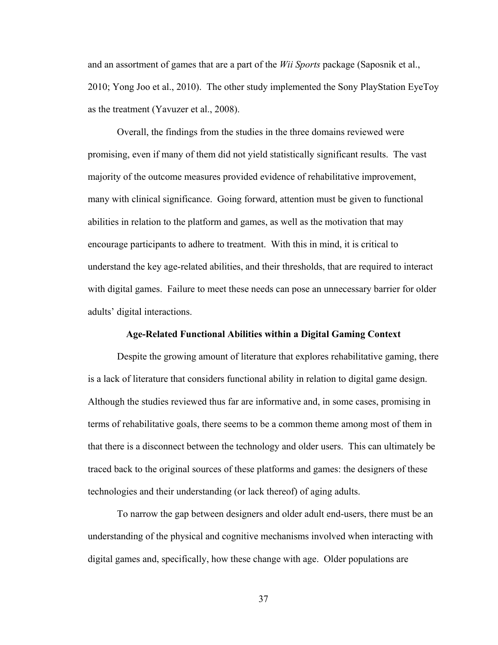and an assortment of games that are a part of the *Wii Sports* package (Saposnik et al., 2010; Yong Joo et al., 2010). The other study implemented the Sony PlayStation EyeToy as the treatment (Yavuzer et al., 2008).

Overall, the findings from the studies in the three domains reviewed were promising, even if many of them did not yield statistically significant results. The vast majority of the outcome measures provided evidence of rehabilitative improvement, many with clinical significance. Going forward, attention must be given to functional abilities in relation to the platform and games, as well as the motivation that may encourage participants to adhere to treatment. With this in mind, it is critical to understand the key age-related abilities, and their thresholds, that are required to interact with digital games. Failure to meet these needs can pose an unnecessary barrier for older adults' digital interactions.

### **Age-Related Functional Abilities within a Digital Gaming Context**

Despite the growing amount of literature that explores rehabilitative gaming, there is a lack of literature that considers functional ability in relation to digital game design. Although the studies reviewed thus far are informative and, in some cases, promising in terms of rehabilitative goals, there seems to be a common theme among most of them in that there is a disconnect between the technology and older users. This can ultimately be traced back to the original sources of these platforms and games: the designers of these technologies and their understanding (or lack thereof) of aging adults.

To narrow the gap between designers and older adult end-users, there must be an understanding of the physical and cognitive mechanisms involved when interacting with digital games and, specifically, how these change with age. Older populations are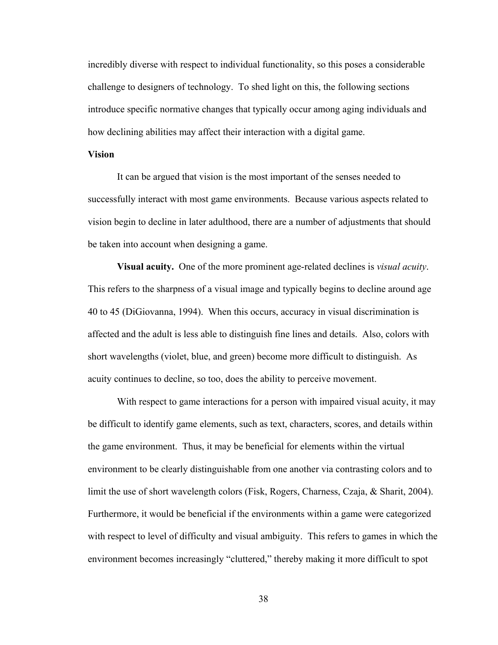incredibly diverse with respect to individual functionality, so this poses a considerable challenge to designers of technology. To shed light on this, the following sections introduce specific normative changes that typically occur among aging individuals and how declining abilities may affect their interaction with a digital game.

# **Vision**

It can be argued that vision is the most important of the senses needed to successfully interact with most game environments. Because various aspects related to vision begin to decline in later adulthood, there are a number of adjustments that should be taken into account when designing a game.

 **Visual acuity.** One of the more prominent age-related declines is *visual acuity*. This refers to the sharpness of a visual image and typically begins to decline around age 40 to 45 (DiGiovanna, 1994). When this occurs, accuracy in visual discrimination is affected and the adult is less able to distinguish fine lines and details. Also, colors with short wavelengths (violet, blue, and green) become more difficult to distinguish. As acuity continues to decline, so too, does the ability to perceive movement.

With respect to game interactions for a person with impaired visual acuity, it may be difficult to identify game elements, such as text, characters, scores, and details within the game environment. Thus, it may be beneficial for elements within the virtual environment to be clearly distinguishable from one another via contrasting colors and to limit the use of short wavelength colors (Fisk, Rogers, Charness, Czaja, & Sharit, 2004). Furthermore, it would be beneficial if the environments within a game were categorized with respect to level of difficulty and visual ambiguity. This refers to games in which the environment becomes increasingly "cluttered," thereby making it more difficult to spot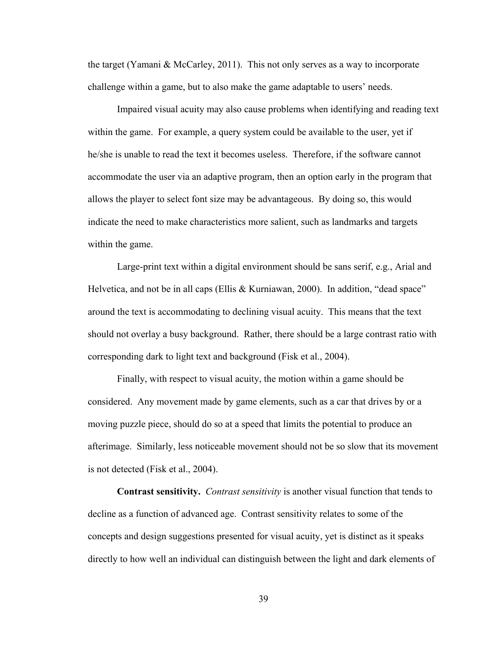the target (Yamani & McCarley, 2011). This not only serves as a way to incorporate challenge within a game, but to also make the game adaptable to users' needs.

Impaired visual acuity may also cause problems when identifying and reading text within the game. For example, a query system could be available to the user, yet if he/she is unable to read the text it becomes useless. Therefore, if the software cannot accommodate the user via an adaptive program, then an option early in the program that allows the player to select font size may be advantageous. By doing so, this would indicate the need to make characteristics more salient, such as landmarks and targets within the game.

Large-print text within a digital environment should be sans serif, e.g., Arial and Helvetica, and not be in all caps (Ellis & Kurniawan, 2000). In addition, "dead space" around the text is accommodating to declining visual acuity. This means that the text should not overlay a busy background. Rather, there should be a large contrast ratio with corresponding dark to light text and background (Fisk et al., 2004).

Finally, with respect to visual acuity, the motion within a game should be considered. Any movement made by game elements, such as a car that drives by or a moving puzzle piece, should do so at a speed that limits the potential to produce an afterimage. Similarly, less noticeable movement should not be so slow that its movement is not detected (Fisk et al., 2004).

**Contrast sensitivity.** *Contrast sensitivity* is another visual function that tends to decline as a function of advanced age. Contrast sensitivity relates to some of the concepts and design suggestions presented for visual acuity, yet is distinct as it speaks directly to how well an individual can distinguish between the light and dark elements of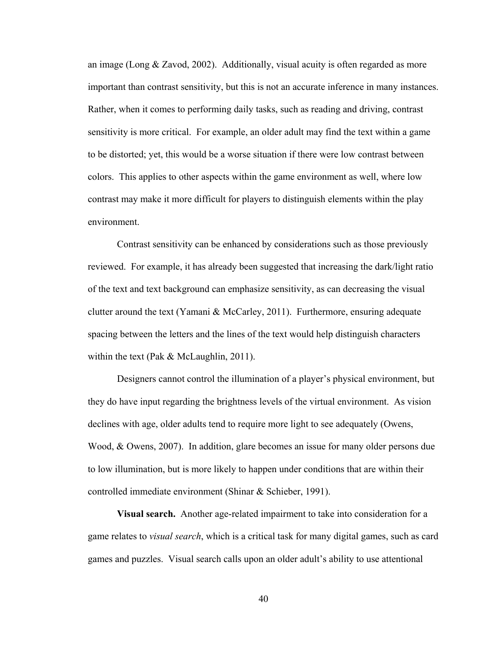an image (Long & Zavod, 2002). Additionally, visual acuity is often regarded as more important than contrast sensitivity, but this is not an accurate inference in many instances. Rather, when it comes to performing daily tasks, such as reading and driving, contrast sensitivity is more critical. For example, an older adult may find the text within a game to be distorted; yet, this would be a worse situation if there were low contrast between colors. This applies to other aspects within the game environment as well, where low contrast may make it more difficult for players to distinguish elements within the play environment.

Contrast sensitivity can be enhanced by considerations such as those previously reviewed. For example, it has already been suggested that increasing the dark/light ratio of the text and text background can emphasize sensitivity, as can decreasing the visual clutter around the text (Yamani & McCarley, 2011). Furthermore, ensuring adequate spacing between the letters and the lines of the text would help distinguish characters within the text (Pak & McLaughlin, 2011).

Designers cannot control the illumination of a player's physical environment, but they do have input regarding the brightness levels of the virtual environment. As vision declines with age, older adults tend to require more light to see adequately (Owens, Wood, & Owens, 2007). In addition, glare becomes an issue for many older persons due to low illumination, but is more likely to happen under conditions that are within their controlled immediate environment (Shinar & Schieber, 1991).

**Visual search.** Another age-related impairment to take into consideration for a game relates to *visual search*, which is a critical task for many digital games, such as card games and puzzles. Visual search calls upon an older adult's ability to use attentional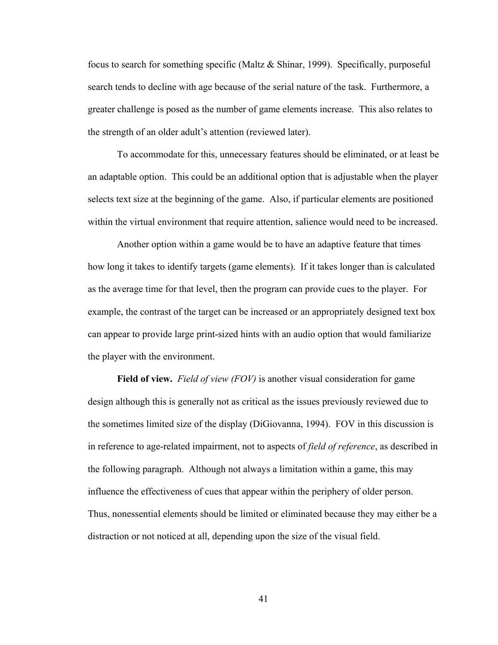focus to search for something specific (Maltz  $\&$  Shinar, 1999). Specifically, purposeful search tends to decline with age because of the serial nature of the task. Furthermore, a greater challenge is posed as the number of game elements increase. This also relates to the strength of an older adult's attention (reviewed later).

To accommodate for this, unnecessary features should be eliminated, or at least be an adaptable option. This could be an additional option that is adjustable when the player selects text size at the beginning of the game. Also, if particular elements are positioned within the virtual environment that require attention, salience would need to be increased.

Another option within a game would be to have an adaptive feature that times how long it takes to identify targets (game elements). If it takes longer than is calculated as the average time for that level, then the program can provide cues to the player. For example, the contrast of the target can be increased or an appropriately designed text box can appear to provide large print-sized hints with an audio option that would familiarize the player with the environment.

**Field of view.** *Field of view (FOV)* is another visual consideration for game design although this is generally not as critical as the issues previously reviewed due to the sometimes limited size of the display (DiGiovanna, 1994). FOV in this discussion is in reference to age-related impairment, not to aspects of *field of reference*, as described in the following paragraph. Although not always a limitation within a game, this may influence the effectiveness of cues that appear within the periphery of older person. Thus, nonessential elements should be limited or eliminated because they may either be a distraction or not noticed at all, depending upon the size of the visual field.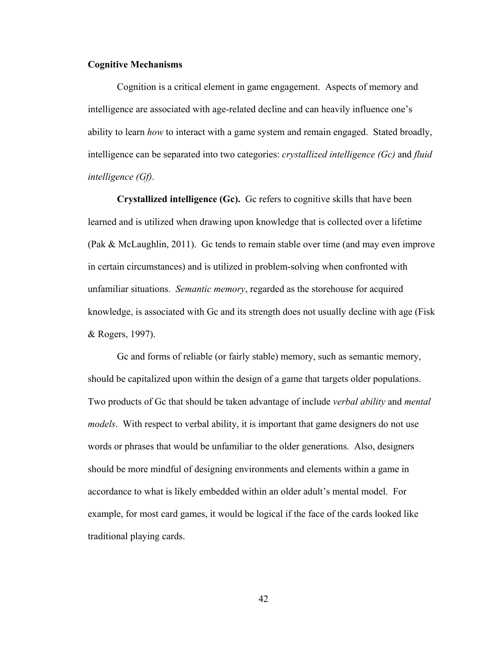## **Cognitive Mechanisms**

Cognition is a critical element in game engagement. Aspects of memory and intelligence are associated with age-related decline and can heavily influence one's ability to learn *how* to interact with a game system and remain engaged. Stated broadly, intelligence can be separated into two categories: *crystallized intelligence (Gc)* and *fluid intelligence (Gf)*.

**Crystallized intelligence (Gc).** Gc refers to cognitive skills that have been learned and is utilized when drawing upon knowledge that is collected over a lifetime (Pak & McLaughlin, 2011). Gc tends to remain stable over time (and may even improve in certain circumstances) and is utilized in problem-solving when confronted with unfamiliar situations. *Semantic memory*, regarded as the storehouse for acquired knowledge, is associated with Gc and its strength does not usually decline with age (Fisk & Rogers, 1997).

Gc and forms of reliable (or fairly stable) memory, such as semantic memory, should be capitalized upon within the design of a game that targets older populations. Two products of Gc that should be taken advantage of include *verbal ability* and *mental models*. With respect to verbal ability, it is important that game designers do not use words or phrases that would be unfamiliar to the older generations. Also, designers should be more mindful of designing environments and elements within a game in accordance to what is likely embedded within an older adult's mental model. For example, for most card games, it would be logical if the face of the cards looked like traditional playing cards.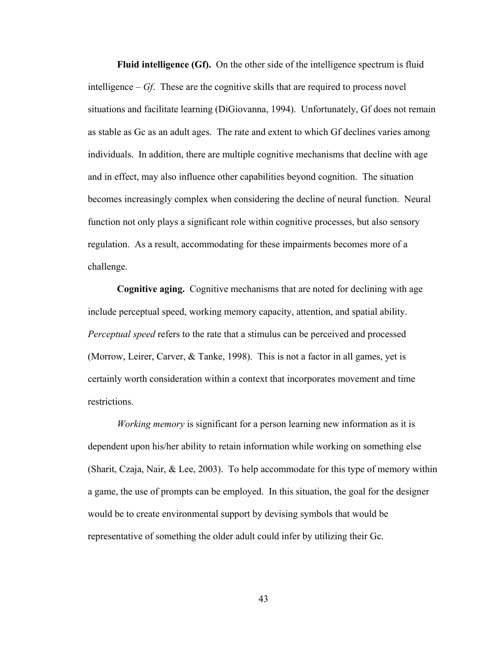**Fluid intelligence (Gf).** On the other side of the intelligence spectrum is fluid intelligence – *Gf*. These are the cognitive skills that are required to process novel situations and facilitate learning (DiGiovanna, 1994). Unfortunately, Gf does not remain as stable as Gc as an adult ages. The rate and extent to which Gf declines varies among individuals. In addition, there are multiple cognitive mechanisms that decline with age and in effect, may also influence other capabilities beyond cognition. The situation becomes increasingly complex when considering the decline of neural function. Neural function not only plays a significant role within cognitive processes, but also sensory regulation. As a result, accommodating for these impairments becomes more of a challenge.

**Cognitive aging.** Cognitive mechanisms that are noted for declining with age include perceptual speed, working memory capacity, attention, and spatial ability. *Perceptual speed* refers to the rate that a stimulus can be perceived and processed (Morrow, Leirer, Carver, & Tanke, 1998). This is not a factor in all games, yet is certainly worth consideration within a context that incorporates movement and time restrictions.

*Working memory* is significant for a person learning new information as it is dependent upon his/her ability to retain information while working on something else (Sharit, Czaja, Nair, & Lee, 2003). To help accommodate for this type of memory within a game, the use of prompts can be employed. In this situation, the goal for the designer would be to create environmental support by devising symbols that would be representative of something the older adult could infer by utilizing their Gc.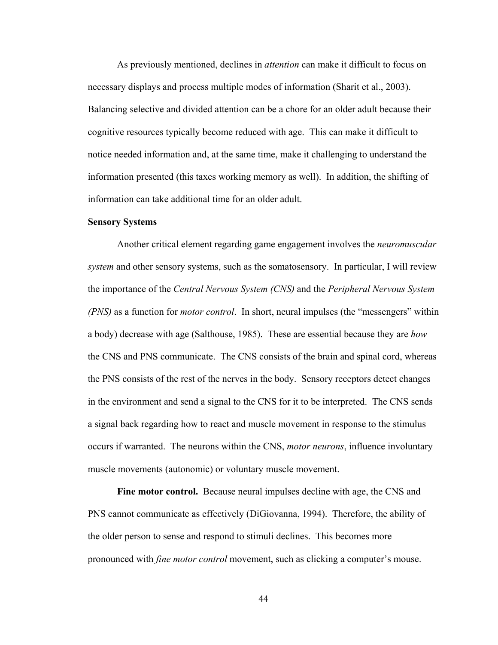As previously mentioned, declines in *attention* can make it difficult to focus on necessary displays and process multiple modes of information (Sharit et al., 2003). Balancing selective and divided attention can be a chore for an older adult because their cognitive resources typically become reduced with age. This can make it difficult to notice needed information and, at the same time, make it challenging to understand the information presented (this taxes working memory as well). In addition, the shifting of information can take additional time for an older adult.

### **Sensory Systems**

Another critical element regarding game engagement involves the *neuromuscular system* and other sensory systems, such as the somatosensory. In particular, I will review the importance of the *Central Nervous System (CNS)* and the *Peripheral Nervous System (PNS)* as a function for *motor control*. In short, neural impulses (the "messengers" within a body) decrease with age (Salthouse, 1985). These are essential because they are *how* the CNS and PNS communicate. The CNS consists of the brain and spinal cord, whereas the PNS consists of the rest of the nerves in the body. Sensory receptors detect changes in the environment and send a signal to the CNS for it to be interpreted. The CNS sends a signal back regarding how to react and muscle movement in response to the stimulus occurs if warranted. The neurons within the CNS, *motor neurons*, influence involuntary muscle movements (autonomic) or voluntary muscle movement.

**Fine motor control.** Because neural impulses decline with age, the CNS and PNS cannot communicate as effectively (DiGiovanna, 1994). Therefore, the ability of the older person to sense and respond to stimuli declines. This becomes more pronounced with *fine motor control* movement, such as clicking a computer's mouse.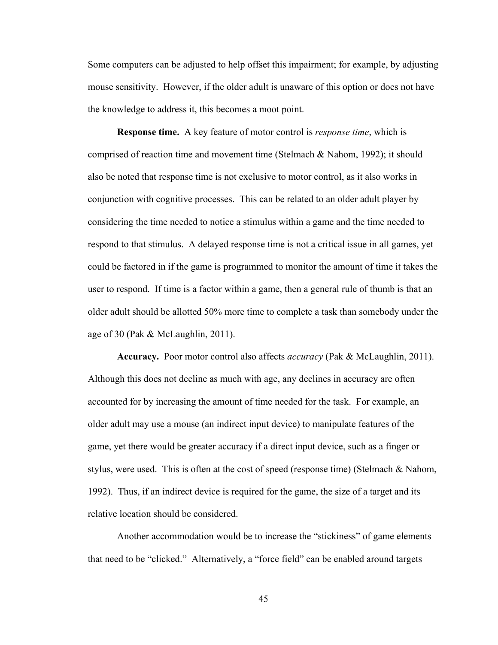Some computers can be adjusted to help offset this impairment; for example, by adjusting mouse sensitivity. However, if the older adult is unaware of this option or does not have the knowledge to address it, this becomes a moot point.

**Response time.** A key feature of motor control is *response time*, which is comprised of reaction time and movement time (Stelmach & Nahom, 1992); it should also be noted that response time is not exclusive to motor control, as it also works in conjunction with cognitive processes. This can be related to an older adult player by considering the time needed to notice a stimulus within a game and the time needed to respond to that stimulus. A delayed response time is not a critical issue in all games, yet could be factored in if the game is programmed to monitor the amount of time it takes the user to respond. If time is a factor within a game, then a general rule of thumb is that an older adult should be allotted 50% more time to complete a task than somebody under the age of 30 (Pak & McLaughlin, 2011).

**Accuracy.** Poor motor control also affects *accuracy* (Pak & McLaughlin, 2011). Although this does not decline as much with age, any declines in accuracy are often accounted for by increasing the amount of time needed for the task. For example, an older adult may use a mouse (an indirect input device) to manipulate features of the game, yet there would be greater accuracy if a direct input device, such as a finger or stylus, were used. This is often at the cost of speed (response time) (Stelmach & Nahom, 1992). Thus, if an indirect device is required for the game, the size of a target and its relative location should be considered.

Another accommodation would be to increase the "stickiness" of game elements that need to be "clicked." Alternatively, a "force field" can be enabled around targets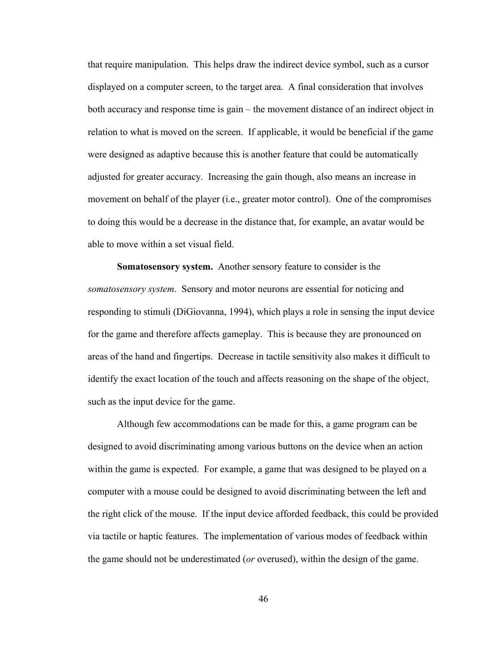that require manipulation. This helps draw the indirect device symbol, such as a cursor displayed on a computer screen, to the target area. A final consideration that involves both accuracy and response time is gain – the movement distance of an indirect object in relation to what is moved on the screen. If applicable, it would be beneficial if the game were designed as adaptive because this is another feature that could be automatically adjusted for greater accuracy. Increasing the gain though, also means an increase in movement on behalf of the player (i.e., greater motor control). One of the compromises to doing this would be a decrease in the distance that, for example, an avatar would be able to move within a set visual field.

**Somatosensory system.** Another sensory feature to consider is the *somatosensory system*. Sensory and motor neurons are essential for noticing and responding to stimuli (DiGiovanna, 1994), which plays a role in sensing the input device for the game and therefore affects gameplay. This is because they are pronounced on areas of the hand and fingertips. Decrease in tactile sensitivity also makes it difficult to identify the exact location of the touch and affects reasoning on the shape of the object, such as the input device for the game.

Although few accommodations can be made for this, a game program can be designed to avoid discriminating among various buttons on the device when an action within the game is expected. For example, a game that was designed to be played on a computer with a mouse could be designed to avoid discriminating between the left and the right click of the mouse. If the input device afforded feedback, this could be provided via tactile or haptic features. The implementation of various modes of feedback within the game should not be underestimated (*or* overused), within the design of the game.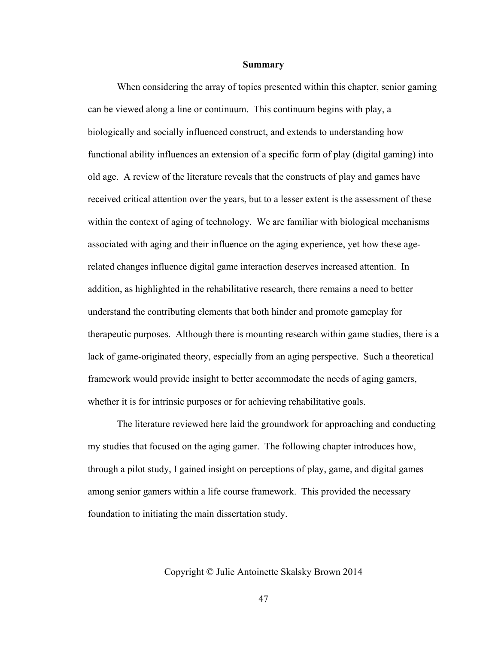#### **Summary**

When considering the array of topics presented within this chapter, senior gaming can be viewed along a line or continuum. This continuum begins with play, a biologically and socially influenced construct, and extends to understanding how functional ability influences an extension of a specific form of play (digital gaming) into old age. A review of the literature reveals that the constructs of play and games have received critical attention over the years, but to a lesser extent is the assessment of these within the context of aging of technology. We are familiar with biological mechanisms associated with aging and their influence on the aging experience, yet how these agerelated changes influence digital game interaction deserves increased attention. In addition, as highlighted in the rehabilitative research, there remains a need to better understand the contributing elements that both hinder and promote gameplay for therapeutic purposes. Although there is mounting research within game studies, there is a lack of game-originated theory, especially from an aging perspective. Such a theoretical framework would provide insight to better accommodate the needs of aging gamers, whether it is for intrinsic purposes or for achieving rehabilitative goals.

The literature reviewed here laid the groundwork for approaching and conducting my studies that focused on the aging gamer. The following chapter introduces how, through a pilot study, I gained insight on perceptions of play, game, and digital games among senior gamers within a life course framework. This provided the necessary foundation to initiating the main dissertation study.

Copyright © Julie Antoinette Skalsky Brown 2014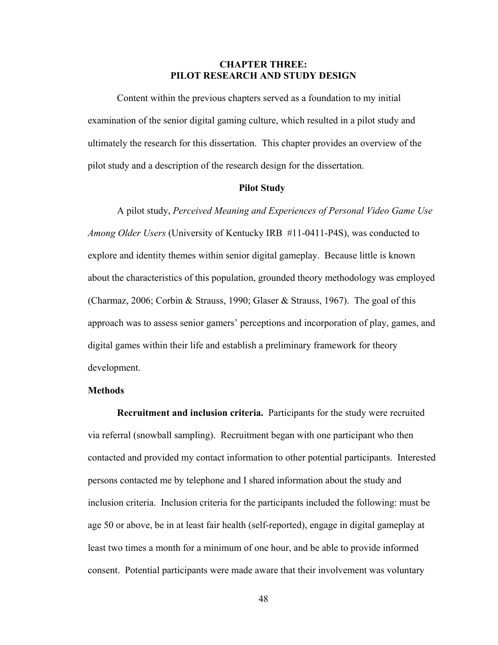# **CHAPTER THREE: PILOT RESEARCH AND STUDY DESIGN**

 Content within the previous chapters served as a foundation to my initial examination of the senior digital gaming culture, which resulted in a pilot study and ultimately the research for this dissertation. This chapter provides an overview of the pilot study and a description of the research design for the dissertation.

# **Pilot Study**

A pilot study, *Perceived Meaning and Experiences of Personal Video Game Use Among Older Users* (University of Kentucky IRB #11-0411-P4S), was conducted to explore and identity themes within senior digital gameplay. Because little is known about the characteristics of this population, grounded theory methodology was employed (Charmaz, 2006; Corbin & Strauss, 1990; Glaser & Strauss, 1967). The goal of this approach was to assess senior gamers' perceptions and incorporation of play, games, and digital games within their life and establish a preliminary framework for theory development.

### **Methods**

 **Recruitment and inclusion criteria.** Participants for the study were recruited via referral (snowball sampling). Recruitment began with one participant who then contacted and provided my contact information to other potential participants. Interested persons contacted me by telephone and I shared information about the study and inclusion criteria. Inclusion criteria for the participants included the following: must be age 50 or above, be in at least fair health (self-reported), engage in digital gameplay at least two times a month for a minimum of one hour, and be able to provide informed consent. Potential participants were made aware that their involvement was voluntary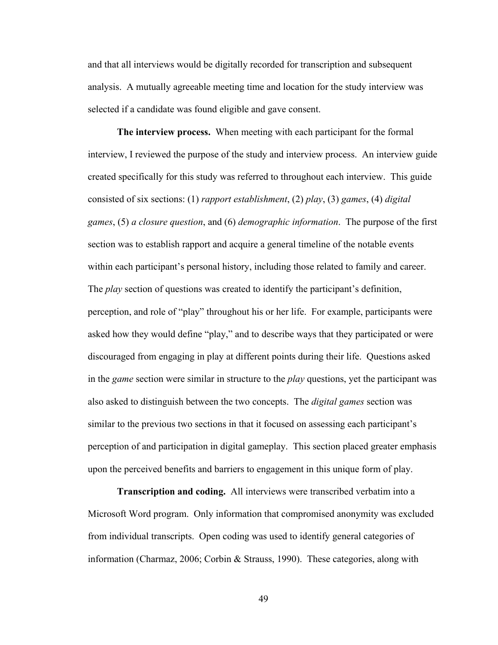and that all interviews would be digitally recorded for transcription and subsequent analysis. A mutually agreeable meeting time and location for the study interview was selected if a candidate was found eligible and gave consent.

 **The interview process.** When meeting with each participant for the formal interview, I reviewed the purpose of the study and interview process. An interview guide created specifically for this study was referred to throughout each interview. This guide consisted of six sections: (1) *rapport establishment*, (2) *play*, (3) *games*, (4) *digital games*, (5) *a closure question*, and (6) *demographic information*. The purpose of the first section was to establish rapport and acquire a general timeline of the notable events within each participant's personal history, including those related to family and career. The *play* section of questions was created to identify the participant's definition, perception, and role of "play" throughout his or her life. For example, participants were asked how they would define "play," and to describe ways that they participated or were discouraged from engaging in play at different points during their life. Questions asked in the *game* section were similar in structure to the *play* questions, yet the participant was also asked to distinguish between the two concepts. The *digital games* section was similar to the previous two sections in that it focused on assessing each participant's perception of and participation in digital gameplay. This section placed greater emphasis upon the perceived benefits and barriers to engagement in this unique form of play.

 **Transcription and coding.** All interviews were transcribed verbatim into a Microsoft Word program. Only information that compromised anonymity was excluded from individual transcripts. Open coding was used to identify general categories of information (Charmaz, 2006; Corbin & Strauss, 1990). These categories, along with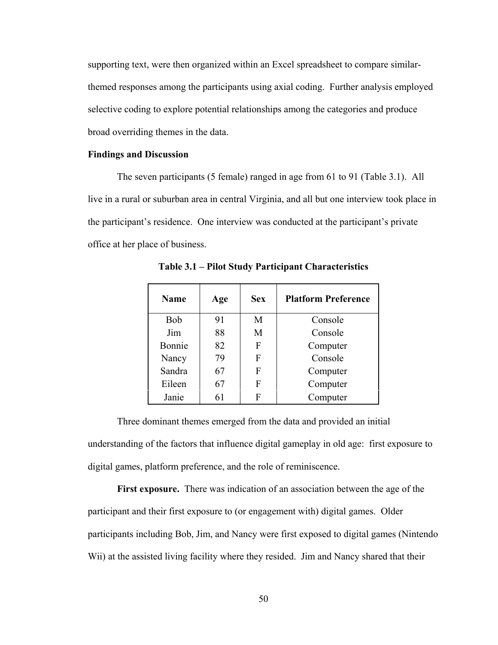supporting text, were then organized within an Excel spreadsheet to compare similarthemed responses among the participants using axial coding. Further analysis employed selective coding to explore potential relationships among the categories and produce broad overriding themes in the data.

### **Findings and Discussion**

The seven participants (5 female) ranged in age from 61 to 91 (Table 3.1). All live in a rural or suburban area in central Virginia, and all but one interview took place in the participant's residence. One interview was conducted at the participant's private office at her place of business.

| <b>Name</b> | Age | <b>Sex</b> | <b>Platform Preference</b> |
|-------------|-----|------------|----------------------------|
| <b>Bob</b>  | 91  | М          | Console                    |
| Jim         | 88  | М          | Console                    |
| Bonnie      | 82  | F          | Computer                   |
| Nancy       | 79  | F          | Console                    |
| Sandra      | 67  | F          | Computer                   |
| Eileen      | 67  | F          | Computer                   |
| Janie       | 61  | F          | Computer                   |

**Table 3.1 – Pilot Study Participant Characteristics** 

 Three dominant themes emerged from the data and provided an initial understanding of the factors that influence digital gameplay in old age: first exposure to digital games, platform preference, and the role of reminiscence.

**First exposure.** There was indication of an association between the age of the participant and their first exposure to (or engagement with) digital games. Older participants including Bob, Jim, and Nancy were first exposed to digital games (Nintendo Wii) at the assisted living facility where they resided. Jim and Nancy shared that their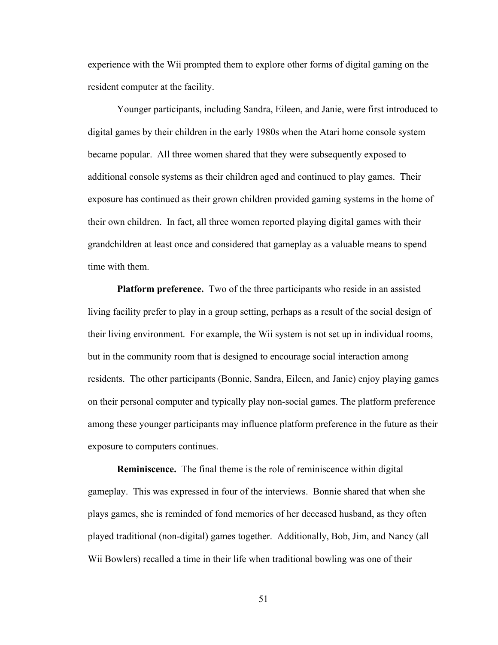experience with the Wii prompted them to explore other forms of digital gaming on the resident computer at the facility.

 Younger participants, including Sandra, Eileen, and Janie, were first introduced to digital games by their children in the early 1980s when the Atari home console system became popular. All three women shared that they were subsequently exposed to additional console systems as their children aged and continued to play games. Their exposure has continued as their grown children provided gaming systems in the home of their own children. In fact, all three women reported playing digital games with their grandchildren at least once and considered that gameplay as a valuable means to spend time with them.

**Platform preference.** Two of the three participants who reside in an assisted living facility prefer to play in a group setting, perhaps as a result of the social design of their living environment. For example, the Wii system is not set up in individual rooms, but in the community room that is designed to encourage social interaction among residents. The other participants (Bonnie, Sandra, Eileen, and Janie) enjoy playing games on their personal computer and typically play non-social games. The platform preference among these younger participants may influence platform preference in the future as their exposure to computers continues.

**Reminiscence.** The final theme is the role of reminiscence within digital gameplay. This was expressed in four of the interviews. Bonnie shared that when she plays games, she is reminded of fond memories of her deceased husband, as they often played traditional (non-digital) games together. Additionally, Bob, Jim, and Nancy (all Wii Bowlers) recalled a time in their life when traditional bowling was one of their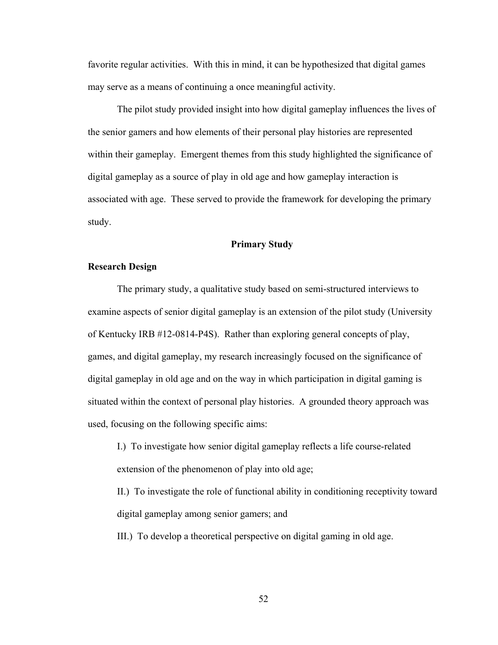favorite regular activities. With this in mind, it can be hypothesized that digital games may serve as a means of continuing a once meaningful activity.

The pilot study provided insight into how digital gameplay influences the lives of the senior gamers and how elements of their personal play histories are represented within their gameplay. Emergent themes from this study highlighted the significance of digital gameplay as a source of play in old age and how gameplay interaction is associated with age. These served to provide the framework for developing the primary study.

## **Primary Study**

# **Research Design**

The primary study, a qualitative study based on semi-structured interviews to examine aspects of senior digital gameplay is an extension of the pilot study (University of Kentucky IRB #12-0814-P4S). Rather than exploring general concepts of play, games, and digital gameplay, my research increasingly focused on the significance of digital gameplay in old age and on the way in which participation in digital gaming is situated within the context of personal play histories. A grounded theory approach was used, focusing on the following specific aims:

I.) To investigate how senior digital gameplay reflects a life course-related extension of the phenomenon of play into old age;

II.) To investigate the role of functional ability in conditioning receptivity toward digital gameplay among senior gamers; and

III.) To develop a theoretical perspective on digital gaming in old age.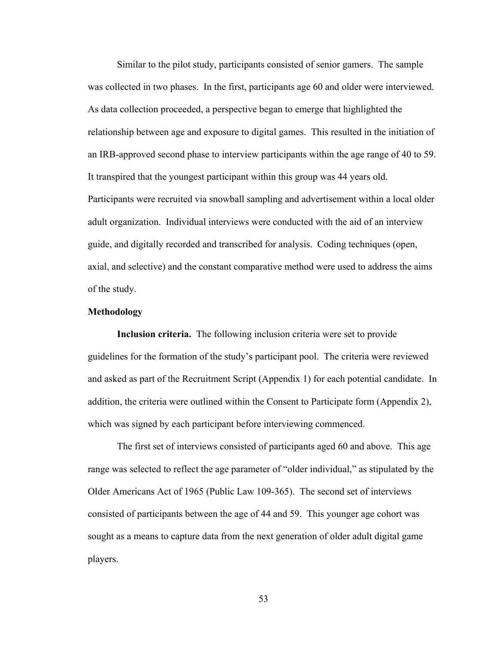Similar to the pilot study, participants consisted of senior gamers. The sample was collected in two phases. In the first, participants age 60 and older were interviewed. As data collection proceeded, a perspective began to emerge that highlighted the relationship between age and exposure to digital games. This resulted in the initiation of an IRB-approved second phase to interview participants within the age range of 40 to 59. It transpired that the youngest participant within this group was 44 years old. Participants were recruited via snowball sampling and advertisement within a local older adult organization. Individual interviews were conducted with the aid of an interview guide, and digitally recorded and transcribed for analysis. Coding techniques (open, axial, and selective) and the constant comparative method were used to address the aims of the study.

## **Methodology**

 **Inclusion criteria.** The following inclusion criteria were set to provide guidelines for the formation of the study's participant pool.The criteria were reviewed and asked as part of the Recruitment Script (Appendix 1) for each potential candidate. In addition, the criteria were outlined within the Consent to Participate form (Appendix 2), which was signed by each participant before interviewing commenced.

The first set of interviews consisted of participants aged 60 and above. This age range was selected to reflect the age parameter of "older individual," as stipulated by the Older Americans Act of 1965 (Public Law 109-365). The second set of interviews consisted of participants between the age of 44 and 59. This younger age cohort was sought as a means to capture data from the next generation of older adult digital game players.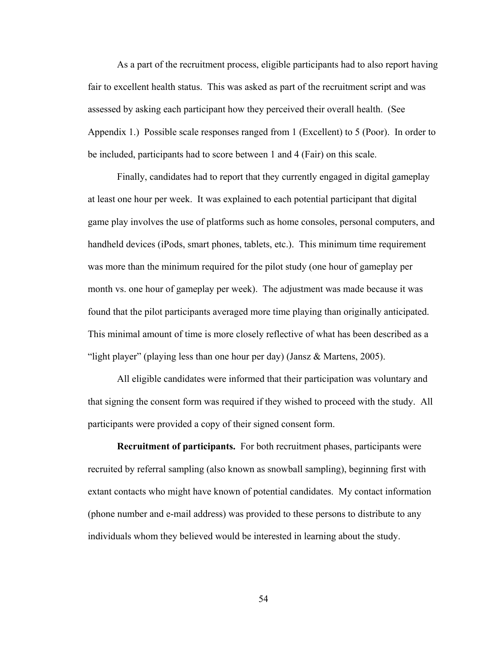As a part of the recruitment process, eligible participants had to also report having fair to excellent health status. This was asked as part of the recruitment script and was assessed by asking each participant how they perceived their overall health. (See Appendix 1.) Possible scale responses ranged from 1 (Excellent) to 5 (Poor). In order to be included, participants had to score between 1 and 4 (Fair) on this scale.

Finally, candidates had to report that they currently engaged in digital gameplay at least one hour per week. It was explained to each potential participant that digital game play involves the use of platforms such as home consoles, personal computers, and handheld devices (iPods, smart phones, tablets, etc.). This minimum time requirement was more than the minimum required for the pilot study (one hour of gameplay per month vs. one hour of gameplay per week). The adjustment was made because it was found that the pilot participants averaged more time playing than originally anticipated. This minimal amount of time is more closely reflective of what has been described as a "light player" (playing less than one hour per day) (Jansz  $\&$  Martens, 2005).

All eligible candidates were informed that their participation was voluntary and that signing the consent form was required if they wished to proceed with the study. All participants were provided a copy of their signed consent form.

 **Recruitment of participants.** For both recruitment phases, participants were recruited by referral sampling (also known as snowball sampling), beginning first with extant contacts who might have known of potential candidates. My contact information (phone number and e-mail address) was provided to these persons to distribute to any individuals whom they believed would be interested in learning about the study.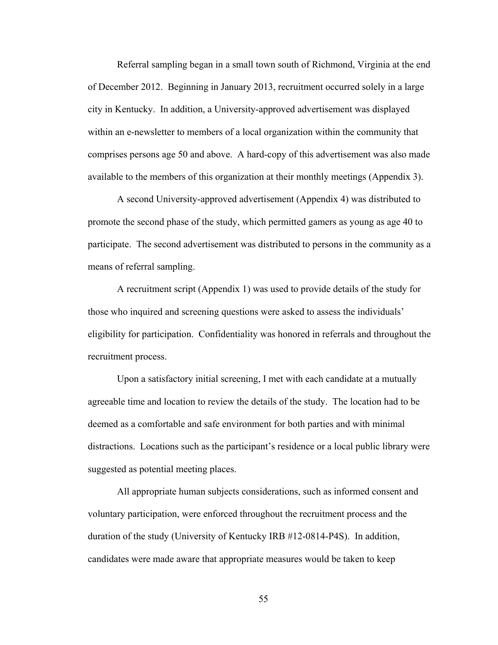Referral sampling began in a small town south of Richmond, Virginia at the end of December 2012. Beginning in January 2013, recruitment occurred solely in a large city in Kentucky. In addition, a University-approved advertisement was displayed within an e-newsletter to members of a local organization within the community that comprises persons age 50 and above. A hard-copy of this advertisement was also made available to the members of this organization at their monthly meetings (Appendix 3).

A second University-approved advertisement (Appendix 4) was distributed to promote the second phase of the study, which permitted gamers as young as age 40 to participate. The second advertisement was distributed to persons in the community as a means of referral sampling.

A recruitment script (Appendix 1) was used to provide details of the study for those who inquired and screening questions were asked to assess the individuals' eligibility for participation. Confidentiality was honored in referrals and throughout the recruitment process.

Upon a satisfactory initial screening, I met with each candidate at a mutually agreeable time and location to review the details of the study. The location had to be deemed as a comfortable and safe environment for both parties and with minimal distractions. Locations such as the participant's residence or a local public library were suggested as potential meeting places.

All appropriate human subjects considerations, such as informed consent and voluntary participation, were enforced throughout the recruitment process and the duration of the study (University of Kentucky IRB #12-0814-P4S). In addition, candidates were made aware that appropriate measures would be taken to keep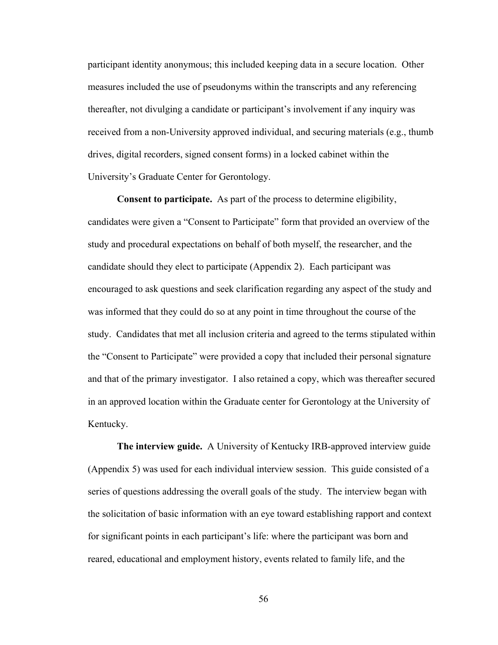participant identity anonymous; this included keeping data in a secure location. Other measures included the use of pseudonyms within the transcripts and any referencing thereafter, not divulging a candidate or participant's involvement if any inquiry was received from a non-University approved individual, and securing materials (e.g., thumb drives, digital recorders, signed consent forms) in a locked cabinet within the University's Graduate Center for Gerontology.

 **Consent to participate.** As part of the process to determine eligibility, candidates were given a "Consent to Participate" form that provided an overview of the study and procedural expectations on behalf of both myself, the researcher, and the candidate should they elect to participate (Appendix 2). Each participant was encouraged to ask questions and seek clarification regarding any aspect of the study and was informed that they could do so at any point in time throughout the course of the study. Candidates that met all inclusion criteria and agreed to the terms stipulated within the "Consent to Participate" were provided a copy that included their personal signature and that of the primary investigator. I also retained a copy, which was thereafter secured in an approved location within the Graduate center for Gerontology at the University of Kentucky.

 **The interview guide.** A University of Kentucky IRB-approved interview guide (Appendix 5) was used for each individual interview session. This guide consisted of a series of questions addressing the overall goals of the study. The interview began with the solicitation of basic information with an eye toward establishing rapport and context for significant points in each participant's life: where the participant was born and reared, educational and employment history, events related to family life, and the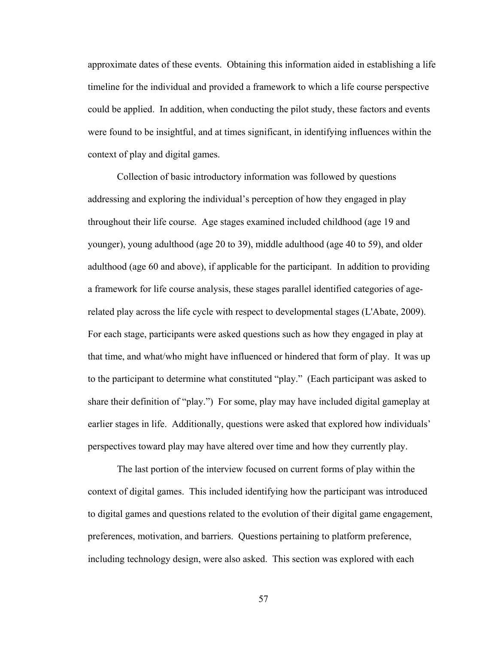approximate dates of these events. Obtaining this information aided in establishing a life timeline for the individual and provided a framework to which a life course perspective could be applied. In addition, when conducting the pilot study, these factors and events were found to be insightful, and at times significant, in identifying influences within the context of play and digital games.

Collection of basic introductory information was followed by questions addressing and exploring the individual's perception of how they engaged in play throughout their life course. Age stages examined included childhood (age 19 and younger), young adulthood (age 20 to 39), middle adulthood (age 40 to 59), and older adulthood (age 60 and above), if applicable for the participant. In addition to providing a framework for life course analysis, these stages parallel identified categories of agerelated play across the life cycle with respect to developmental stages (L'Abate, 2009). For each stage, participants were asked questions such as how they engaged in play at that time, and what/who might have influenced or hindered that form of play. It was up to the participant to determine what constituted "play." (Each participant was asked to share their definition of "play.") For some, play may have included digital gameplay at earlier stages in life. Additionally, questions were asked that explored how individuals' perspectives toward play may have altered over time and how they currently play.

The last portion of the interview focused on current forms of play within the context of digital games. This included identifying how the participant was introduced to digital games and questions related to the evolution of their digital game engagement, preferences, motivation, and barriers. Questions pertaining to platform preference, including technology design, were also asked. This section was explored with each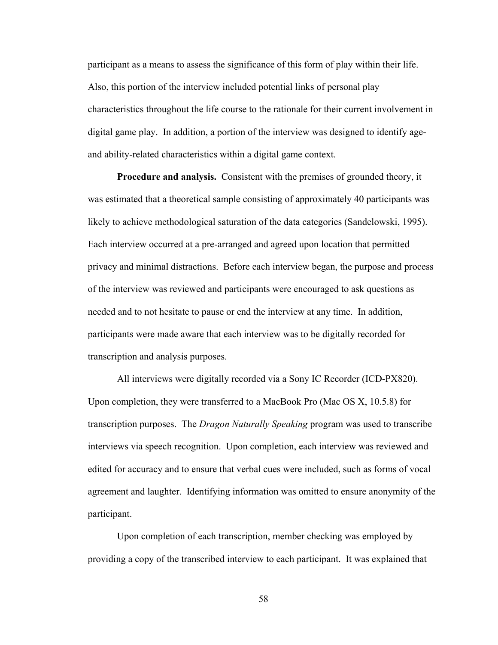participant as a means to assess the significance of this form of play within their life. Also, this portion of the interview included potential links of personal play characteristics throughout the life course to the rationale for their current involvement in digital game play. In addition, a portion of the interview was designed to identify ageand ability-related characteristics within a digital game context.

 **Procedure and analysis.** Consistent with the premises of grounded theory, it was estimated that a theoretical sample consisting of approximately 40 participants was likely to achieve methodological saturation of the data categories (Sandelowski, 1995). Each interview occurred at a pre-arranged and agreed upon location that permitted privacy and minimal distractions. Before each interview began, the purpose and process of the interview was reviewed and participants were encouraged to ask questions as needed and to not hesitate to pause or end the interview at any time. In addition, participants were made aware that each interview was to be digitally recorded for transcription and analysis purposes.

All interviews were digitally recorded via a Sony IC Recorder (ICD-PX820). Upon completion, they were transferred to a MacBook Pro (Mac OS X, 10.5.8) for transcription purposes. The *Dragon Naturally Speaking* program was used to transcribe interviews via speech recognition. Upon completion, each interview was reviewed and edited for accuracy and to ensure that verbal cues were included, such as forms of vocal agreement and laughter. Identifying information was omitted to ensure anonymity of the participant.

Upon completion of each transcription, member checking was employed by providing a copy of the transcribed interview to each participant. It was explained that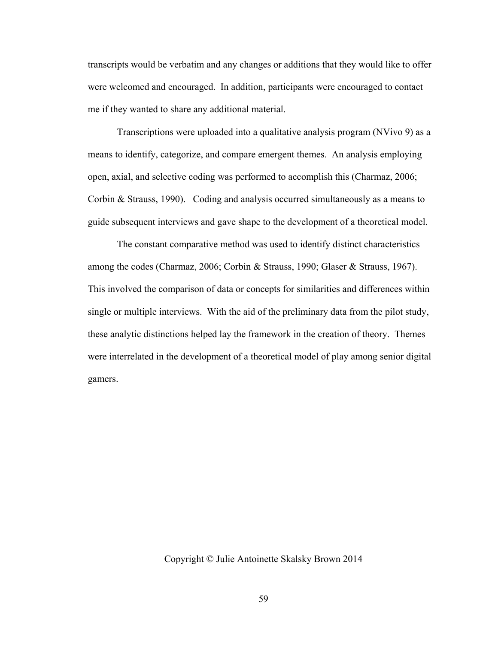transcripts would be verbatim and any changes or additions that they would like to offer were welcomed and encouraged. In addition, participants were encouraged to contact me if they wanted to share any additional material.

Transcriptions were uploaded into a qualitative analysis program (NVivo 9) as a means to identify, categorize, and compare emergent themes. An analysis employing open, axial, and selective coding was performed to accomplish this (Charmaz, 2006; Corbin & Strauss, 1990). Coding and analysis occurred simultaneously as a means to guide subsequent interviews and gave shape to the development of a theoretical model.

The constant comparative method was used to identify distinct characteristics among the codes (Charmaz, 2006; Corbin & Strauss, 1990; Glaser & Strauss, 1967). This involved the comparison of data or concepts for similarities and differences within single or multiple interviews. With the aid of the preliminary data from the pilot study, these analytic distinctions helped lay the framework in the creation of theory. Themes were interrelated in the development of a theoretical model of play among senior digital gamers.

## Copyright © Julie Antoinette Skalsky Brown 2014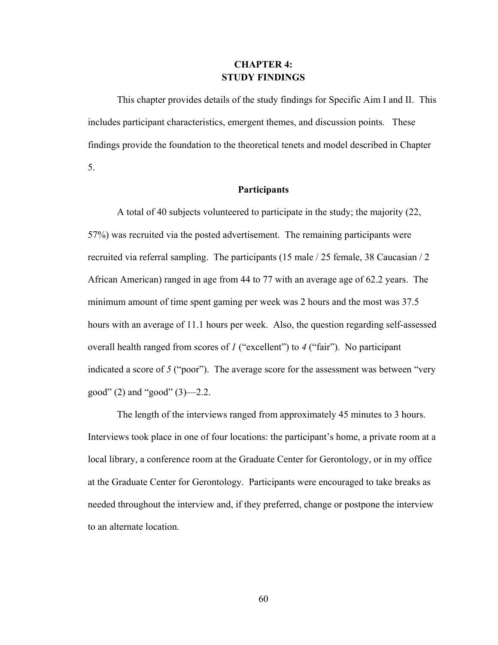# **CHAPTER 4: STUDY FINDINGS**

 This chapter provides details of the study findings for Specific Aim I and II. This includes participant characteristics, emergent themes, and discussion points. These findings provide the foundation to the theoretical tenets and model described in Chapter 5.

## **Participants**

 A total of 40 subjects volunteered to participate in the study; the majority (22, 57%) was recruited via the posted advertisement. The remaining participants were recruited via referral sampling. The participants (15 male / 25 female, 38 Caucasian / 2 African American) ranged in age from 44 to 77 with an average age of 62.2 years. The minimum amount of time spent gaming per week was 2 hours and the most was 37.5 hours with an average of 11.1 hours per week. Also, the question regarding self-assessed overall health ranged from scores of *1* ("excellent") to *4* ("fair"). No participant indicated a score of *5* ("poor"). The average score for the assessment was between "very good"  $(2)$  and "good"  $(3)$ —2.2.

 The length of the interviews ranged from approximately 45 minutes to 3 hours. Interviews took place in one of four locations: the participant's home, a private room at a local library, a conference room at the Graduate Center for Gerontology, or in my office at the Graduate Center for Gerontology. Participants were encouraged to take breaks as needed throughout the interview and, if they preferred, change or postpone the interview to an alternate location.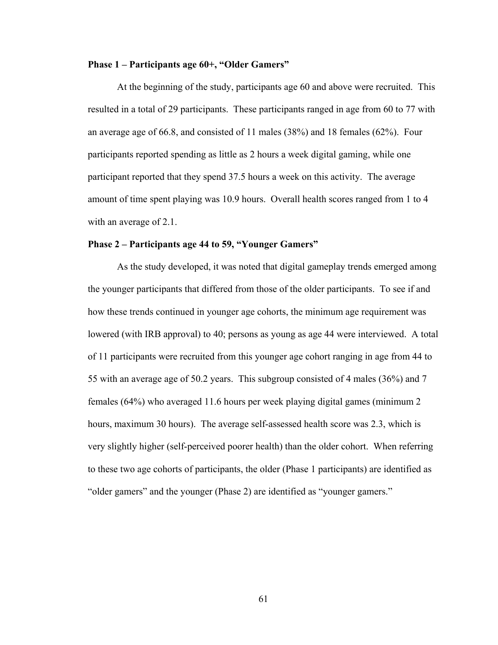### **Phase 1 – Participants age 60+, "Older Gamers"**

 At the beginning of the study, participants age 60 and above were recruited. This resulted in a total of 29 participants. These participants ranged in age from 60 to 77 with an average age of 66.8, and consisted of 11 males (38%) and 18 females (62%). Four participants reported spending as little as 2 hours a week digital gaming, while one participant reported that they spend 37.5 hours a week on this activity. The average amount of time spent playing was 10.9 hours. Overall health scores ranged from 1 to 4 with an average of 2.1.

# **Phase 2 – Participants age 44 to 59, "Younger Gamers"**

 As the study developed, it was noted that digital gameplay trends emerged among the younger participants that differed from those of the older participants. To see if and how these trends continued in younger age cohorts, the minimum age requirement was lowered (with IRB approval) to 40; persons as young as age 44 were interviewed. A total of 11 participants were recruited from this younger age cohort ranging in age from 44 to 55 with an average age of 50.2 years. This subgroup consisted of 4 males (36%) and 7 females (64%) who averaged 11.6 hours per week playing digital games (minimum 2 hours, maximum 30 hours). The average self-assessed health score was 2.3, which is very slightly higher (self-perceived poorer health) than the older cohort. When referring to these two age cohorts of participants, the older (Phase 1 participants) are identified as "older gamers" and the younger (Phase 2) are identified as "younger gamers."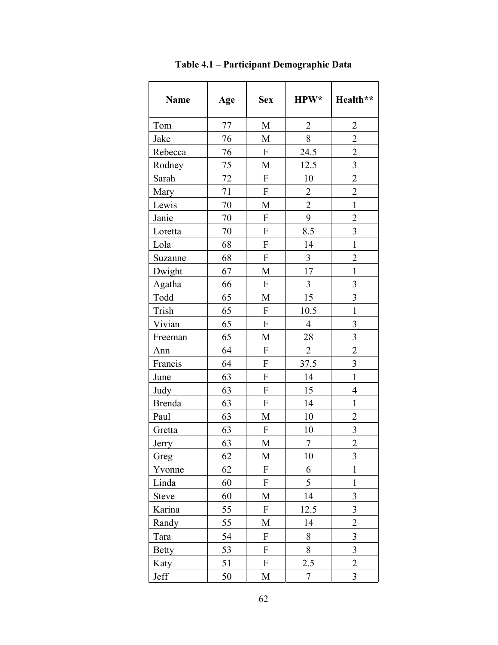| <b>Name</b>   | Age | <b>Sex</b>                | HPW*           | Health**                |
|---------------|-----|---------------------------|----------------|-------------------------|
| Tom           | 77  | M                         | $\overline{2}$ | $\overline{2}$          |
| Jake          | 76  | M                         | 8              | $\overline{2}$          |
| Rebecca       | 76  | $\mathbf F$               | 24.5           | $\overline{2}$          |
| Rodney        | 75  | M                         | 12.5           | $\overline{3}$          |
| Sarah         | 72  | $\boldsymbol{\mathrm{F}}$ | 10             | $\overline{c}$          |
| Mary          | 71  | $\boldsymbol{\mathrm{F}}$ | $\overline{2}$ | $\overline{c}$          |
| Lewis         | 70  | M                         | $\overline{2}$ | $\mathbf{1}$            |
| Janie         | 70  | ${\bf F}$                 | 9              | $\overline{2}$          |
| Loretta       | 70  | F                         | 8.5            | $\overline{\mathbf{3}}$ |
| Lola          | 68  | $\boldsymbol{\mathrm{F}}$ | 14             | $\mathbf{1}$            |
| Suzanne       | 68  | ${\bf F}$                 | $\overline{3}$ | $\overline{2}$          |
| Dwight        | 67  | M                         | 17             | $\mathbf{1}$            |
| Agatha        | 66  | $\boldsymbol{\mathrm{F}}$ | 3              | 3                       |
| Todd          | 65  | M                         | 15             | $\overline{\mathbf{3}}$ |
| Trish         | 65  | $\boldsymbol{\mathrm{F}}$ | 10.5           | $\mathbf{1}$            |
| Vivian        | 65  | $\boldsymbol{\mathrm{F}}$ | $\overline{4}$ | $\overline{\mathbf{3}}$ |
| Freeman       | 65  | M                         | 28             | 3                       |
| Ann           | 64  | $\boldsymbol{\mathrm{F}}$ | $\overline{2}$ | $\overline{2}$          |
| Francis       | 64  | $\boldsymbol{\mathrm{F}}$ | 37.5           | $\overline{\mathbf{3}}$ |
| June          | 63  | $\boldsymbol{\mathrm{F}}$ | 14             | $\mathbf{1}$            |
| Judy          | 63  | $\boldsymbol{\mathrm{F}}$ | 15             | $\overline{4}$          |
| <b>Brenda</b> | 63  | $\boldsymbol{\mathrm{F}}$ | 14             | $\mathbf{1}$            |
| Paul          | 63  | M                         | 10             | $\overline{2}$          |
| Gretta        | 63  | $\boldsymbol{\mathrm{F}}$ | 10             | $\overline{\mathbf{3}}$ |
| Jerry         | 63  | M                         | $\tau$         | $\overline{2}$          |
| Greg          | 62  | M                         | 10             | 3                       |
| Yvonne        | 62  | $\boldsymbol{\mathrm{F}}$ | 6              | $\mathbf{1}$            |
| Linda         | 60  | F                         | 5              | $\mathbf{1}$            |
| <b>Steve</b>  | 60  | M                         | 14             | 3                       |
| Karina        | 55  | $\boldsymbol{\mathrm{F}}$ | 12.5           | 3                       |
| Randy         | 55  | M                         | 14             | $\overline{2}$          |
| Tara          | 54  | $\boldsymbol{\mathrm{F}}$ | 8              | $\mathfrak{Z}$          |
| <b>Betty</b>  | 53  | $\boldsymbol{\mathrm{F}}$ | 8              | $\overline{\mathbf{3}}$ |
| Katy          | 51  | $\boldsymbol{\mathrm{F}}$ | 2.5            | $\overline{2}$          |
| Jeff          | 50  | M                         | $\tau$         | 3                       |

**Table 4.1 – Participant Demographic Data**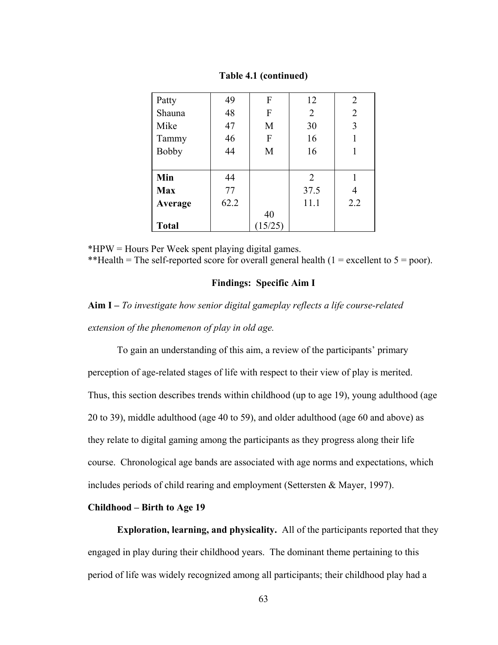| Patty        | 49   | F      | 12             | 2              |
|--------------|------|--------|----------------|----------------|
| Shauna       | 48   | F      | $\overline{2}$ | $\overline{2}$ |
| Mike         | 47   | M      | 30             | 3              |
| Tammy        | 46   | F      | 16             |                |
| <b>Bobby</b> | 44   | M      | 16             |                |
|              |      |        |                |                |
| Min          | 44   |        | 2              |                |
| <b>Max</b>   | 77   |        | 37.5           | 4              |
| Average      | 62.2 |        | 11.1           | 2.2            |
|              |      | 40     |                |                |
| <b>Total</b> |      | 15/25) |                |                |

**Table 4.1 (continued)** 

\*HPW = Hours Per Week spent playing digital games. \*\*Health = The self-reported score for overall general health  $(1 =$  excellent to  $5 =$  poor).

# **Findings: Specific Aim I**

**Aim I –** *To investigate how senior digital gameplay reflects a life course-related extension of the phenomenon of play in old age.* 

To gain an understanding of this aim, a review of the participants' primary perception of age-related stages of life with respect to their view of play is merited. Thus, this section describes trends within childhood (up to age 19), young adulthood (age 20 to 39), middle adulthood (age 40 to 59), and older adulthood (age 60 and above) as they relate to digital gaming among the participants as they progress along their life course. Chronological age bands are associated with age norms and expectations, which includes periods of child rearing and employment (Settersten & Mayer, 1997).

# **Childhood – Birth to Age 19**

 **Exploration, learning, and physicality.** All of the participants reported that they engaged in play during their childhood years. The dominant theme pertaining to this period of life was widely recognized among all participants; their childhood play had a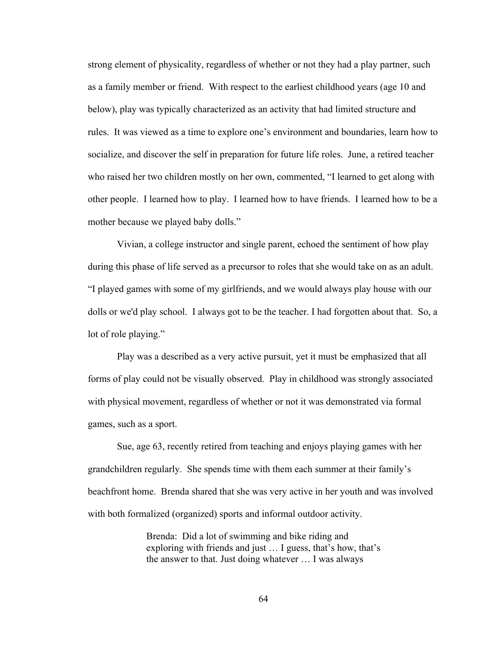strong element of physicality, regardless of whether or not they had a play partner, such as a family member or friend. With respect to the earliest childhood years (age 10 and below), play was typically characterized as an activity that had limited structure and rules. It was viewed as a time to explore one's environment and boundaries, learn how to socialize, and discover the self in preparation for future life roles. June, a retired teacher who raised her two children mostly on her own, commented, "I learned to get along with other people. I learned how to play. I learned how to have friends. I learned how to be a mother because we played baby dolls."

 Vivian, a college instructor and single parent, echoed the sentiment of how play during this phase of life served as a precursor to roles that she would take on as an adult. "I played games with some of my girlfriends, and we would always play house with our dolls or we'd play school. I always got to be the teacher. I had forgotten about that. So, a lot of role playing."

 Play was a described as a very active pursuit, yet it must be emphasized that all forms of play could not be visually observed. Play in childhood was strongly associated with physical movement, regardless of whether or not it was demonstrated via formal games, such as a sport.

 Sue, age 63, recently retired from teaching and enjoys playing games with her grandchildren regularly. She spends time with them each summer at their family's beachfront home. Brenda shared that she was very active in her youth and was involved with both formalized (organized) sports and informal outdoor activity.

> Brenda: Did a lot of swimming and bike riding and exploring with friends and just … I guess, that's how, that's the answer to that. Just doing whatever … I was always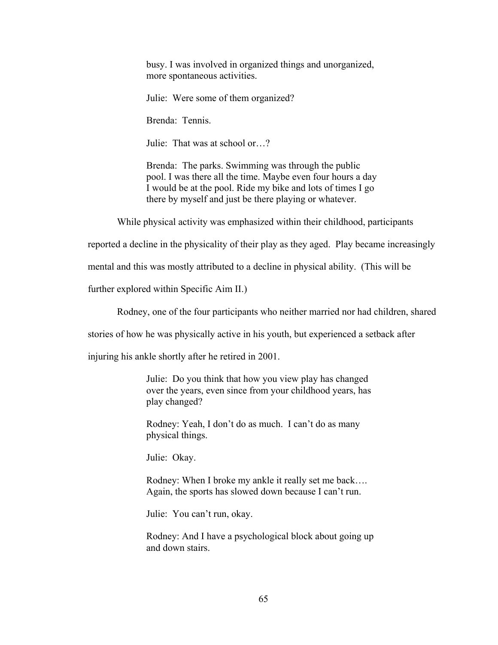busy. I was involved in organized things and unorganized, more spontaneous activities.

Julie: Were some of them organized?

Brenda: Tennis.

Julie: That was at school or…?

Brenda: The parks. Swimming was through the public pool. I was there all the time. Maybe even four hours a day I would be at the pool. Ride my bike and lots of times I go there by myself and just be there playing or whatever.

While physical activity was emphasized within their childhood, participants

reported a decline in the physicality of their play as they aged. Play became increasingly

mental and this was mostly attributed to a decline in physical ability. (This will be

further explored within Specific Aim II.)

Rodney, one of the four participants who neither married nor had children, shared

stories of how he was physically active in his youth, but experienced a setback after

injuring his ankle shortly after he retired in 2001.

Julie: Do you think that how you view play has changed over the years, even since from your childhood years, has play changed?

Rodney: Yeah, I don't do as much. I can't do as many physical things.

Julie: Okay.

Rodney: When I broke my ankle it really set me back…. Again, the sports has slowed down because I can't run.

Julie: You can't run, okay.

Rodney: And I have a psychological block about going up and down stairs.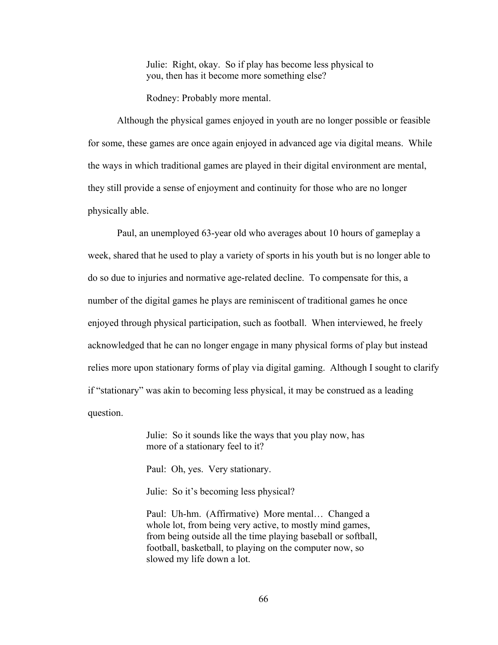Julie: Right, okay. So if play has become less physical to you, then has it become more something else?

Rodney: Probably more mental.

 Although the physical games enjoyed in youth are no longer possible or feasible for some, these games are once again enjoyed in advanced age via digital means. While the ways in which traditional games are played in their digital environment are mental, they still provide a sense of enjoyment and continuity for those who are no longer physically able.

 Paul, an unemployed 63-year old who averages about 10 hours of gameplay a week, shared that he used to play a variety of sports in his youth but is no longer able to do so due to injuries and normative age-related decline. To compensate for this, a number of the digital games he plays are reminiscent of traditional games he once enjoyed through physical participation, such as football. When interviewed, he freely acknowledged that he can no longer engage in many physical forms of play but instead relies more upon stationary forms of play via digital gaming. Although I sought to clarify if "stationary" was akin to becoming less physical, it may be construed as a leading question.

> Julie: So it sounds like the ways that you play now, has more of a stationary feel to it?

Paul: Oh, yes. Very stationary.

Julie: So it's becoming less physical?

 Paul: Uh-hm. (Affirmative) More mental… Changed a whole lot, from being very active, to mostly mind games, from being outside all the time playing baseball or softball, football, basketball, to playing on the computer now, so slowed my life down a lot.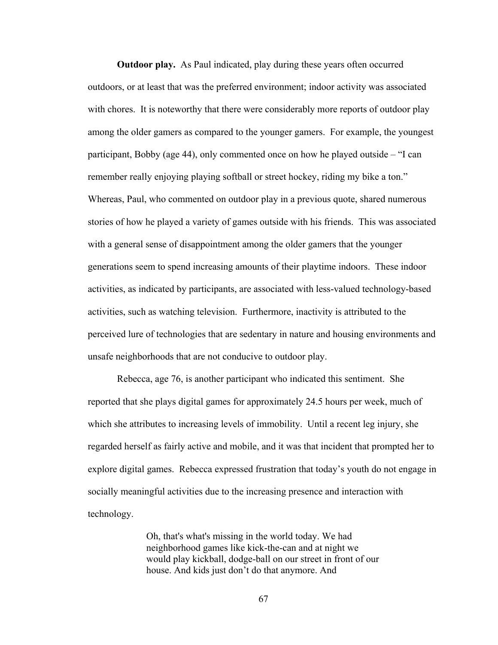**Outdoor play.** As Paul indicated, play during these years often occurred outdoors, or at least that was the preferred environment; indoor activity was associated with chores. It is noteworthy that there were considerably more reports of outdoor play among the older gamers as compared to the younger gamers. For example, the youngest participant, Bobby (age 44), only commented once on how he played outside – "I can remember really enjoying playing softball or street hockey, riding my bike a ton." Whereas, Paul, who commented on outdoor play in a previous quote, shared numerous stories of how he played a variety of games outside with his friends. This was associated with a general sense of disappointment among the older gamers that the younger generations seem to spend increasing amounts of their playtime indoors. These indoor activities, as indicated by participants, are associated with less-valued technology-based activities, such as watching television. Furthermore, inactivity is attributed to the perceived lure of technologies that are sedentary in nature and housing environments and unsafe neighborhoods that are not conducive to outdoor play.

Rebecca, age 76, is another participant who indicated this sentiment. She reported that she plays digital games for approximately 24.5 hours per week, much of which she attributes to increasing levels of immobility. Until a recent leg injury, she regarded herself as fairly active and mobile, and it was that incident that prompted her to explore digital games. Rebecca expressed frustration that today's youth do not engage in socially meaningful activities due to the increasing presence and interaction with technology.

> Oh, that's what's missing in the world today. We had neighborhood games like kick-the-can and at night we would play kickball, dodge-ball on our street in front of our house. And kids just don't do that anymore. And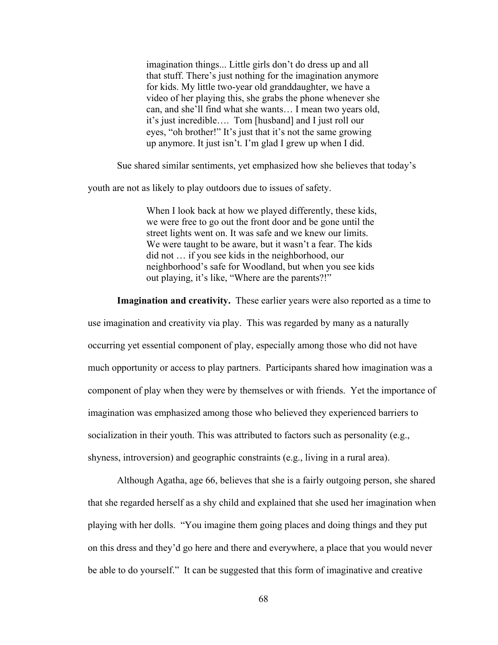imagination things... Little girls don't do dress up and all that stuff. There's just nothing for the imagination anymore for kids. My little two-year old granddaughter, we have a video of her playing this, she grabs the phone whenever she can, and she'll find what she wants… I mean two years old, it's just incredible…. Tom [husband] and I just roll our eyes, "oh brother!" It's just that it's not the same growing up anymore. It just isn't. I'm glad I grew up when I did.

Sue shared similar sentiments, yet emphasized how she believes that today's

youth are not as likely to play outdoors due to issues of safety.

When I look back at how we played differently, these kids, we were free to go out the front door and be gone until the street lights went on. It was safe and we knew our limits. We were taught to be aware, but it wasn't a fear. The kids did not … if you see kids in the neighborhood, our neighborhood's safe for Woodland, but when you see kids out playing, it's like, "Where are the parents?!"

**Imagination and creativity.** These earlier years were also reported as a time to

use imagination and creativity via play. This was regarded by many as a naturally occurring yet essential component of play, especially among those who did not have much opportunity or access to play partners. Participants shared how imagination was a component of play when they were by themselves or with friends. Yet the importance of imagination was emphasized among those who believed they experienced barriers to socialization in their youth. This was attributed to factors such as personality (e.g., shyness, introversion) and geographic constraints (e.g., living in a rural area).

Although Agatha, age 66, believes that she is a fairly outgoing person, she shared that she regarded herself as a shy child and explained that she used her imagination when playing with her dolls. "You imagine them going places and doing things and they put on this dress and they'd go here and there and everywhere, a place that you would never be able to do yourself." It can be suggested that this form of imaginative and creative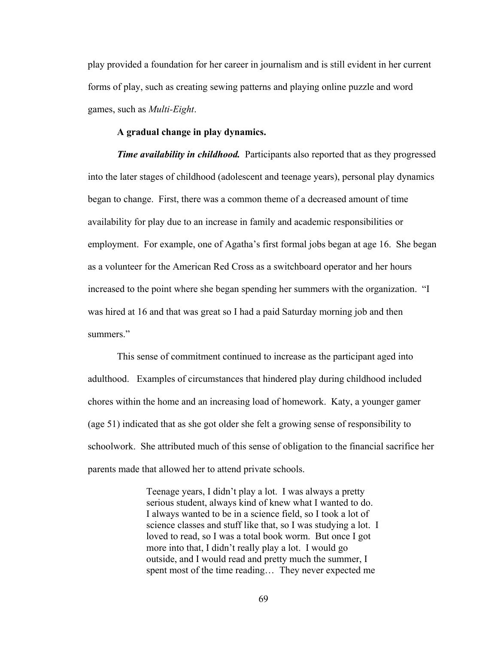play provided a foundation for her career in journalism and is still evident in her current forms of play, such as creating sewing patterns and playing online puzzle and word games, such as *Multi-Eight*.

# **A gradual change in play dynamics.**

*Time availability in childhood.* Participants also reported that as they progressed into the later stages of childhood (adolescent and teenage years), personal play dynamics began to change. First, there was a common theme of a decreased amount of time availability for play due to an increase in family and academic responsibilities or employment. For example, one of Agatha's first formal jobs began at age 16. She began as a volunteer for the American Red Cross as a switchboard operator and her hours increased to the point where she began spending her summers with the organization. "I was hired at 16 and that was great so I had a paid Saturday morning job and then summers<sup>"</sup>

 This sense of commitment continued to increase as the participant aged into adulthood. Examples of circumstances that hindered play during childhood included chores within the home and an increasing load of homework. Katy, a younger gamer (age 51) indicated that as she got older she felt a growing sense of responsibility to schoolwork. She attributed much of this sense of obligation to the financial sacrifice her parents made that allowed her to attend private schools.

> Teenage years, I didn't play a lot. I was always a pretty serious student, always kind of knew what I wanted to do. I always wanted to be in a science field, so I took a lot of science classes and stuff like that, so I was studying a lot. I loved to read, so I was a total book worm. But once I got more into that, I didn't really play a lot. I would go outside, and I would read and pretty much the summer, I spent most of the time reading… They never expected me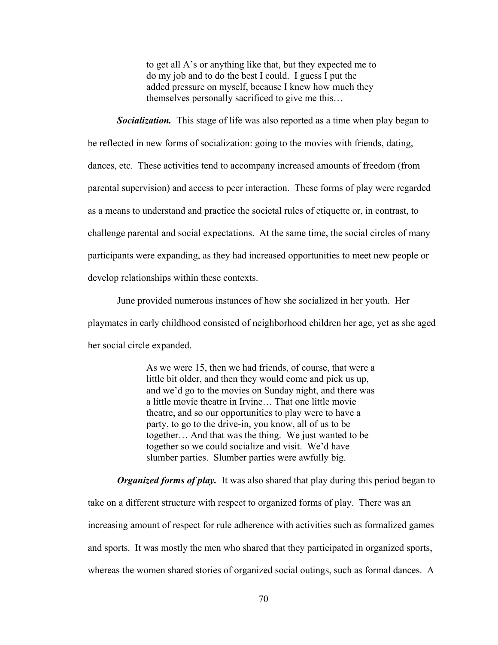to get all A's or anything like that, but they expected me to do my job and to do the best I could. I guess I put the added pressure on myself, because I knew how much they themselves personally sacrificed to give me this…

*Socialization.* This stage of life was also reported as a time when play began to be reflected in new forms of socialization: going to the movies with friends, dating, dances, etc. These activities tend to accompany increased amounts of freedom (from parental supervision) and access to peer interaction. These forms of play were regarded as a means to understand and practice the societal rules of etiquette or, in contrast, to challenge parental and social expectations. At the same time, the social circles of many participants were expanding, as they had increased opportunities to meet new people or develop relationships within these contexts.

June provided numerous instances of how she socialized in her youth. Her playmates in early childhood consisted of neighborhood children her age, yet as she aged her social circle expanded.

> As we were 15, then we had friends, of course, that were a little bit older, and then they would come and pick us up, and we'd go to the movies on Sunday night, and there was a little movie theatre in Irvine… That one little movie theatre, and so our opportunities to play were to have a party, to go to the drive-in, you know, all of us to be together… And that was the thing. We just wanted to be together so we could socialize and visit. We'd have slumber parties. Slumber parties were awfully big.

*Organized forms of play.* It was also shared that play during this period began to take on a different structure with respect to organized forms of play. There was an increasing amount of respect for rule adherence with activities such as formalized games and sports. It was mostly the men who shared that they participated in organized sports, whereas the women shared stories of organized social outings, such as formal dances. A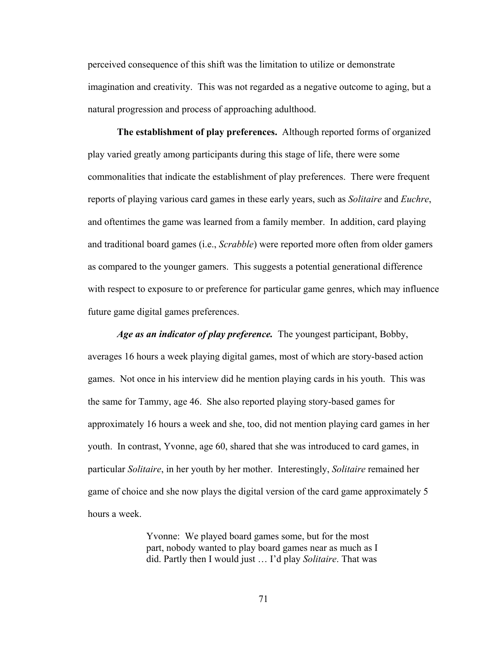perceived consequence of this shift was the limitation to utilize or demonstrate imagination and creativity. This was not regarded as a negative outcome to aging, but a natural progression and process of approaching adulthood.

**The establishment of play preferences.** Although reported forms of organized play varied greatly among participants during this stage of life, there were some commonalities that indicate the establishment of play preferences. There were frequent reports of playing various card games in these early years, such as *Solitaire* and *Euchre*, and oftentimes the game was learned from a family member. In addition, card playing and traditional board games (i.e., *Scrabble*) were reported more often from older gamers as compared to the younger gamers. This suggests a potential generational difference with respect to exposure to or preference for particular game genres, which may influence future game digital games preferences.

*Age as an indicator of play preference.* The youngest participant, Bobby, averages 16 hours a week playing digital games, most of which are story-based action games. Not once in his interview did he mention playing cards in his youth. This was the same for Tammy, age 46. She also reported playing story-based games for approximately 16 hours a week and she, too, did not mention playing card games in her youth. In contrast, Yvonne, age 60, shared that she was introduced to card games, in particular *Solitaire*, in her youth by her mother. Interestingly, *Solitaire* remained her game of choice and she now plays the digital version of the card game approximately 5 hours a week.

> Yvonne: We played board games some, but for the most part, nobody wanted to play board games near as much as I did. Partly then I would just … I'd play *Solitaire*. That was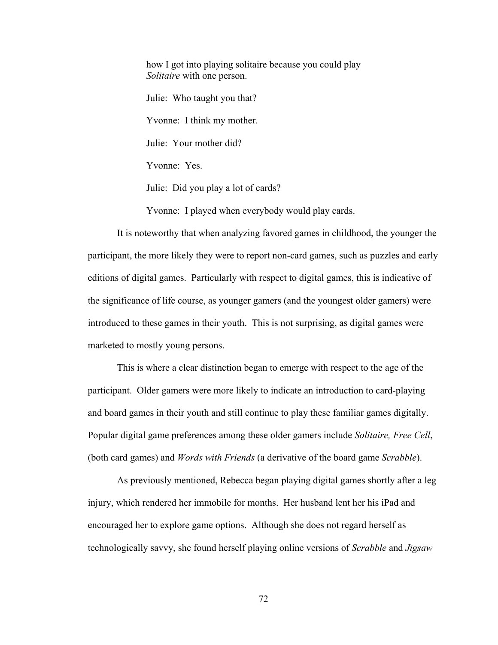how I got into playing solitaire because you could play *Solitaire* with one person. Julie: Who taught you that? Yvonne: I think my mother. Julie: Your mother did? Yvonne: Yes. Julie: Did you play a lot of cards?

Yvonne: I played when everybody would play cards.

It is noteworthy that when analyzing favored games in childhood, the younger the participant, the more likely they were to report non-card games, such as puzzles and early editions of digital games. Particularly with respect to digital games, this is indicative of the significance of life course, as younger gamers (and the youngest older gamers) were introduced to these games in their youth. This is not surprising, as digital games were marketed to mostly young persons.

This is where a clear distinction began to emerge with respect to the age of the participant. Older gamers were more likely to indicate an introduction to card-playing and board games in their youth and still continue to play these familiar games digitally. Popular digital game preferences among these older gamers include *Solitaire, Free Cell*, (both card games) and *Words with Friends* (a derivative of the board game *Scrabble*).

As previously mentioned, Rebecca began playing digital games shortly after a leg injury, which rendered her immobile for months. Her husband lent her his iPad and encouraged her to explore game options. Although she does not regard herself as technologically savvy, she found herself playing online versions of *Scrabble* and *Jigsaw*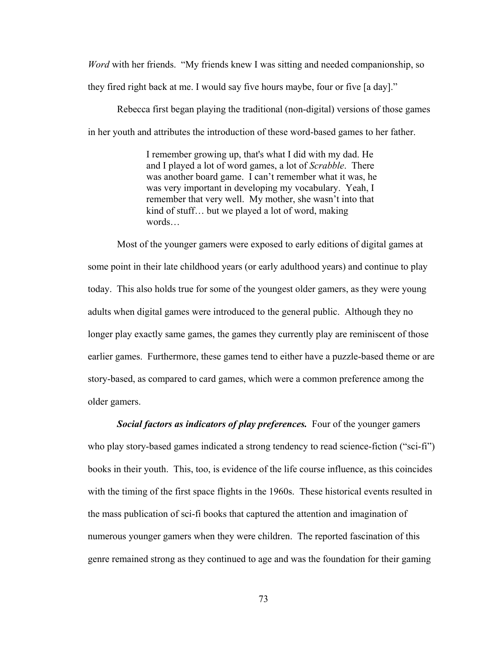*Word* with her friends. "My friends knew I was sitting and needed companionship, so they fired right back at me. I would say five hours maybe, four or five [a day]."

Rebecca first began playing the traditional (non-digital) versions of those games in her youth and attributes the introduction of these word-based games to her father.

> I remember growing up, that's what I did with my dad. He and I played a lot of word games, a lot of *Scrabble*. There was another board game. I can't remember what it was, he was very important in developing my vocabulary. Yeah, I remember that very well. My mother, she wasn't into that kind of stuff… but we played a lot of word, making words…

 Most of the younger gamers were exposed to early editions of digital games at some point in their late childhood years (or early adulthood years) and continue to play today. This also holds true for some of the youngest older gamers, as they were young adults when digital games were introduced to the general public. Although they no longer play exactly same games, the games they currently play are reminiscent of those earlier games. Furthermore, these games tend to either have a puzzle-based theme or are story-based, as compared to card games, which were a common preference among the older gamers.

*Social factors as indicators of play preferences.* Four of the younger gamers who play story-based games indicated a strong tendency to read science-fiction ("sci-fi") books in their youth. This, too, is evidence of the life course influence, as this coincides with the timing of the first space flights in the 1960s. These historical events resulted in the mass publication of sci-fi books that captured the attention and imagination of numerous younger gamers when they were children. The reported fascination of this genre remained strong as they continued to age and was the foundation for their gaming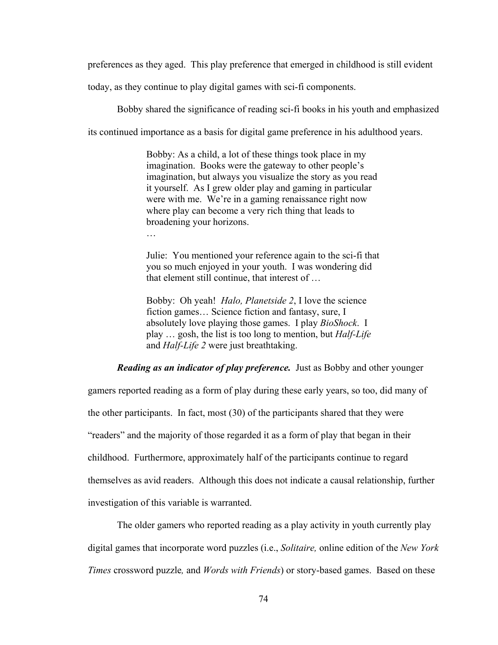preferences as they aged. This play preference that emerged in childhood is still evident

today, as they continue to play digital games with sci-fi components.

Bobby shared the significance of reading sci-fi books in his youth and emphasized

its continued importance as a basis for digital game preference in his adulthood years.

Bobby: As a child, a lot of these things took place in my imagination. Books were the gateway to other people's imagination, but always you visualize the story as you read it yourself. As I grew older play and gaming in particular were with me. We're in a gaming renaissance right now where play can become a very rich thing that leads to broadening your horizons.

…

Julie: You mentioned your reference again to the sci-fi that you so much enjoyed in your youth. I was wondering did that element still continue, that interest of …

Bobby: Oh yeah! *Halo, Planetside 2*, I love the science fiction games… Science fiction and fantasy, sure, I absolutely love playing those games. I play *BioShock*. I play … gosh, the list is too long to mention, but *Half-Life* and *Half-Life 2* were just breathtaking.

*Reading as an indicator of play preference.* Just as Bobby and other younger

gamers reported reading as a form of play during these early years, so too, did many of

the other participants. In fact, most (30) of the participants shared that they were

"readers" and the majority of those regarded it as a form of play that began in their

childhood. Furthermore, approximately half of the participants continue to regard

themselves as avid readers. Although this does not indicate a causal relationship, further

investigation of this variable is warranted.

The older gamers who reported reading as a play activity in youth currently play

digital games that incorporate word puzzles (i.e., *Solitaire,* online edition of the *New York* 

*Times* crossword puzzle*,* and *Words with Friends*) or story-based games. Based on these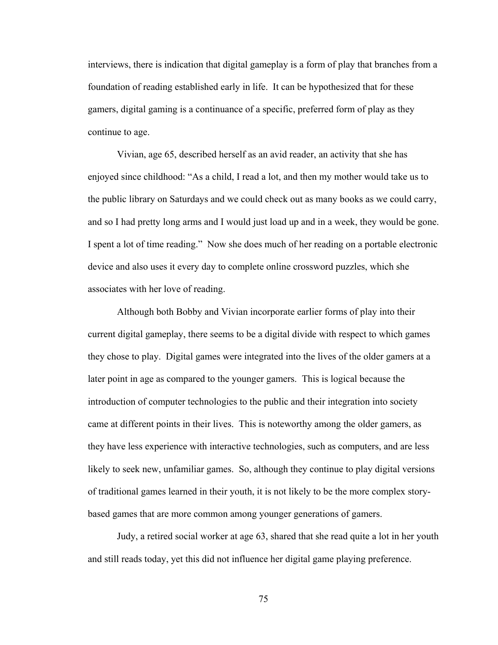interviews, there is indication that digital gameplay is a form of play that branches from a foundation of reading established early in life. It can be hypothesized that for these gamers, digital gaming is a continuance of a specific, preferred form of play as they continue to age.

Vivian, age 65, described herself as an avid reader, an activity that she has enjoyed since childhood: "As a child, I read a lot, and then my mother would take us to the public library on Saturdays and we could check out as many books as we could carry, and so I had pretty long arms and I would just load up and in a week, they would be gone. I spent a lot of time reading." Now she does much of her reading on a portable electronic device and also uses it every day to complete online crossword puzzles, which she associates with her love of reading.

Although both Bobby and Vivian incorporate earlier forms of play into their current digital gameplay, there seems to be a digital divide with respect to which games they chose to play. Digital games were integrated into the lives of the older gamers at a later point in age as compared to the younger gamers. This is logical because the introduction of computer technologies to the public and their integration into society came at different points in their lives. This is noteworthy among the older gamers, as they have less experience with interactive technologies, such as computers, and are less likely to seek new, unfamiliar games. So, although they continue to play digital versions of traditional games learned in their youth, it is not likely to be the more complex storybased games that are more common among younger generations of gamers.

Judy, a retired social worker at age 63, shared that she read quite a lot in her youth and still reads today, yet this did not influence her digital game playing preference.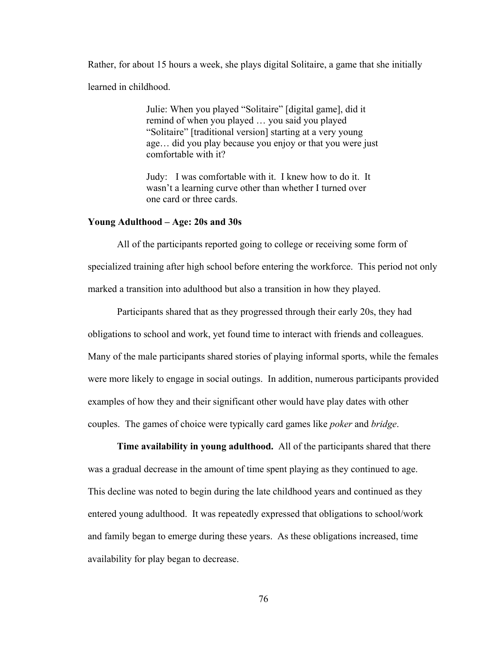Rather, for about 15 hours a week, she plays digital Solitaire, a game that she initially learned in childhood.

> Julie: When you played "Solitaire" [digital game], did it remind of when you played … you said you played "Solitaire" [traditional version] starting at a very young age… did you play because you enjoy or that you were just comfortable with it?

Judy: I was comfortable with it. I knew how to do it. It wasn't a learning curve other than whether I turned over one card or three cards.

## **Young Adulthood – Age: 20s and 30s**

 All of the participants reported going to college or receiving some form of specialized training after high school before entering the workforce. This period not only marked a transition into adulthood but also a transition in how they played.

 Participants shared that as they progressed through their early 20s, they had obligations to school and work, yet found time to interact with friends and colleagues. Many of the male participants shared stories of playing informal sports, while the females were more likely to engage in social outings. In addition, numerous participants provided examples of how they and their significant other would have play dates with other couples. The games of choice were typically card games like *poker* and *bridge*.

**Time availability in young adulthood.** All of the participants shared that there was a gradual decrease in the amount of time spent playing as they continued to age. This decline was noted to begin during the late childhood years and continued as they entered young adulthood. It was repeatedly expressed that obligations to school/work and family began to emerge during these years. As these obligations increased, time availability for play began to decrease.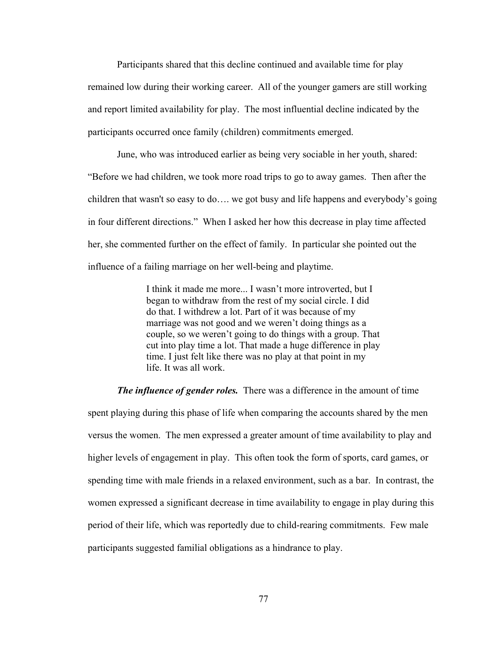Participants shared that this decline continued and available time for play remained low during their working career. All of the younger gamers are still working and report limited availability for play. The most influential decline indicated by the participants occurred once family (children) commitments emerged.

June, who was introduced earlier as being very sociable in her youth, shared: "Before we had children, we took more road trips to go to away games. Then after the children that wasn't so easy to do…. we got busy and life happens and everybody's going in four different directions." When I asked her how this decrease in play time affected her, she commented further on the effect of family. In particular she pointed out the influence of a failing marriage on her well-being and playtime.

> I think it made me more... I wasn't more introverted, but I began to withdraw from the rest of my social circle. I did do that. I withdrew a lot. Part of it was because of my marriage was not good and we weren't doing things as a couple, so we weren't going to do things with a group. That cut into play time a lot. That made a huge difference in play time. I just felt like there was no play at that point in my life. It was all work.

*The influence of gender roles.* There was a difference in the amount of time spent playing during this phase of life when comparing the accounts shared by the men versus the women. The men expressed a greater amount of time availability to play and higher levels of engagement in play. This often took the form of sports, card games, or spending time with male friends in a relaxed environment, such as a bar. In contrast, the women expressed a significant decrease in time availability to engage in play during this period of their life, which was reportedly due to child-rearing commitments. Few male participants suggested familial obligations as a hindrance to play.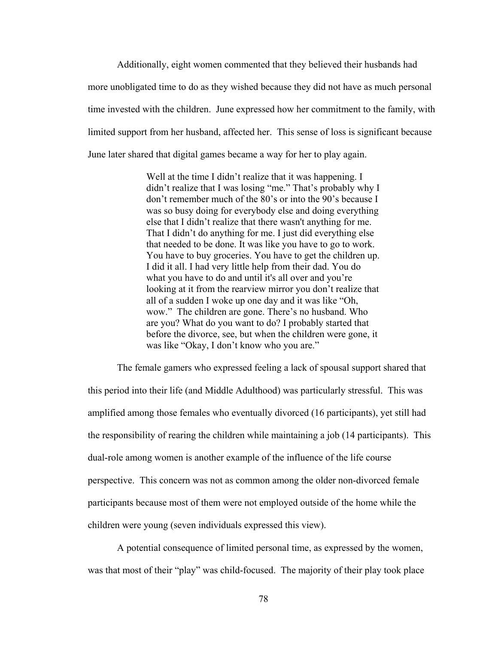Additionally, eight women commented that they believed their husbands had more unobligated time to do as they wished because they did not have as much personal time invested with the children. June expressed how her commitment to the family, with limited support from her husband, affected her. This sense of loss is significant because June later shared that digital games became a way for her to play again.

> Well at the time I didn't realize that it was happening. I didn't realize that I was losing "me." That's probably why I don't remember much of the 80's or into the 90's because I was so busy doing for everybody else and doing everything else that I didn't realize that there wasn't anything for me. That I didn't do anything for me. I just did everything else that needed to be done. It was like you have to go to work. You have to buy groceries. You have to get the children up. I did it all. I had very little help from their dad. You do what you have to do and until it's all over and you're looking at it from the rearview mirror you don't realize that all of a sudden I woke up one day and it was like "Oh, wow." The children are gone. There's no husband. Who are you? What do you want to do? I probably started that before the divorce, see, but when the children were gone, it was like "Okay, I don't know who you are."

 The female gamers who expressed feeling a lack of spousal support shared that this period into their life (and Middle Adulthood) was particularly stressful. This was amplified among those females who eventually divorced (16 participants), yet still had the responsibility of rearing the children while maintaining a job (14 participants). This dual-role among women is another example of the influence of the life course perspective. This concern was not as common among the older non-divorced female participants because most of them were not employed outside of the home while the children were young (seven individuals expressed this view).

A potential consequence of limited personal time, as expressed by the women, was that most of their "play" was child-focused. The majority of their play took place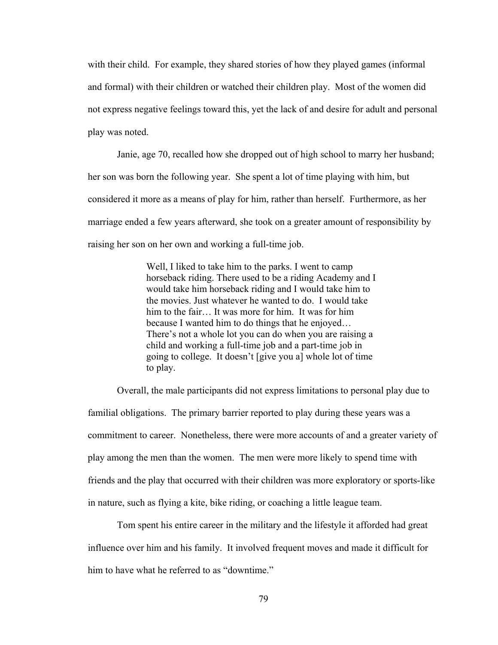with their child. For example, they shared stories of how they played games (informal and formal) with their children or watched their children play. Most of the women did not express negative feelings toward this, yet the lack of and desire for adult and personal play was noted.

Janie, age 70, recalled how she dropped out of high school to marry her husband; her son was born the following year. She spent a lot of time playing with him, but considered it more as a means of play for him, rather than herself. Furthermore, as her marriage ended a few years afterward, she took on a greater amount of responsibility by raising her son on her own and working a full-time job.

> Well, I liked to take him to the parks. I went to camp horseback riding. There used to be a riding Academy and I would take him horseback riding and I would take him to the movies. Just whatever he wanted to do. I would take him to the fair… It was more for him. It was for him because I wanted him to do things that he enjoyed… There's not a whole lot you can do when you are raising a child and working a full-time job and a part-time job in going to college. It doesn't [give you a] whole lot of time to play.

 Overall, the male participants did not express limitations to personal play due to familial obligations. The primary barrier reported to play during these years was a commitment to career. Nonetheless, there were more accounts of and a greater variety of play among the men than the women. The men were more likely to spend time with friends and the play that occurred with their children was more exploratory or sports-like in nature, such as flying a kite, bike riding, or coaching a little league team.

 Tom spent his entire career in the military and the lifestyle it afforded had great influence over him and his family. It involved frequent moves and made it difficult for him to have what he referred to as "downtime."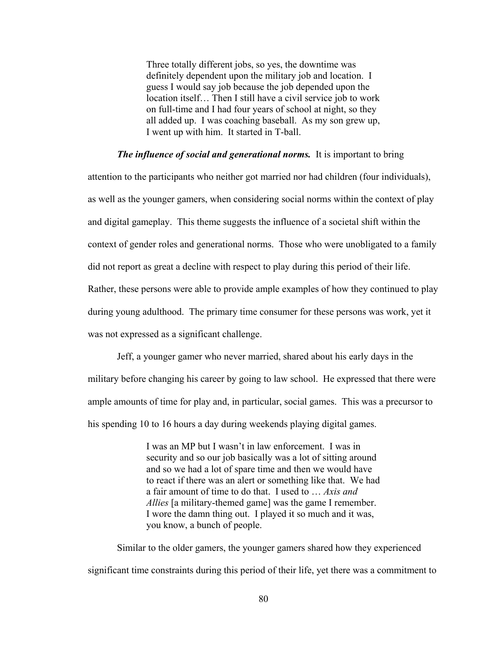Three totally different jobs, so yes, the downtime was definitely dependent upon the military job and location. I guess I would say job because the job depended upon the location itself… Then I still have a civil service job to work on full-time and I had four years of school at night, so they all added up. I was coaching baseball. As my son grew up, I went up with him. It started in T-ball.

#### *The influence of social and generational norms.* It is important to bring

attention to the participants who neither got married nor had children (four individuals), as well as the younger gamers, when considering social norms within the context of play and digital gameplay. This theme suggests the influence of a societal shift within the context of gender roles and generational norms. Those who were unobligated to a family did not report as great a decline with respect to play during this period of their life. Rather, these persons were able to provide ample examples of how they continued to play during young adulthood. The primary time consumer for these persons was work, yet it

was not expressed as a significant challenge.

 Jeff, a younger gamer who never married, shared about his early days in the military before changing his career by going to law school. He expressed that there were ample amounts of time for play and, in particular, social games. This was a precursor to his spending 10 to 16 hours a day during weekends playing digital games.

> I was an MP but I wasn't in law enforcement. I was in security and so our job basically was a lot of sitting around and so we had a lot of spare time and then we would have to react if there was an alert or something like that. We had a fair amount of time to do that. I used to … *Axis and Allies* [a military-themed game] was the game I remember. I wore the damn thing out. I played it so much and it was, you know, a bunch of people.

 Similar to the older gamers, the younger gamers shared how they experienced significant time constraints during this period of their life, yet there was a commitment to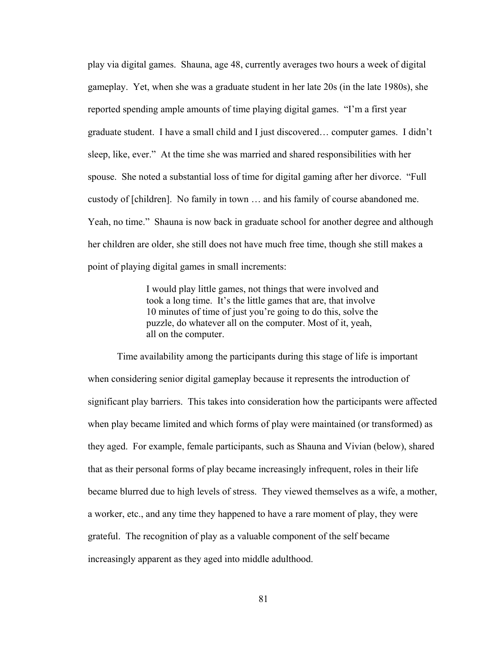play via digital games. Shauna, age 48, currently averages two hours a week of digital gameplay. Yet, when she was a graduate student in her late 20s (in the late 1980s), she reported spending ample amounts of time playing digital games. "I'm a first year graduate student. I have a small child and I just discovered… computer games. I didn't sleep, like, ever." At the time she was married and shared responsibilities with her spouse. She noted a substantial loss of time for digital gaming after her divorce. "Full custody of [children]. No family in town … and his family of course abandoned me. Yeah, no time." Shauna is now back in graduate school for another degree and although her children are older, she still does not have much free time, though she still makes a point of playing digital games in small increments:

> I would play little games, not things that were involved and took a long time. It's the little games that are, that involve 10 minutes of time of just you're going to do this, solve the puzzle, do whatever all on the computer. Most of it, yeah, all on the computer.

 Time availability among the participants during this stage of life is important when considering senior digital gameplay because it represents the introduction of significant play barriers. This takes into consideration how the participants were affected when play became limited and which forms of play were maintained (or transformed) as they aged. For example, female participants, such as Shauna and Vivian (below), shared that as their personal forms of play became increasingly infrequent, roles in their life became blurred due to high levels of stress. They viewed themselves as a wife, a mother, a worker, etc., and any time they happened to have a rare moment of play, they were grateful. The recognition of play as a valuable component of the self became increasingly apparent as they aged into middle adulthood.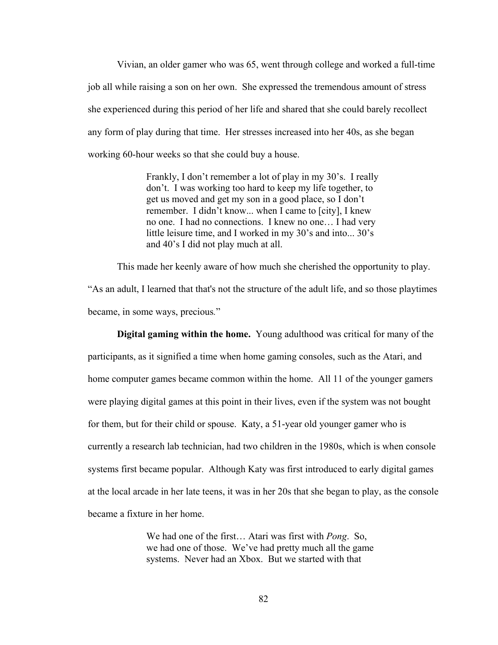Vivian, an older gamer who was 65, went through college and worked a full-time job all while raising a son on her own. She expressed the tremendous amount of stress she experienced during this period of her life and shared that she could barely recollect any form of play during that time. Her stresses increased into her 40s, as she began working 60-hour weeks so that she could buy a house.

> Frankly, I don't remember a lot of play in my 30's. I really don't. I was working too hard to keep my life together, to get us moved and get my son in a good place, so I don't remember. I didn't know... when I came to [city], I knew no one. I had no connections. I knew no one… I had very little leisure time, and I worked in my 30's and into... 30's and 40's I did not play much at all.

This made her keenly aware of how much she cherished the opportunity to play.

"As an adult, I learned that that's not the structure of the adult life, and so those playtimes became, in some ways, precious*.*"

 **Digital gaming within the home.** Young adulthood was critical for many of the participants, as it signified a time when home gaming consoles, such as the Atari, and home computer games became common within the home. All 11 of the younger gamers were playing digital games at this point in their lives, even if the system was not bought for them, but for their child or spouse. Katy, a 51-year old younger gamer who is currently a research lab technician, had two children in the 1980s, which is when console systems first became popular. Although Katy was first introduced to early digital games at the local arcade in her late teens, it was in her 20s that she began to play, as the console became a fixture in her home.

> We had one of the first… Atari was first with *Pong*. So, we had one of those. We've had pretty much all the game systems. Never had an Xbox. But we started with that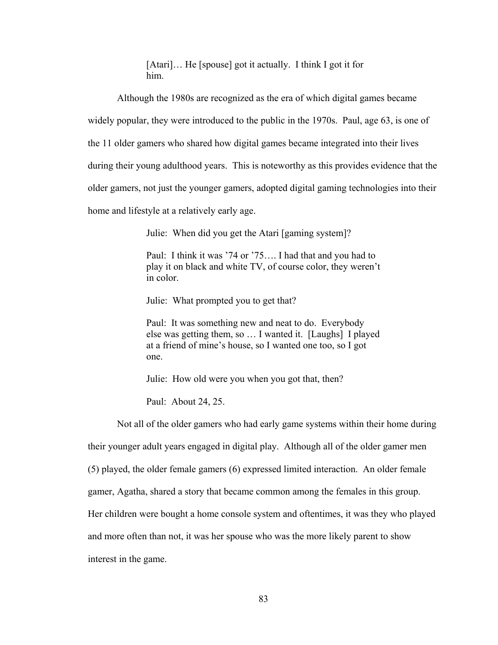[Atari]… He [spouse] got it actually. I think I got it for him.

Although the 1980s are recognized as the era of which digital games became

widely popular, they were introduced to the public in the 1970s. Paul, age 63, is one of

the 11 older gamers who shared how digital games became integrated into their lives

during their young adulthood years. This is noteworthy as this provides evidence that the

older gamers, not just the younger gamers, adopted digital gaming technologies into their

home and lifestyle at a relatively early age.

Julie: When did you get the Atari [gaming system]?

Paul: I think it was '74 or '75…. I had that and you had to play it on black and white TV, of course color, they weren't in color.

Julie: What prompted you to get that?

Paul: It was something new and neat to do. Everybody else was getting them, so … I wanted it. [Laughs] I played at a friend of mine's house, so I wanted one too, so I got one.

Julie: How old were you when you got that, then?

Paul: About 24, 25.

 Not all of the older gamers who had early game systems within their home during their younger adult years engaged in digital play. Although all of the older gamer men (5) played, the older female gamers (6) expressed limited interaction. An older female gamer, Agatha, shared a story that became common among the females in this group. Her children were bought a home console system and oftentimes, it was they who played and more often than not, it was her spouse who was the more likely parent to show interest in the game.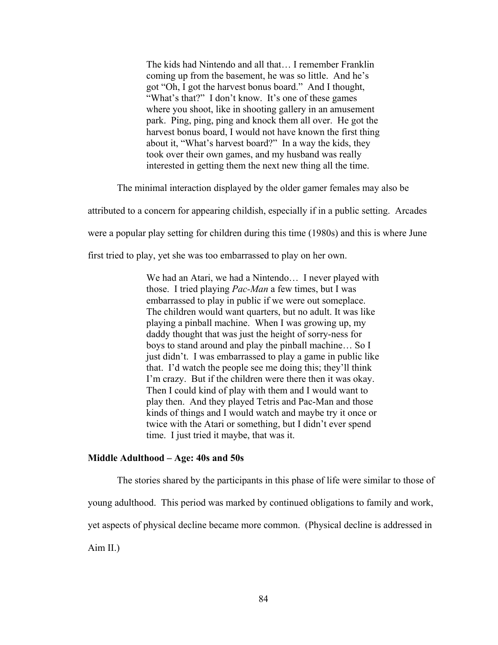The kids had Nintendo and all that… I remember Franklin coming up from the basement, he was so little. And he's got "Oh, I got the harvest bonus board." And I thought, "What's that?" I don't know. It's one of these games where you shoot, like in shooting gallery in an amusement park. Ping, ping, ping and knock them all over. He got the harvest bonus board, I would not have known the first thing about it, "What's harvest board?" In a way the kids, they took over their own games, and my husband was really interested in getting them the next new thing all the time.

The minimal interaction displayed by the older gamer females may also be

attributed to a concern for appearing childish, especially if in a public setting. Arcades

were a popular play setting for children during this time (1980s) and this is where June

first tried to play, yet she was too embarrassed to play on her own.

We had an Atari, we had a Nintendo... I never played with those. I tried playing *Pac-Man* a few times, but I was embarrassed to play in public if we were out someplace. The children would want quarters, but no adult. It was like playing a pinball machine. When I was growing up, my daddy thought that was just the height of sorry-ness for boys to stand around and play the pinball machine… So I just didn't. I was embarrassed to play a game in public like that. I'd watch the people see me doing this; they'll think I'm crazy. But if the children were there then it was okay. Then I could kind of play with them and I would want to play then. And they played Tetris and Pac-Man and those kinds of things and I would watch and maybe try it once or twice with the Atari or something, but I didn't ever spend time. I just tried it maybe, that was it.

### **Middle Adulthood – Age: 40s and 50s**

 The stories shared by the participants in this phase of life were similar to those of young adulthood. This period was marked by continued obligations to family and work, yet aspects of physical decline became more common. (Physical decline is addressed in

Aim II.)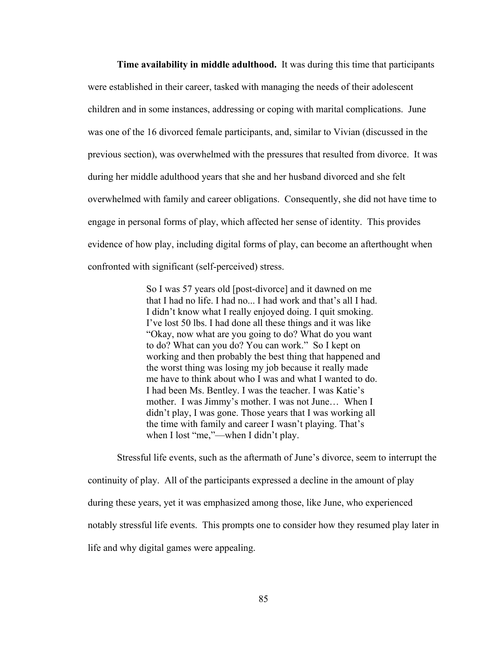**Time availability in middle adulthood.** It was during this time that participants were established in their career, tasked with managing the needs of their adolescent children and in some instances, addressing or coping with marital complications. June was one of the 16 divorced female participants, and, similar to Vivian (discussed in the previous section), was overwhelmed with the pressures that resulted from divorce. It was during her middle adulthood years that she and her husband divorced and she felt overwhelmed with family and career obligations. Consequently, she did not have time to engage in personal forms of play, which affected her sense of identity. This provides evidence of how play, including digital forms of play, can become an afterthought when confronted with significant (self-perceived) stress.

> So I was 57 years old [post-divorce] and it dawned on me that I had no life. I had no... I had work and that's all I had. I didn't know what I really enjoyed doing. I quit smoking. I've lost 50 lbs. I had done all these things and it was like "Okay, now what are you going to do? What do you want to do? What can you do? You can work." So I kept on working and then probably the best thing that happened and the worst thing was losing my job because it really made me have to think about who I was and what I wanted to do. I had been Ms. Bentley. I was the teacher. I was Katie's mother. I was Jimmy's mother. I was not June… When I didn't play, I was gone. Those years that I was working all the time with family and career I wasn't playing. That's when I lost "me,"—when I didn't play.

 Stressful life events, such as the aftermath of June's divorce, seem to interrupt the continuity of play. All of the participants expressed a decline in the amount of play during these years, yet it was emphasized among those, like June, who experienced notably stressful life events. This prompts one to consider how they resumed play later in life and why digital games were appealing.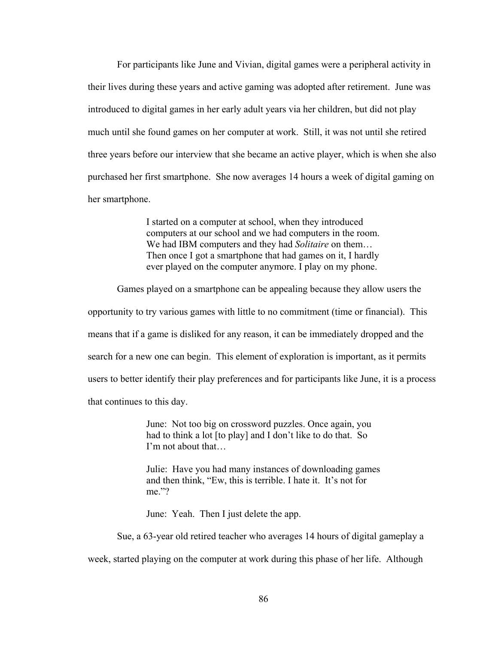For participants like June and Vivian, digital games were a peripheral activity in their lives during these years and active gaming was adopted after retirement. June was introduced to digital games in her early adult years via her children, but did not play much until she found games on her computer at work. Still, it was not until she retired three years before our interview that she became an active player, which is when she also purchased her first smartphone. She now averages 14 hours a week of digital gaming on her smartphone.

> I started on a computer at school, when they introduced computers at our school and we had computers in the room. We had IBM computers and they had *Solitaire* on them… Then once I got a smartphone that had games on it, I hardly ever played on the computer anymore. I play on my phone.

Games played on a smartphone can be appealing because they allow users the

opportunity to try various games with little to no commitment (time or financial). This means that if a game is disliked for any reason, it can be immediately dropped and the search for a new one can begin. This element of exploration is important, as it permits users to better identify their play preferences and for participants like June, it is a process that continues to this day.

> June: Not too big on crossword puzzles. Once again, you had to think a lot [to play] and I don't like to do that. So I'm not about that…

 Julie: Have you had many instances of downloading games and then think, "Ew, this is terrible. I hate it. It's not for me."?

June: Yeah. Then I just delete the app.

 Sue, a 63-year old retired teacher who averages 14 hours of digital gameplay a week, started playing on the computer at work during this phase of her life. Although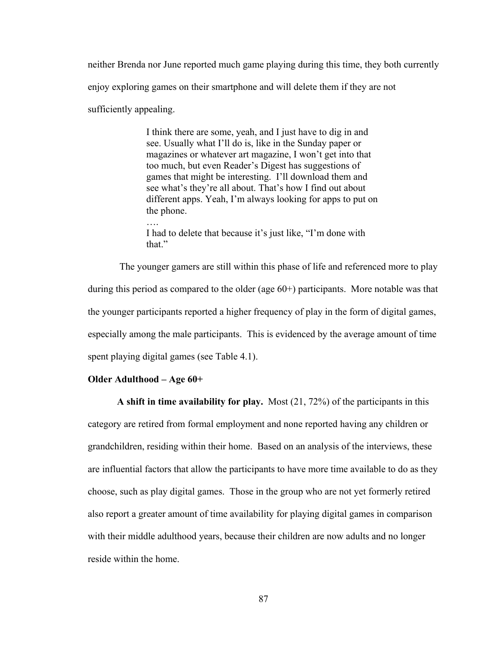neither Brenda nor June reported much game playing during this time, they both currently enjoy exploring games on their smartphone and will delete them if they are not sufficiently appealing.

 I think there are some, yeah, and I just have to dig in and see. Usually what I'll do is, like in the Sunday paper or magazines or whatever art magazine, I won't get into that too much, but even Reader's Digest has suggestions of games that might be interesting. I'll download them and see what's they're all about. That's how I find out about different apps. Yeah, I'm always looking for apps to put on the phone. ….

> I had to delete that because it's just like, "I'm done with that."

 The younger gamers are still within this phase of life and referenced more to play during this period as compared to the older (age 60+) participants. More notable was that the younger participants reported a higher frequency of play in the form of digital games, especially among the male participants. This is evidenced by the average amount of time spent playing digital games (see Table 4.1).

### **Older Adulthood – Age 60+**

**A shift in time availability for play.** Most (21, 72%) of the participants in this category are retired from formal employment and none reported having any children or grandchildren, residing within their home. Based on an analysis of the interviews, these are influential factors that allow the participants to have more time available to do as they choose, such as play digital games. Those in the group who are not yet formerly retired also report a greater amount of time availability for playing digital games in comparison with their middle adulthood years, because their children are now adults and no longer reside within the home.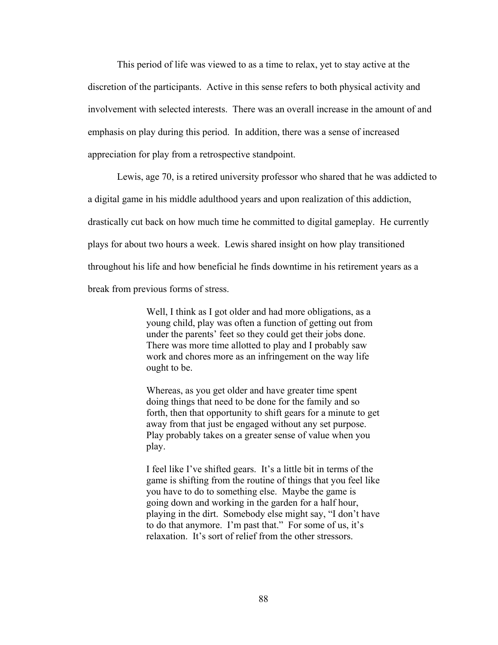This period of life was viewed to as a time to relax, yet to stay active at the discretion of the participants. Active in this sense refers to both physical activity and involvement with selected interests. There was an overall increase in the amount of and emphasis on play during this period. In addition, there was a sense of increased appreciation for play from a retrospective standpoint.

Lewis, age 70, is a retired university professor who shared that he was addicted to

a digital game in his middle adulthood years and upon realization of this addiction,

drastically cut back on how much time he committed to digital gameplay. He currently

plays for about two hours a week. Lewis shared insight on how play transitioned

throughout his life and how beneficial he finds downtime in his retirement years as a

break from previous forms of stress.

 Well, I think as I got older and had more obligations, as a young child, play was often a function of getting out from under the parents' feet so they could get their jobs done. There was more time allotted to play and I probably saw work and chores more as an infringement on the way life ought to be.

 Whereas, as you get older and have greater time spent doing things that need to be done for the family and so forth, then that opportunity to shift gears for a minute to get away from that just be engaged without any set purpose. Play probably takes on a greater sense of value when you play.

 I feel like I've shifted gears. It's a little bit in terms of the game is shifting from the routine of things that you feel like you have to do to something else. Maybe the game is going down and working in the garden for a half hour, playing in the dirt. Somebody else might say, "I don't have to do that anymore. I'm past that." For some of us, it's relaxation. It's sort of relief from the other stressors.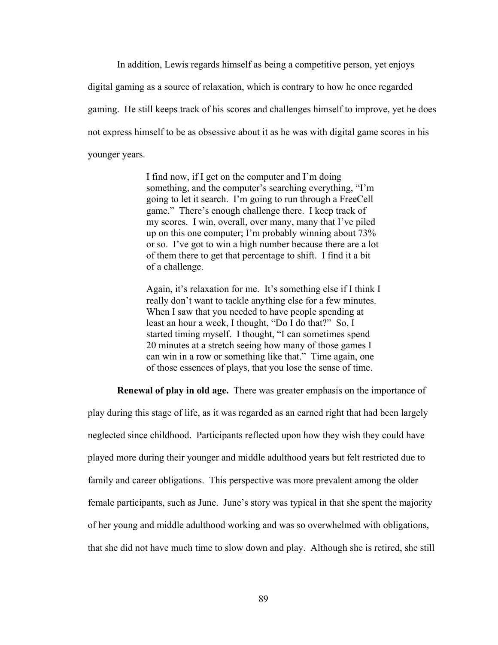In addition, Lewis regards himself as being a competitive person, yet enjoys digital gaming as a source of relaxation, which is contrary to how he once regarded gaming. He still keeps track of his scores and challenges himself to improve, yet he does not express himself to be as obsessive about it as he was with digital game scores in his younger years.

> I find now, if I get on the computer and I'm doing something, and the computer's searching everything, "I'm going to let it search. I'm going to run through a FreeCell game." There's enough challenge there. I keep track of my scores. I win, overall, over many, many that I've piled up on this one computer; I'm probably winning about 73% or so. I've got to win a high number because there are a lot of them there to get that percentage to shift. I find it a bit of a challenge.

> Again, it's relaxation for me. It's something else if I think I really don't want to tackle anything else for a few minutes. When I saw that you needed to have people spending at least an hour a week, I thought, "Do I do that?" So, I started timing myself. I thought, "I can sometimes spend 20 minutes at a stretch seeing how many of those games I can win in a row or something like that." Time again, one of those essences of plays, that you lose the sense of time.

**Renewal of play in old age.** There was greater emphasis on the importance of

play during this stage of life, as it was regarded as an earned right that had been largely neglected since childhood. Participants reflected upon how they wish they could have played more during their younger and middle adulthood years but felt restricted due to family and career obligations. This perspective was more prevalent among the older female participants, such as June. June's story was typical in that she spent the majority of her young and middle adulthood working and was so overwhelmed with obligations, that she did not have much time to slow down and play. Although she is retired, she still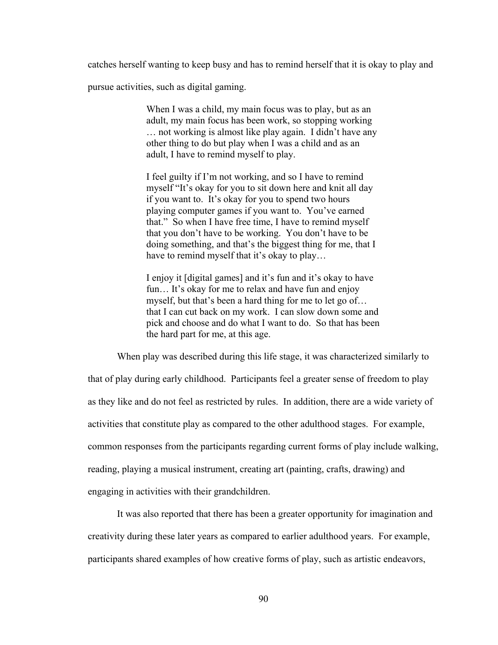catches herself wanting to keep busy and has to remind herself that it is okay to play and

pursue activities, such as digital gaming.

When I was a child, my main focus was to play, but as an adult, my main focus has been work, so stopping working … not working is almost like play again. I didn't have any other thing to do but play when I was a child and as an adult, I have to remind myself to play.

 I feel guilty if I'm not working, and so I have to remind myself "It's okay for you to sit down here and knit all day if you want to. It's okay for you to spend two hours playing computer games if you want to. You've earned that." So when I have free time, I have to remind myself that you don't have to be working. You don't have to be doing something, and that's the biggest thing for me, that I have to remind myself that it's okay to play...

 I enjoy it [digital games] and it's fun and it's okay to have fun... It's okay for me to relax and have fun and enjoy myself, but that's been a hard thing for me to let go of… that I can cut back on my work. I can slow down some and pick and choose and do what I want to do. So that has been the hard part for me, at this age.

 When play was described during this life stage, it was characterized similarly to that of play during early childhood. Participants feel a greater sense of freedom to play as they like and do not feel as restricted by rules. In addition, there are a wide variety of activities that constitute play as compared to the other adulthood stages. For example, common responses from the participants regarding current forms of play include walking, reading, playing a musical instrument, creating art (painting, crafts, drawing) and engaging in activities with their grandchildren.

 It was also reported that there has been a greater opportunity for imagination and creativity during these later years as compared to earlier adulthood years. For example, participants shared examples of how creative forms of play, such as artistic endeavors,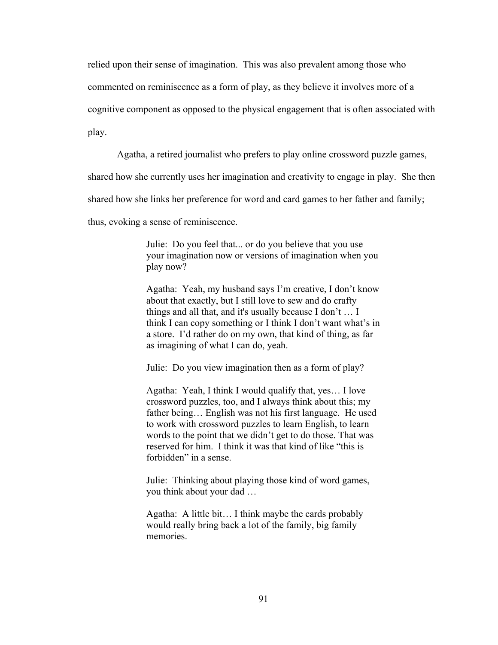relied upon their sense of imagination. This was also prevalent among those who

commented on reminiscence as a form of play, as they believe it involves more of a

cognitive component as opposed to the physical engagement that is often associated with

play.

Agatha, a retired journalist who prefers to play online crossword puzzle games,

shared how she currently uses her imagination and creativity to engage in play. She then

shared how she links her preference for word and card games to her father and family;

thus, evoking a sense of reminiscence.

Julie: Do you feel that... or do you believe that you use your imagination now or versions of imagination when you play now?

Agatha: Yeah, my husband says I'm creative, I don't know about that exactly, but I still love to sew and do crafty things and all that, and it's usually because I don't … I think I can copy something or I think I don't want what's in a store. I'd rather do on my own, that kind of thing, as far as imagining of what I can do, yeah.

Julie: Do you view imagination then as a form of play?

 Agatha: Yeah, I think I would qualify that, yes… I love crossword puzzles, too, and I always think about this; my father being… English was not his first language. He used to work with crossword puzzles to learn English, to learn words to the point that we didn't get to do those. That was reserved for him. I think it was that kind of like "this is forbidden" in a sense.

 Julie: Thinking about playing those kind of word games, you think about your dad …

 Agatha: A little bit… I think maybe the cards probably would really bring back a lot of the family, big family memories.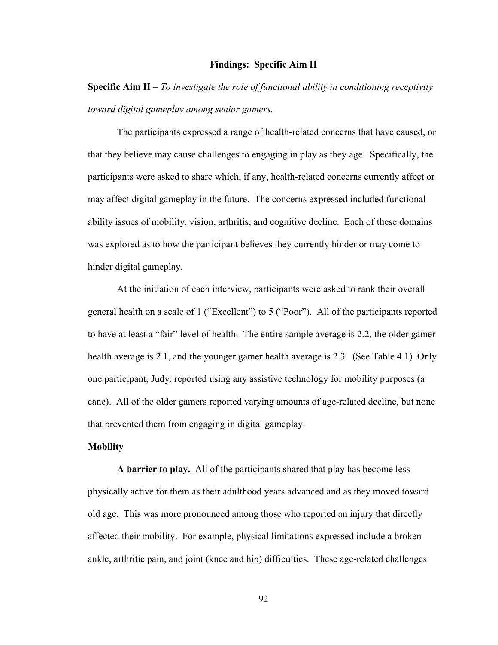## **Findings: Specific Aim II**

**Specific Aim II** – *To investigate the role of functional ability in conditioning receptivity toward digital gameplay among senior gamers.*

The participants expressed a range of health-related concerns that have caused, or that they believe may cause challenges to engaging in play as they age. Specifically, the participants were asked to share which, if any, health-related concerns currently affect or may affect digital gameplay in the future. The concerns expressed included functional ability issues of mobility, vision, arthritis, and cognitive decline. Each of these domains was explored as to how the participant believes they currently hinder or may come to hinder digital gameplay.

At the initiation of each interview, participants were asked to rank their overall general health on a scale of 1 ("Excellent") to 5 ("Poor"). All of the participants reported to have at least a "fair" level of health. The entire sample average is 2.2, the older gamer health average is 2.1, and the younger gamer health average is 2.3. (See Table 4.1) Only one participant, Judy, reported using any assistive technology for mobility purposes (a cane). All of the older gamers reported varying amounts of age-related decline, but none that prevented them from engaging in digital gameplay.

## **Mobility**

**A barrier to play.** All of the participants shared that play has become less physically active for them as their adulthood years advanced and as they moved toward old age. This was more pronounced among those who reported an injury that directly affected their mobility. For example, physical limitations expressed include a broken ankle, arthritic pain, and joint (knee and hip) difficulties. These age-related challenges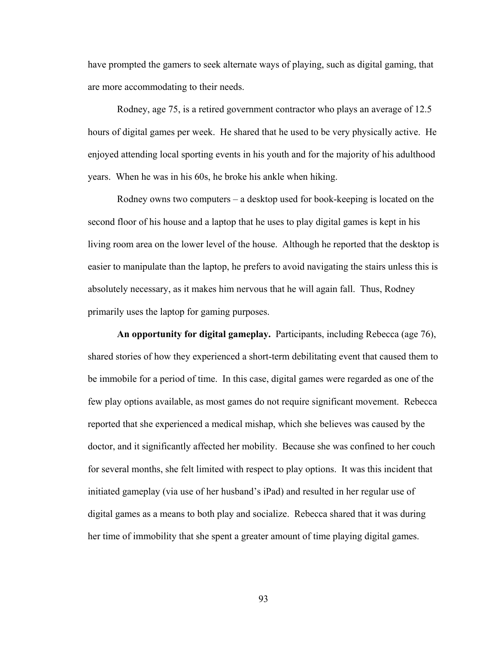have prompted the gamers to seek alternate ways of playing, such as digital gaming, that are more accommodating to their needs.

 Rodney, age 75, is a retired government contractor who plays an average of 12.5 hours of digital games per week. He shared that he used to be very physically active. He enjoyed attending local sporting events in his youth and for the majority of his adulthood years. When he was in his 60s, he broke his ankle when hiking.

 Rodney owns two computers – a desktop used for book-keeping is located on the second floor of his house and a laptop that he uses to play digital games is kept in his living room area on the lower level of the house. Although he reported that the desktop is easier to manipulate than the laptop, he prefers to avoid navigating the stairs unless this is absolutely necessary, as it makes him nervous that he will again fall. Thus, Rodney primarily uses the laptop for gaming purposes.

**An opportunity for digital gameplay.** Participants, including Rebecca (age 76), shared stories of how they experienced a short-term debilitating event that caused them to be immobile for a period of time. In this case, digital games were regarded as one of the few play options available, as most games do not require significant movement. Rebecca reported that she experienced a medical mishap, which she believes was caused by the doctor, and it significantly affected her mobility. Because she was confined to her couch for several months, she felt limited with respect to play options. It was this incident that initiated gameplay (via use of her husband's iPad) and resulted in her regular use of digital games as a means to both play and socialize. Rebecca shared that it was during her time of immobility that she spent a greater amount of time playing digital games.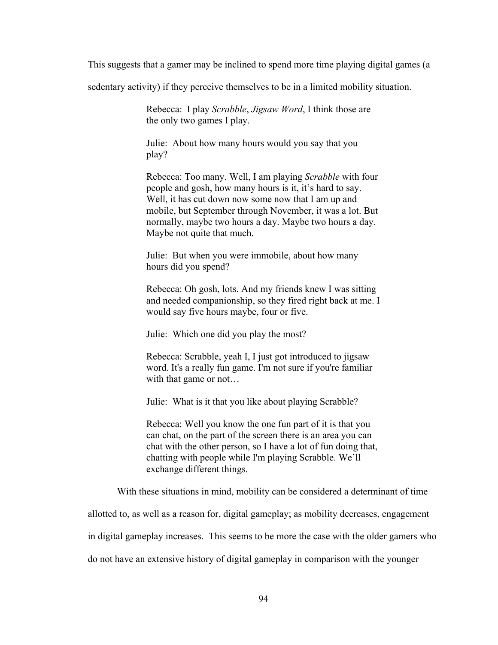This suggests that a gamer may be inclined to spend more time playing digital games (a

sedentary activity) if they perceive themselves to be in a limited mobility situation.

Rebecca: I play *Scrabble*, *Jigsaw Word*, I think those are the only two games I play.

Julie: About how many hours would you say that you play?

Rebecca: Too many. Well, I am playing *Scrabble* with four people and gosh, how many hours is it, it's hard to say. Well, it has cut down now some now that I am up and mobile, but September through November, it was a lot. But normally, maybe two hours a day. Maybe two hours a day. Maybe not quite that much.

Julie: But when you were immobile, about how many hours did you spend?

Rebecca: Oh gosh, lots. And my friends knew I was sitting and needed companionship, so they fired right back at me. I would say five hours maybe, four or five.

Julie: Which one did you play the most?

Rebecca: Scrabble, yeah I, I just got introduced to jigsaw word. It's a really fun game. I'm not sure if you're familiar with that game or not…

Julie: What is it that you like about playing Scrabble?

Rebecca: Well you know the one fun part of it is that you can chat, on the part of the screen there is an area you can chat with the other person, so I have a lot of fun doing that, chatting with people while I'm playing Scrabble. We'll exchange different things.

With these situations in mind, mobility can be considered a determinant of time

allotted to, as well as a reason for, digital gameplay; as mobility decreases, engagement

in digital gameplay increases. This seems to be more the case with the older gamers who

do not have an extensive history of digital gameplay in comparison with the younger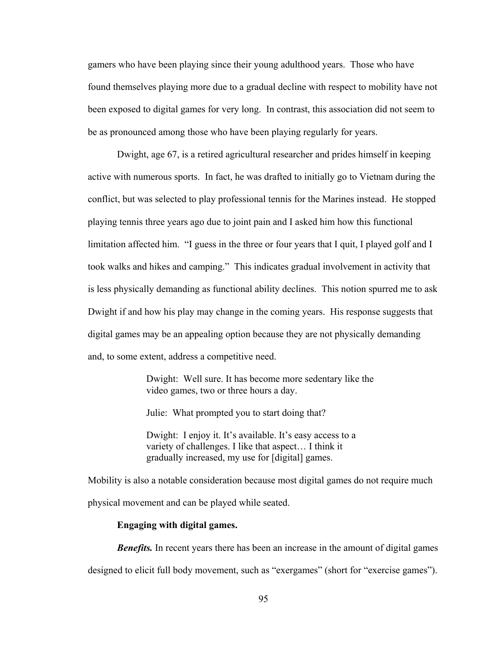gamers who have been playing since their young adulthood years. Those who have found themselves playing more due to a gradual decline with respect to mobility have not been exposed to digital games for very long. In contrast, this association did not seem to be as pronounced among those who have been playing regularly for years.

Dwight, age 67, is a retired agricultural researcher and prides himself in keeping active with numerous sports. In fact, he was drafted to initially go to Vietnam during the conflict, but was selected to play professional tennis for the Marines instead. He stopped playing tennis three years ago due to joint pain and I asked him how this functional limitation affected him. "I guess in the three or four years that I quit, I played golf and I took walks and hikes and camping." This indicates gradual involvement in activity that is less physically demanding as functional ability declines. This notion spurred me to ask Dwight if and how his play may change in the coming years. His response suggests that digital games may be an appealing option because they are not physically demanding and, to some extent, address a competitive need.

> Dwight: Well sure. It has become more sedentary like the video games, two or three hours a day.

Julie: What prompted you to start doing that?

Dwight: I enjoy it. It's available. It's easy access to a variety of challenges. I like that aspect… I think it gradually increased, my use for [digital] games.

Mobility is also a notable consideration because most digital games do not require much physical movement and can be played while seated.

### **Engaging with digital games.**

*Benefits.* In recent years there has been an increase in the amount of digital games

designed to elicit full body movement, such as "exergames" (short for "exercise games").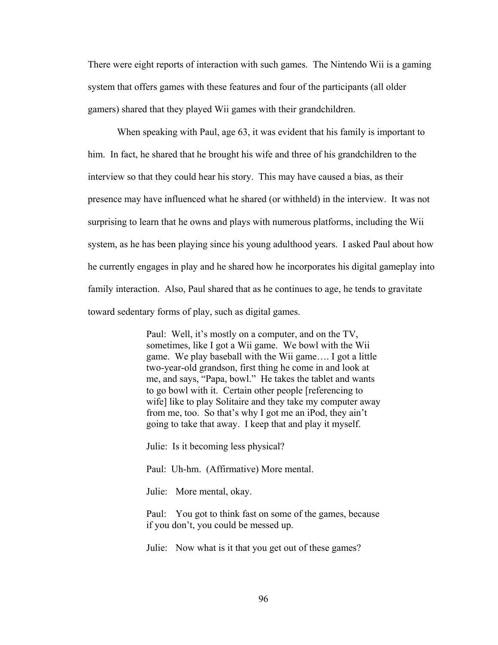There were eight reports of interaction with such games. The Nintendo Wii is a gaming system that offers games with these features and four of the participants (all older gamers) shared that they played Wii games with their grandchildren.

 When speaking with Paul, age 63, it was evident that his family is important to him. In fact, he shared that he brought his wife and three of his grandchildren to the interview so that they could hear his story. This may have caused a bias, as their presence may have influenced what he shared (or withheld) in the interview. It was not surprising to learn that he owns and plays with numerous platforms, including the Wii system, as he has been playing since his young adulthood years. I asked Paul about how he currently engages in play and he shared how he incorporates his digital gameplay into family interaction. Also, Paul shared that as he continues to age, he tends to gravitate toward sedentary forms of play, such as digital games.

> Paul: Well, it's mostly on a computer, and on the TV, sometimes, like I got a Wii game. We bowl with the Wii game. We play baseball with the Wii game…. I got a little two-year-old grandson, first thing he come in and look at me, and says, "Papa, bowl." He takes the tablet and wants to go bowl with it. Certain other people [referencing to wife] like to play Solitaire and they take my computer away from me, too. So that's why I got me an iPod, they ain't going to take that away. I keep that and play it myself.

Julie: Is it becoming less physical?

Paul: Uh-hm. (Affirmative) More mental.

Julie: More mental, okay.

 Paul: You got to think fast on some of the games, because if you don't, you could be messed up.

Julie: Now what is it that you get out of these games?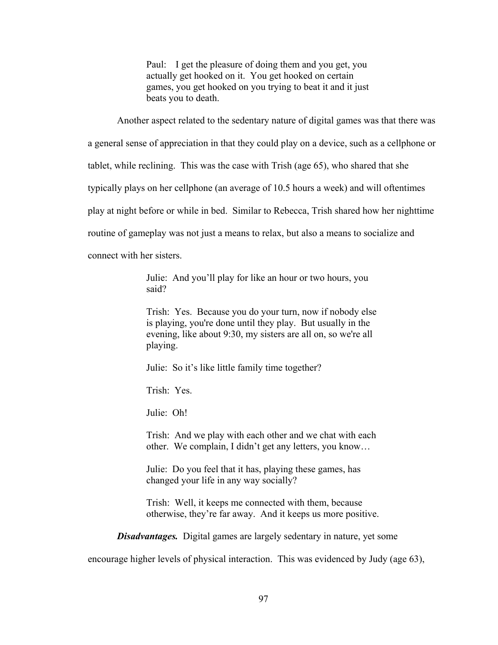Paul: I get the pleasure of doing them and you get, you actually get hooked on it. You get hooked on certain games, you get hooked on you trying to beat it and it just beats you to death.

Another aspect related to the sedentary nature of digital games was that there was

a general sense of appreciation in that they could play on a device, such as a cellphone or

tablet, while reclining. This was the case with Trish (age 65), who shared that she

typically plays on her cellphone (an average of 10.5 hours a week) and will oftentimes

play at night before or while in bed. Similar to Rebecca, Trish shared how her nighttime

routine of gameplay was not just a means to relax, but also a means to socialize and

connect with her sisters.

 Julie: And you'll play for like an hour or two hours, you said?

 Trish: Yes. Because you do your turn, now if nobody else is playing, you're done until they play. But usually in the evening, like about 9:30, my sisters are all on, so we're all playing.

Julie: So it's like little family time together?

Trish: Yes.

Julie: Oh!

 Trish: And we play with each other and we chat with each other. We complain, I didn't get any letters, you know…

 Julie: Do you feel that it has, playing these games, has changed your life in any way socially?

 Trish: Well, it keeps me connected with them, because otherwise, they're far away. And it keeps us more positive.

*Disadvantages.* Digital games are largely sedentary in nature, yet some

encourage higher levels of physical interaction. This was evidenced by Judy (age 63),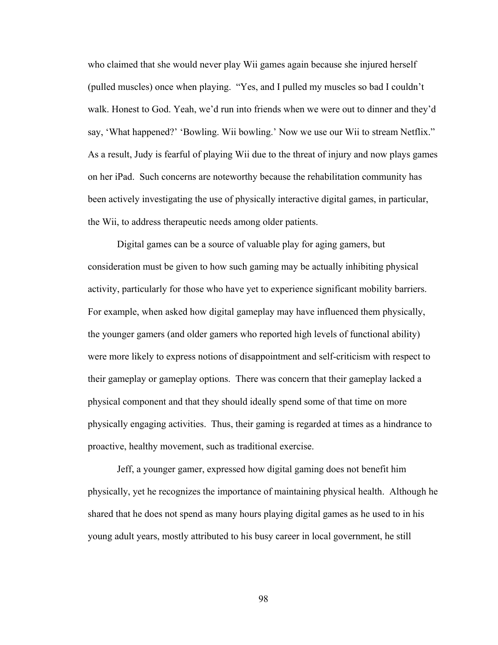who claimed that she would never play Wii games again because she injured herself (pulled muscles) once when playing. "Yes, and I pulled my muscles so bad I couldn't walk. Honest to God. Yeah, we'd run into friends when we were out to dinner and they'd say, 'What happened?' 'Bowling. Wii bowling.' Now we use our Wii to stream Netflix." As a result, Judy is fearful of playing Wii due to the threat of injury and now plays games on her iPad. Such concerns are noteworthy because the rehabilitation community has been actively investigating the use of physically interactive digital games, in particular, the Wii, to address therapeutic needs among older patients.

Digital games can be a source of valuable play for aging gamers, but consideration must be given to how such gaming may be actually inhibiting physical activity, particularly for those who have yet to experience significant mobility barriers. For example, when asked how digital gameplay may have influenced them physically, the younger gamers (and older gamers who reported high levels of functional ability) were more likely to express notions of disappointment and self-criticism with respect to their gameplay or gameplay options. There was concern that their gameplay lacked a physical component and that they should ideally spend some of that time on more physically engaging activities. Thus, their gaming is regarded at times as a hindrance to proactive, healthy movement, such as traditional exercise.

Jeff, a younger gamer, expressed how digital gaming does not benefit him physically, yet he recognizes the importance of maintaining physical health. Although he shared that he does not spend as many hours playing digital games as he used to in his young adult years, mostly attributed to his busy career in local government, he still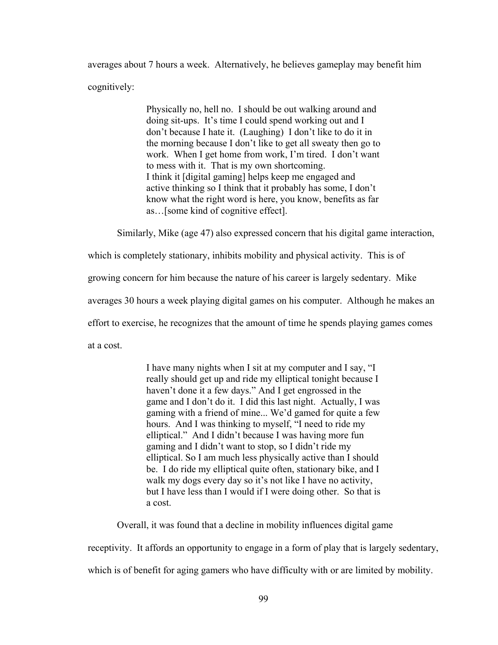averages about 7 hours a week. Alternatively, he believes gameplay may benefit him cognitively:

> Physically no, hell no. I should be out walking around and doing sit-ups. It's time I could spend working out and I don't because I hate it. (Laughing) I don't like to do it in the morning because I don't like to get all sweaty then go to work. When I get home from work, I'm tired. I don't want to mess with it. That is my own shortcoming. I think it [digital gaming] helps keep me engaged and active thinking so I think that it probably has some, I don't know what the right word is here, you know, benefits as far as…[some kind of cognitive effect].

Similarly, Mike (age 47) also expressed concern that his digital game interaction,

which is completely stationary, inhibits mobility and physical activity. This is of

growing concern for him because the nature of his career is largely sedentary. Mike

averages 30 hours a week playing digital games on his computer. Although he makes an

effort to exercise, he recognizes that the amount of time he spends playing games comes

at a cost.

 I have many nights when I sit at my computer and I say, "I really should get up and ride my elliptical tonight because I haven't done it a few days." And I get engrossed in the game and I don't do it. I did this last night. Actually, I was gaming with a friend of mine... We'd gamed for quite a few hours. And I was thinking to myself, "I need to ride my elliptical." And I didn't because I was having more fun gaming and I didn't want to stop, so I didn't ride my elliptical. So I am much less physically active than I should be. I do ride my elliptical quite often, stationary bike, and I walk my dogs every day so it's not like I have no activity. but I have less than I would if I were doing other. So that is a cost.

Overall, it was found that a decline in mobility influences digital game

receptivity. It affords an opportunity to engage in a form of play that is largely sedentary,

which is of benefit for aging gamers who have difficulty with or are limited by mobility.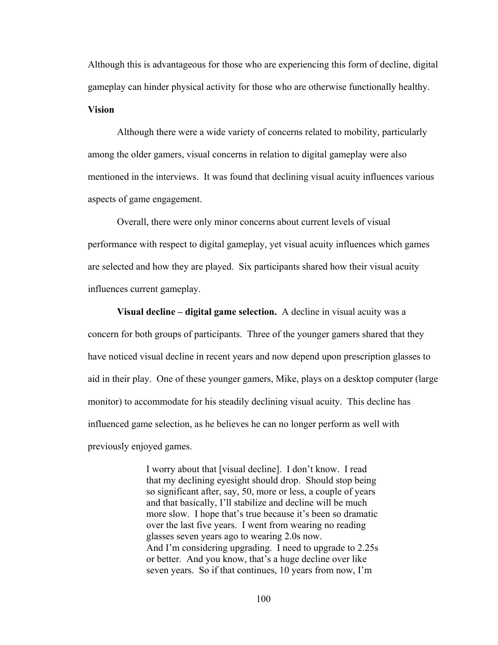Although this is advantageous for those who are experiencing this form of decline, digital gameplay can hinder physical activity for those who are otherwise functionally healthy. **Vision** 

 Although there were a wide variety of concerns related to mobility, particularly among the older gamers, visual concerns in relation to digital gameplay were also mentioned in the interviews. It was found that declining visual acuity influences various aspects of game engagement.

 Overall, there were only minor concerns about current levels of visual performance with respect to digital gameplay, yet visual acuity influences which games are selected and how they are played. Six participants shared how their visual acuity influences current gameplay.

 **Visual decline – digital game selection.** A decline in visual acuity was a concern for both groups of participants. Three of the younger gamers shared that they have noticed visual decline in recent years and now depend upon prescription glasses to aid in their play. One of these younger gamers, Mike, plays on a desktop computer (large monitor) to accommodate for his steadily declining visual acuity. This decline has influenced game selection, as he believes he can no longer perform as well with previously enjoyed games.

> I worry about that [visual decline]. I don't know. I read that my declining eyesight should drop. Should stop being so significant after, say, 50, more or less, a couple of years and that basically, I'll stabilize and decline will be much more slow. I hope that's true because it's been so dramatic over the last five years. I went from wearing no reading glasses seven years ago to wearing 2.0s now. And I'm considering upgrading. I need to upgrade to 2.25s or better. And you know, that's a huge decline over like seven years. So if that continues, 10 years from now, I'm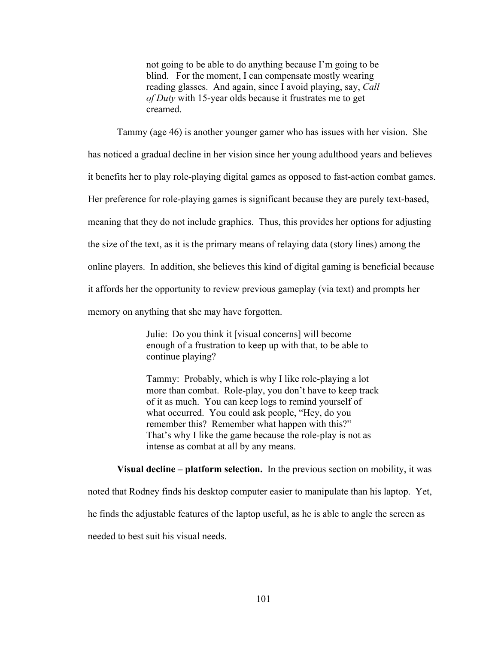not going to be able to do anything because I'm going to be blind. For the moment, I can compensate mostly wearing reading glasses. And again, since I avoid playing, say, *Call of Duty* with 15-year olds because it frustrates me to get creamed.

Tammy (age 46) is another younger gamer who has issues with her vision. She

has noticed a gradual decline in her vision since her young adulthood years and believes

it benefits her to play role-playing digital games as opposed to fast-action combat games.

Her preference for role-playing games is significant because they are purely text-based,

meaning that they do not include graphics. Thus, this provides her options for adjusting

the size of the text, as it is the primary means of relaying data (story lines) among the

online players. In addition, she believes this kind of digital gaming is beneficial because

it affords her the opportunity to review previous gameplay (via text) and prompts her

memory on anything that she may have forgotten.

 Julie: Do you think it [visual concerns] will become enough of a frustration to keep up with that, to be able to continue playing?

 Tammy: Probably, which is why I like role-playing a lot more than combat. Role-play, you don't have to keep track of it as much. You can keep logs to remind yourself of what occurred. You could ask people, "Hey, do you remember this? Remember what happen with this?" That's why I like the game because the role-play is not as intense as combat at all by any means.

 **Visual decline – platform selection.** In the previous section on mobility, it was noted that Rodney finds his desktop computer easier to manipulate than his laptop. Yet, he finds the adjustable features of the laptop useful, as he is able to angle the screen as needed to best suit his visual needs.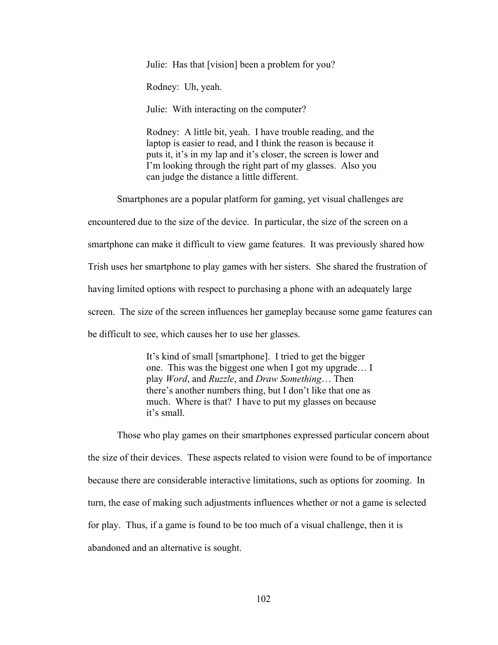Julie: Has that [vision] been a problem for you?

Rodney: Uh, yeah.

Julie: With interacting on the computer?

Rodney: A little bit, yeah. I have trouble reading, and the laptop is easier to read, and I think the reason is because it puts it, it's in my lap and it's closer, the screen is lower and I'm looking through the right part of my glasses. Also you can judge the distance a little different.

Smartphones are a popular platform for gaming, yet visual challenges are

encountered due to the size of the device. In particular, the size of the screen on a

smartphone can make it difficult to view game features. It was previously shared how

Trish uses her smartphone to play games with her sisters. She shared the frustration of

having limited options with respect to purchasing a phone with an adequately large

screen. The size of the screen influences her gameplay because some game features can

be difficult to see, which causes her to use her glasses.

It's kind of small [smartphone]. I tried to get the bigger one. This was the biggest one when I got my upgrade… I play *Word*, and *Ruzzle*, and *Draw Something*… Then there's another numbers thing, but I don't like that one as much. Where is that? I have to put my glasses on because it's small.

Those who play games on their smartphones expressed particular concern about the size of their devices. These aspects related to vision were found to be of importance because there are considerable interactive limitations, such as options for zooming. In turn, the ease of making such adjustments influences whether or not a game is selected for play. Thus, if a game is found to be too much of a visual challenge, then it is abandoned and an alternative is sought.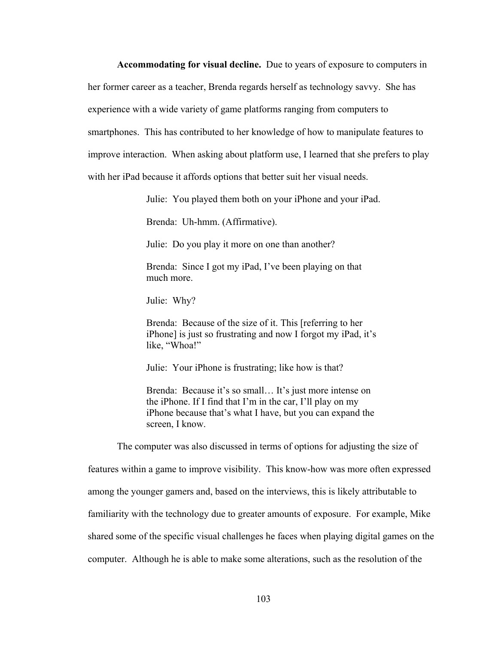**Accommodating for visual decline.** Due to years of exposure to computers in her former career as a teacher, Brenda regards herself as technology savvy. She has experience with a wide variety of game platforms ranging from computers to smartphones. This has contributed to her knowledge of how to manipulate features to improve interaction. When asking about platform use, I learned that she prefers to play with her iPad because it affords options that better suit her visual needs.

Julie: You played them both on your iPhone and your iPad.

Brenda: Uh-hmm. (Affirmative).

Julie: Do you play it more on one than another?

Brenda: Since I got my iPad, I've been playing on that much more.

Julie: Why?

Brenda: Because of the size of it. This [referring to her iPhone] is just so frustrating and now I forgot my iPad, it's like, "Whoa!"

Julie: Your iPhone is frustrating; like how is that?

Brenda: Because it's so small... It's just more intense on the iPhone. If I find that I'm in the car, I'll play on my iPhone because that's what I have, but you can expand the screen, I know.

The computer was also discussed in terms of options for adjusting the size of features within a game to improve visibility. This know-how was more often expressed among the younger gamers and, based on the interviews, this is likely attributable to familiarity with the technology due to greater amounts of exposure. For example, Mike shared some of the specific visual challenges he faces when playing digital games on the computer. Although he is able to make some alterations, such as the resolution of the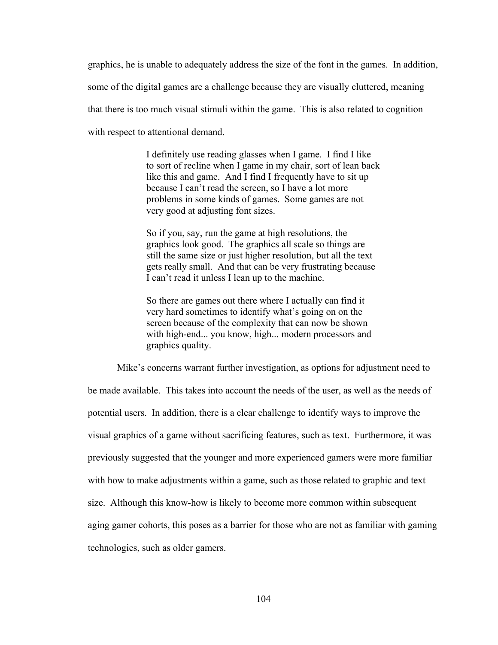graphics, he is unable to adequately address the size of the font in the games. In addition, some of the digital games are a challenge because they are visually cluttered, meaning that there is too much visual stimuli within the game. This is also related to cognition with respect to attentional demand.

> I definitely use reading glasses when I game. I find I like to sort of recline when I game in my chair, sort of lean back like this and game. And I find I frequently have to sit up because I can't read the screen, so I have a lot more problems in some kinds of games. Some games are not very good at adjusting font sizes.

So if you, say, run the game at high resolutions, the graphics look good. The graphics all scale so things are still the same size or just higher resolution, but all the text gets really small. And that can be very frustrating because I can't read it unless I lean up to the machine.

So there are games out there where I actually can find it very hard sometimes to identify what's going on on the screen because of the complexity that can now be shown with high-end... you know, high... modern processors and graphics quality.

Mike's concerns warrant further investigation, as options for adjustment need to be made available. This takes into account the needs of the user, as well as the needs of potential users. In addition, there is a clear challenge to identify ways to improve the visual graphics of a game without sacrificing features, such as text. Furthermore, it was previously suggested that the younger and more experienced gamers were more familiar with how to make adjustments within a game, such as those related to graphic and text size. Although this know-how is likely to become more common within subsequent aging gamer cohorts, this poses as a barrier for those who are not as familiar with gaming technologies, such as older gamers.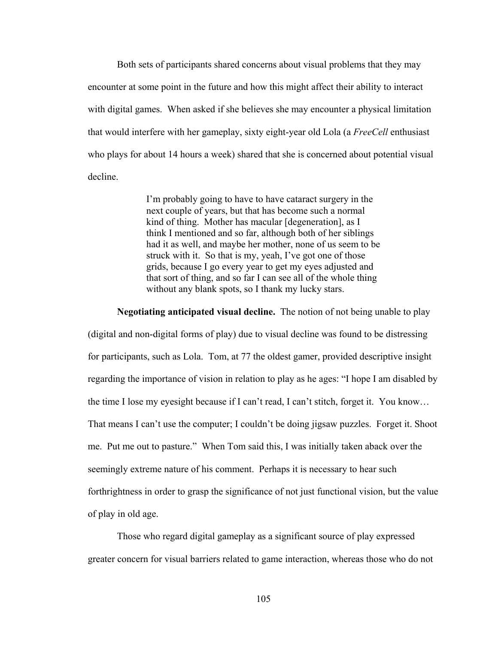Both sets of participants shared concerns about visual problems that they may encounter at some point in the future and how this might affect their ability to interact with digital games. When asked if she believes she may encounter a physical limitation that would interfere with her gameplay, sixty eight-year old Lola (a *FreeCell* enthusiast who plays for about 14 hours a week) shared that she is concerned about potential visual decline.

> I'm probably going to have to have cataract surgery in the next couple of years, but that has become such a normal kind of thing. Mother has macular [degeneration], as I think I mentioned and so far, although both of her siblings had it as well, and maybe her mother, none of us seem to be struck with it. So that is my, yeah, I've got one of those grids, because I go every year to get my eyes adjusted and that sort of thing, and so far I can see all of the whole thing without any blank spots, so I thank my lucky stars.

**Negotiating anticipated visual decline.** The notion of not being unable to play (digital and non-digital forms of play) due to visual decline was found to be distressing for participants, such as Lola. Tom, at 77 the oldest gamer, provided descriptive insight regarding the importance of vision in relation to play as he ages: "I hope I am disabled by the time I lose my eyesight because if I can't read, I can't stitch, forget it. You know… That means I can't use the computer; I couldn't be doing jigsaw puzzles. Forget it. Shoot me. Put me out to pasture." When Tom said this, I was initially taken aback over the seemingly extreme nature of his comment. Perhaps it is necessary to hear such forthrightness in order to grasp the significance of not just functional vision, but the value

of play in old age.

Those who regard digital gameplay as a significant source of play expressed greater concern for visual barriers related to game interaction, whereas those who do not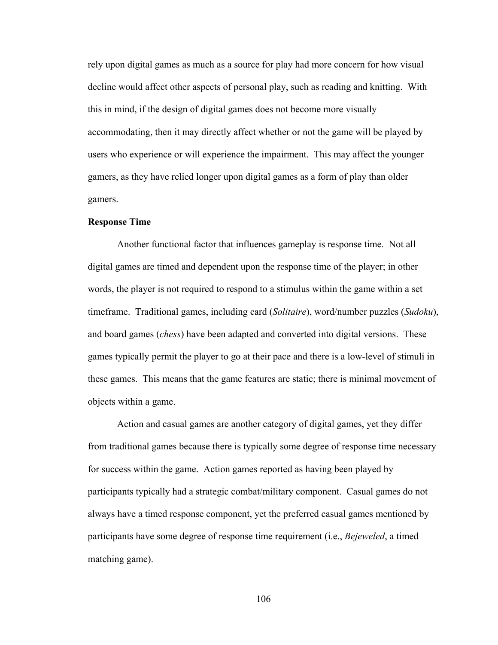rely upon digital games as much as a source for play had more concern for how visual decline would affect other aspects of personal play, such as reading and knitting. With this in mind, if the design of digital games does not become more visually accommodating, then it may directly affect whether or not the game will be played by users who experience or will experience the impairment. This may affect the younger gamers, as they have relied longer upon digital games as a form of play than older gamers.

## **Response Time**

 Another functional factor that influences gameplay is response time. Not all digital games are timed and dependent upon the response time of the player; in other words, the player is not required to respond to a stimulus within the game within a set timeframe. Traditional games, including card (*Solitaire*), word/number puzzles (*Sudoku*), and board games (*chess*) have been adapted and converted into digital versions. These games typically permit the player to go at their pace and there is a low-level of stimuli in these games. This means that the game features are static; there is minimal movement of objects within a game.

 Action and casual games are another category of digital games, yet they differ from traditional games because there is typically some degree of response time necessary for success within the game. Action games reported as having been played by participants typically had a strategic combat/military component. Casual games do not always have a timed response component, yet the preferred casual games mentioned by participants have some degree of response time requirement (i.e., *Bejeweled*, a timed matching game).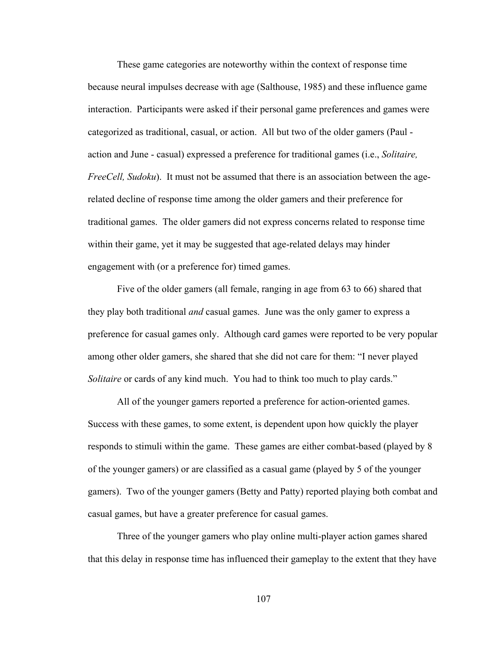These game categories are noteworthy within the context of response time because neural impulses decrease with age (Salthouse, 1985) and these influence game interaction. Participants were asked if their personal game preferences and games were categorized as traditional, casual, or action. All but two of the older gamers (Paul action and June - casual) expressed a preference for traditional games (i.e., *Solitaire, FreeCell, Sudoku*). It must not be assumed that there is an association between the agerelated decline of response time among the older gamers and their preference for traditional games. The older gamers did not express concerns related to response time within their game, yet it may be suggested that age-related delays may hinder engagement with (or a preference for) timed games.

 Five of the older gamers (all female, ranging in age from 63 to 66) shared that they play both traditional *and* casual games. June was the only gamer to express a preference for casual games only. Although card games were reported to be very popular among other older gamers, she shared that she did not care for them: "I never played *Solitaire* or cards of any kind much. You had to think too much to play cards."

All of the younger gamers reported a preference for action-oriented games. Success with these games, to some extent, is dependent upon how quickly the player responds to stimuli within the game. These games are either combat-based (played by 8 of the younger gamers) or are classified as a casual game (played by 5 of the younger gamers). Two of the younger gamers (Betty and Patty) reported playing both combat and casual games, but have a greater preference for casual games.

 Three of the younger gamers who play online multi-player action games shared that this delay in response time has influenced their gameplay to the extent that they have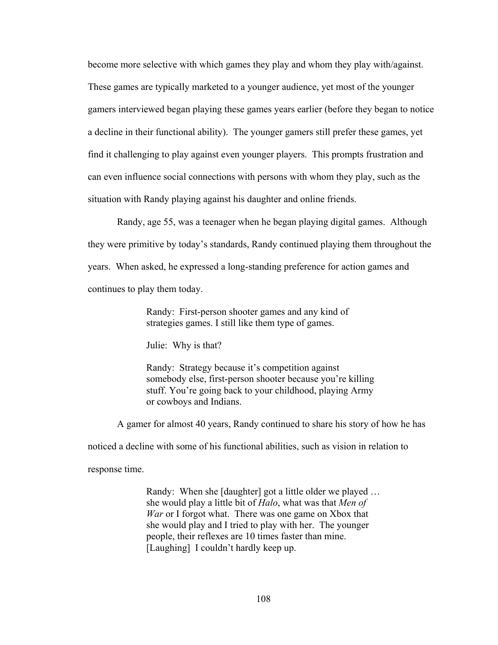become more selective with which games they play and whom they play with/against. These games are typically marketed to a younger audience, yet most of the younger gamers interviewed began playing these games years earlier (before they began to notice a decline in their functional ability). The younger gamers still prefer these games, yet find it challenging to play against even younger players. This prompts frustration and can even influence social connections with persons with whom they play, such as the situation with Randy playing against his daughter and online friends.

 Randy, age 55, was a teenager when he began playing digital games. Although they were primitive by today's standards, Randy continued playing them throughout the years. When asked, he expressed a long-standing preference for action games and continues to play them today.

> Randy: First-person shooter games and any kind of strategies games. I still like them type of games.

Julie: Why is that?

Randy: Strategy because it's competition against somebody else, first-person shooter because you're killing stuff. You're going back to your childhood, playing Army or cowboys and Indians.

A gamer for almost 40 years, Randy continued to share his story of how he has

noticed a decline with some of his functional abilities, such as vision in relation to

response time.

Randy: When she [daughter] got a little older we played … she would play a little bit of *Halo*, what was that *Men of War* or I forgot what. There was one game on Xbox that she would play and I tried to play with her. The younger people, their reflexes are 10 times faster than mine. [Laughing] I couldn't hardly keep up.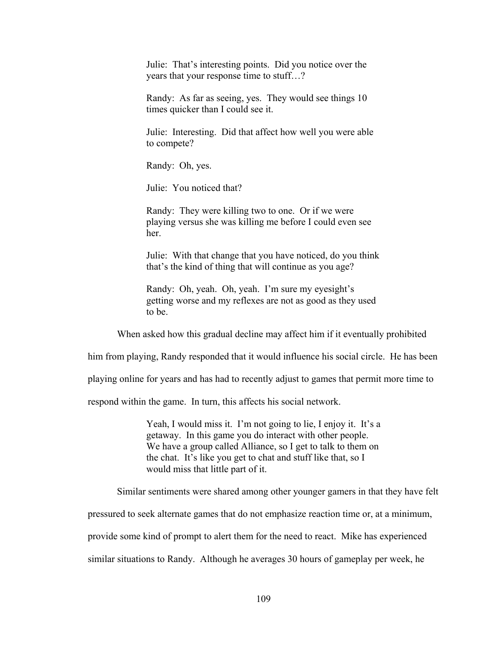Julie: That's interesting points. Did you notice over the years that your response time to stuff…?

Randy: As far as seeing, yes. They would see things 10 times quicker than I could see it.

Julie: Interesting. Did that affect how well you were able to compete?

Randy: Oh, yes.

Julie: You noticed that?

Randy: They were killing two to one. Or if we were playing versus she was killing me before I could even see her.

Julie: With that change that you have noticed, do you think that's the kind of thing that will continue as you age?

Randy: Oh, yeah. Oh, yeah. I'm sure my eyesight's getting worse and my reflexes are not as good as they used to be.

When asked how this gradual decline may affect him if it eventually prohibited

him from playing, Randy responded that it would influence his social circle. He has been

playing online for years and has had to recently adjust to games that permit more time to

respond within the game. In turn, this affects his social network.

Yeah, I would miss it. I'm not going to lie, I enjoy it. It's a getaway. In this game you do interact with other people. We have a group called Alliance, so I get to talk to them on the chat. It's like you get to chat and stuff like that, so I would miss that little part of it.

Similar sentiments were shared among other younger gamers in that they have felt

pressured to seek alternate games that do not emphasize reaction time or, at a minimum,

provide some kind of prompt to alert them for the need to react. Mike has experienced

similar situations to Randy. Although he averages 30 hours of gameplay per week, he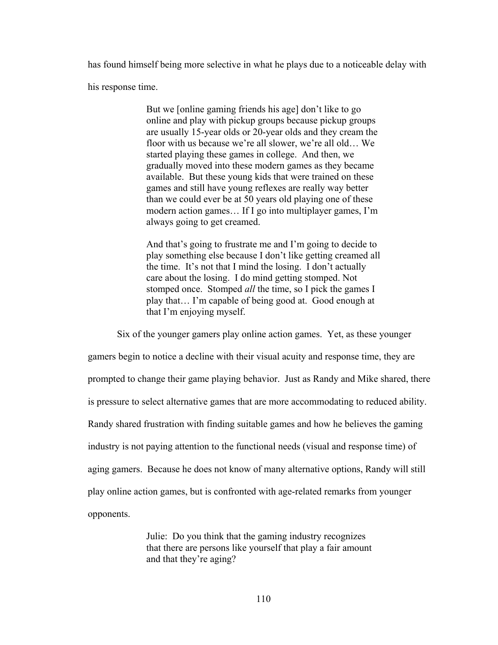has found himself being more selective in what he plays due to a noticeable delay with

his response time.

But we [online gaming friends his age] don't like to go online and play with pickup groups because pickup groups are usually 15-year olds or 20-year olds and they cream the floor with us because we're all slower, we're all old… We started playing these games in college. And then, we gradually moved into these modern games as they became available. But these young kids that were trained on these games and still have young reflexes are really way better than we could ever be at 50 years old playing one of these modern action games… If I go into multiplayer games, I'm always going to get creamed.

And that's going to frustrate me and I'm going to decide to play something else because I don't like getting creamed all the time. It's not that I mind the losing. I don't actually care about the losing. I do mind getting stomped. Not stomped once. Stomped *all* the time, so I pick the games I play that… I'm capable of being good at. Good enough at that I'm enjoying myself.

Six of the younger gamers play online action games. Yet, as these younger

gamers begin to notice a decline with their visual acuity and response time, they are prompted to change their game playing behavior. Just as Randy and Mike shared, there is pressure to select alternative games that are more accommodating to reduced ability. Randy shared frustration with finding suitable games and how he believes the gaming industry is not paying attention to the functional needs (visual and response time) of aging gamers. Because he does not know of many alternative options, Randy will still play online action games, but is confronted with age-related remarks from younger opponents.

> Julie: Do you think that the gaming industry recognizes that there are persons like yourself that play a fair amount and that they're aging?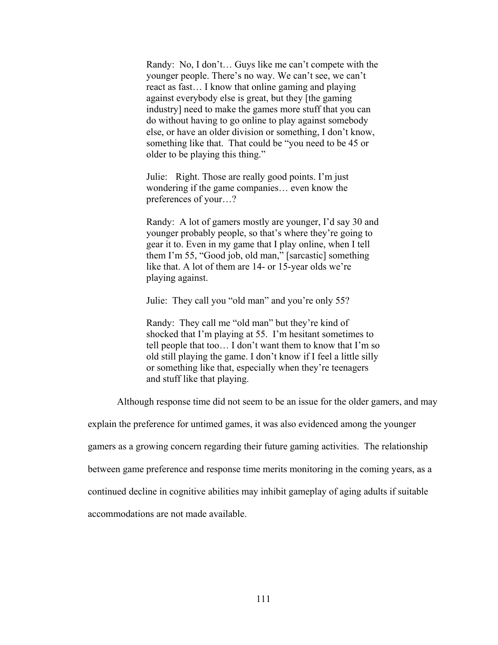Randy: No, I don't… Guys like me can't compete with the younger people. There's no way. We can't see, we can't react as fast… I know that online gaming and playing against everybody else is great, but they [the gaming industry] need to make the games more stuff that you can do without having to go online to play against somebody else, or have an older division or something, I don't know, something like that. That could be "you need to be 45 or older to be playing this thing."

Julie: Right. Those are really good points. I'm just wondering if the game companies… even know the preferences of your…?

Randy: A lot of gamers mostly are younger, I'd say 30 and younger probably people, so that's where they're going to gear it to. Even in my game that I play online, when I tell them I'm 55, "Good job, old man," [sarcastic] something like that. A lot of them are 14- or 15-year olds we're playing against.

Julie: They call you "old man" and you're only 55?

Randy: They call me "old man" but they're kind of shocked that I'm playing at 55. I'm hesitant sometimes to tell people that too… I don't want them to know that I'm so old still playing the game. I don't know if I feel a little silly or something like that, especially when they're teenagers and stuff like that playing.

Although response time did not seem to be an issue for the older gamers, and may

explain the preference for untimed games, it was also evidenced among the younger

gamers as a growing concern regarding their future gaming activities. The relationship

between game preference and response time merits monitoring in the coming years, as a

continued decline in cognitive abilities may inhibit gameplay of aging adults if suitable

accommodations are not made available.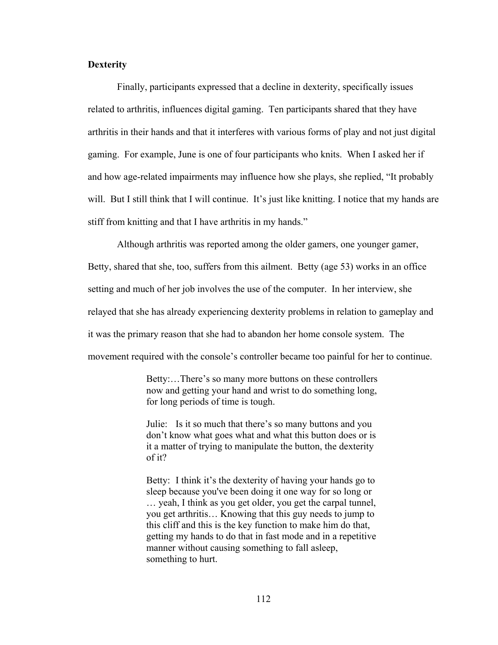# **Dexterity**

 Finally, participants expressed that a decline in dexterity, specifically issues related to arthritis, influences digital gaming. Ten participants shared that they have arthritis in their hands and that it interferes with various forms of play and not just digital gaming. For example, June is one of four participants who knits. When I asked her if and how age-related impairments may influence how she plays, she replied, "It probably will. But I still think that I will continue. It's just like knitting. I notice that my hands are stiff from knitting and that I have arthritis in my hands."

 Although arthritis was reported among the older gamers, one younger gamer, Betty, shared that she, too, suffers from this ailment. Betty (age 53) works in an office setting and much of her job involves the use of the computer. In her interview, she relayed that she has already experiencing dexterity problems in relation to gameplay and it was the primary reason that she had to abandon her home console system. The movement required with the console's controller became too painful for her to continue.

> Betty:…There's so many more buttons on these controllers now and getting your hand and wrist to do something long, for long periods of time is tough.

> Julie: Is it so much that there's so many buttons and you don't know what goes what and what this button does or is it a matter of trying to manipulate the button, the dexterity of it?

> Betty: I think it's the dexterity of having your hands go to sleep because you've been doing it one way for so long or … yeah, I think as you get older, you get the carpal tunnel, you get arthritis… Knowing that this guy needs to jump to this cliff and this is the key function to make him do that, getting my hands to do that in fast mode and in a repetitive manner without causing something to fall asleep, something to hurt.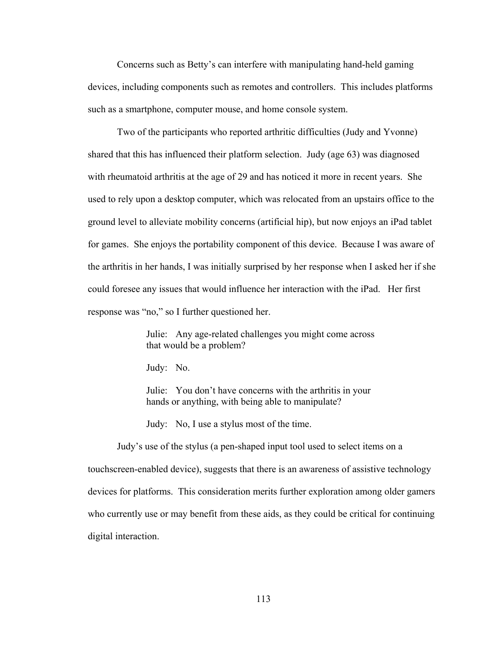Concerns such as Betty's can interfere with manipulating hand-held gaming devices, including components such as remotes and controllers. This includes platforms such as a smartphone, computer mouse, and home console system.

Two of the participants who reported arthritic difficulties (Judy and Yvonne) shared that this has influenced their platform selection. Judy (age 63) was diagnosed with rheumatoid arthritis at the age of 29 and has noticed it more in recent years. She used to rely upon a desktop computer, which was relocated from an upstairs office to the ground level to alleviate mobility concerns (artificial hip), but now enjoys an iPad tablet for games. She enjoys the portability component of this device. Because I was aware of the arthritis in her hands, I was initially surprised by her response when I asked her if she could foresee any issues that would influence her interaction with the iPad. Her first response was "no," so I further questioned her.

> Julie: Any age-related challenges you might come across that would be a problem?

Judy: No.

Julie: You don't have concerns with the arthritis in your hands or anything, with being able to manipulate?

Judy: No, I use a stylus most of the time.

Judy's use of the stylus (a pen-shaped input tool used to select items on a touchscreen-enabled device), suggests that there is an awareness of assistive technology devices for platforms. This consideration merits further exploration among older gamers who currently use or may benefit from these aids, as they could be critical for continuing digital interaction.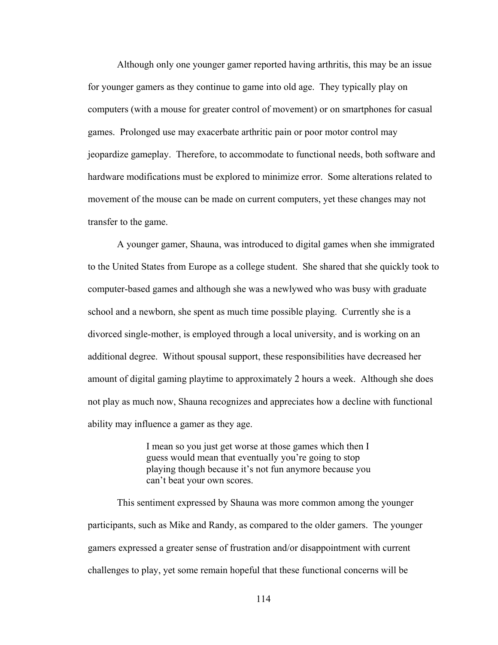Although only one younger gamer reported having arthritis, this may be an issue for younger gamers as they continue to game into old age. They typically play on computers (with a mouse for greater control of movement) or on smartphones for casual games. Prolonged use may exacerbate arthritic pain or poor motor control may jeopardize gameplay. Therefore, to accommodate to functional needs, both software and hardware modifications must be explored to minimize error. Some alterations related to movement of the mouse can be made on current computers, yet these changes may not transfer to the game.

A younger gamer, Shauna, was introduced to digital games when she immigrated to the United States from Europe as a college student. She shared that she quickly took to computer-based games and although she was a newlywed who was busy with graduate school and a newborn, she spent as much time possible playing. Currently she is a divorced single-mother, is employed through a local university, and is working on an additional degree. Without spousal support, these responsibilities have decreased her amount of digital gaming playtime to approximately 2 hours a week. Although she does not play as much now, Shauna recognizes and appreciates how a decline with functional ability may influence a gamer as they age.

> I mean so you just get worse at those games which then I guess would mean that eventually you're going to stop playing though because it's not fun anymore because you can't beat your own scores.

This sentiment expressed by Shauna was more common among the younger participants, such as Mike and Randy, as compared to the older gamers. The younger gamers expressed a greater sense of frustration and/or disappointment with current challenges to play, yet some remain hopeful that these functional concerns will be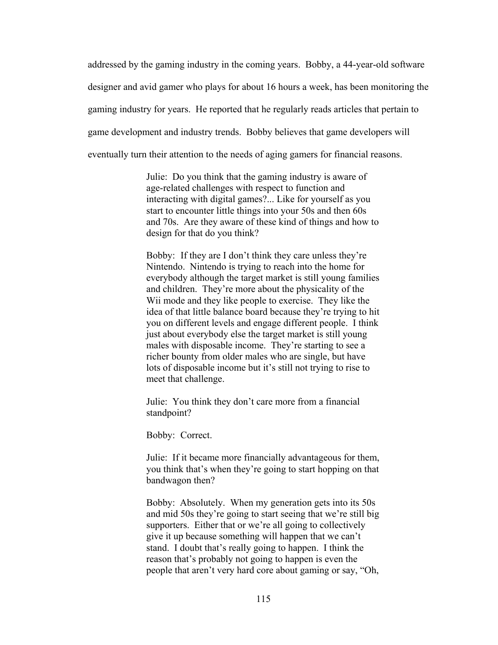addressed by the gaming industry in the coming years. Bobby, a 44-year-old software designer and avid gamer who plays for about 16 hours a week, has been monitoring the gaming industry for years. He reported that he regularly reads articles that pertain to game development and industry trends. Bobby believes that game developers will eventually turn their attention to the needs of aging gamers for financial reasons.

> Julie: Do you think that the gaming industry is aware of age-related challenges with respect to function and interacting with digital games?... Like for yourself as you start to encounter little things into your 50s and then 60s and 70s. Are they aware of these kind of things and how to design for that do you think?

> Bobby: If they are I don't think they care unless they're Nintendo. Nintendo is trying to reach into the home for everybody although the target market is still young families and children. They're more about the physicality of the Wii mode and they like people to exercise. They like the idea of that little balance board because they're trying to hit you on different levels and engage different people. I think just about everybody else the target market is still young males with disposable income. They're starting to see a richer bounty from older males who are single, but have lots of disposable income but it's still not trying to rise to meet that challenge.

Julie: You think they don't care more from a financial standpoint?

Bobby: Correct.

Julie: If it became more financially advantageous for them, you think that's when they're going to start hopping on that bandwagon then?

Bobby: Absolutely. When my generation gets into its 50s and mid 50s they're going to start seeing that we're still big supporters. Either that or we're all going to collectively give it up because something will happen that we can't stand. I doubt that's really going to happen. I think the reason that's probably not going to happen is even the people that aren't very hard core about gaming or say, "Oh,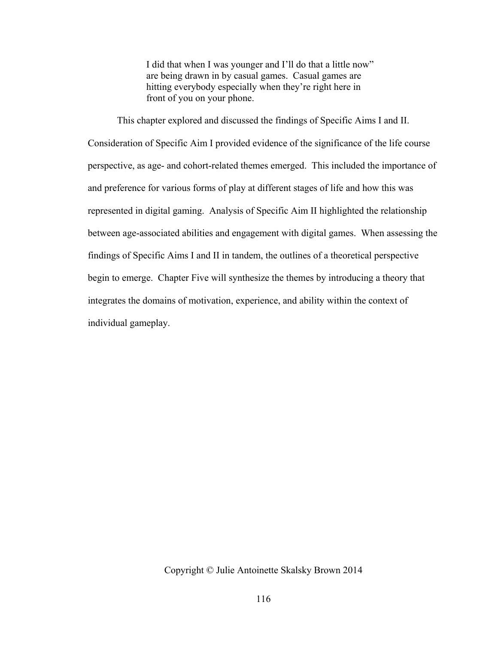I did that when I was younger and I'll do that a little now" are being drawn in by casual games. Casual games are hitting everybody especially when they're right here in front of you on your phone.

This chapter explored and discussed the findings of Specific Aims I and II. Consideration of Specific Aim I provided evidence of the significance of the life course perspective, as age- and cohort-related themes emerged. This included the importance of and preference for various forms of play at different stages of life and how this was represented in digital gaming. Analysis of Specific Aim II highlighted the relationship between age-associated abilities and engagement with digital games. When assessing the findings of Specific Aims I and II in tandem, the outlines of a theoretical perspective begin to emerge. Chapter Five will synthesize the themes by introducing a theory that integrates the domains of motivation, experience, and ability within the context of individual gameplay.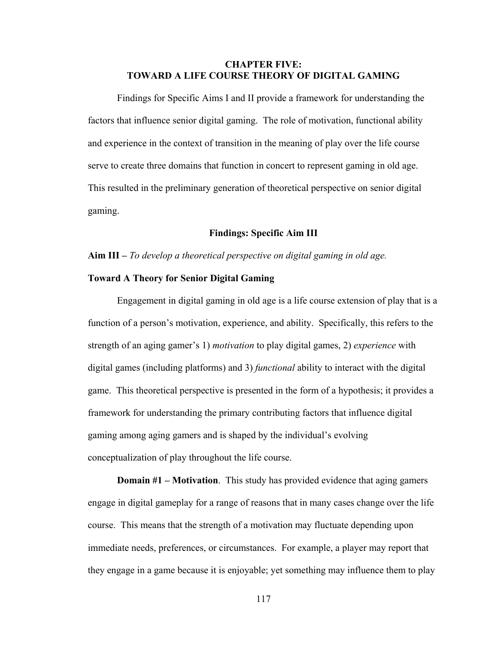# **CHAPTER FIVE: TOWARD A LIFE COURSE THEORY OF DIGITAL GAMING**

 Findings for Specific Aims I and II provide a framework for understanding the factors that influence senior digital gaming. The role of motivation, functional ability and experience in the context of transition in the meaning of play over the life course serve to create three domains that function in concert to represent gaming in old age. This resulted in the preliminary generation of theoretical perspective on senior digital gaming.

## **Findings: Specific Aim III**

#### **Aim III –** *To develop a theoretical perspective on digital gaming in old age.*

### **Toward A Theory for Senior Digital Gaming**

Engagement in digital gaming in old age is a life course extension of play that is a function of a person's motivation, experience, and ability. Specifically, this refers to the strength of an aging gamer's 1) *motivation* to play digital games, 2) *experience* with digital games (including platforms) and 3) *functional* ability to interact with the digital game. This theoretical perspective is presented in the form of a hypothesis; it provides a framework for understanding the primary contributing factors that influence digital gaming among aging gamers and is shaped by the individual's evolving conceptualization of play throughout the life course.

**Domain #1 – Motivation**. This study has provided evidence that aging gamers engage in digital gameplay for a range of reasons that in many cases change over the life course. This means that the strength of a motivation may fluctuate depending upon immediate needs, preferences, or circumstances. For example, a player may report that they engage in a game because it is enjoyable; yet something may influence them to play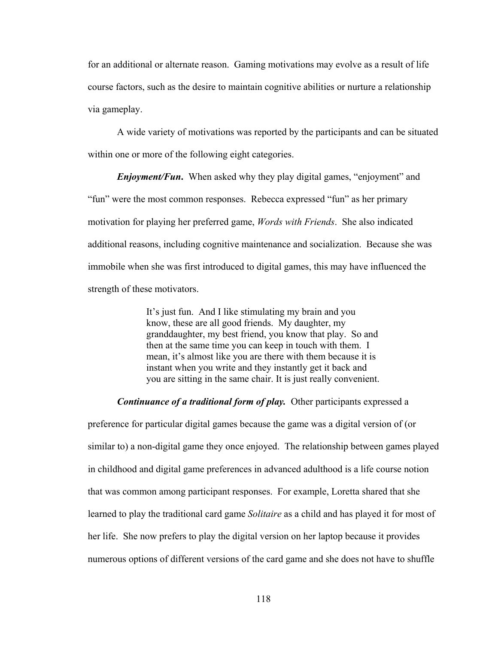for an additional or alternate reason. Gaming motivations may evolve as a result of life course factors, such as the desire to maintain cognitive abilities or nurture a relationship via gameplay.

A wide variety of motivations was reported by the participants and can be situated within one or more of the following eight categories.

*Enjoyment/Fun***.** When asked why they play digital games, "enjoyment" and "fun" were the most common responses. Rebecca expressed "fun" as her primary motivation for playing her preferred game, *Words with Friends*. She also indicated additional reasons, including cognitive maintenance and socialization. Because she was immobile when she was first introduced to digital games, this may have influenced the strength of these motivators.

> It's just fun. And I like stimulating my brain and you know, these are all good friends. My daughter, my granddaughter, my best friend, you know that play. So and then at the same time you can keep in touch with them. I mean, it's almost like you are there with them because it is instant when you write and they instantly get it back and you are sitting in the same chair. It is just really convenient.

### *Continuance of a traditional form of play.* Other participants expressed a

preference for particular digital games because the game was a digital version of (or similar to) a non-digital game they once enjoyed. The relationship between games played in childhood and digital game preferences in advanced adulthood is a life course notion that was common among participant responses. For example, Loretta shared that she learned to play the traditional card game *Solitaire* as a child and has played it for most of her life. She now prefers to play the digital version on her laptop because it provides numerous options of different versions of the card game and she does not have to shuffle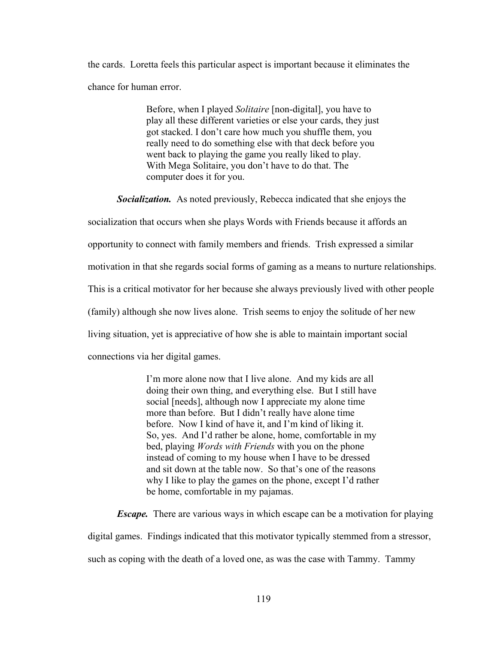the cards. Loretta feels this particular aspect is important because it eliminates the chance for human error.

> Before, when I played *Solitaire* [non-digital], you have to play all these different varieties or else your cards, they just got stacked. I don't care how much you shuffle them, you really need to do something else with that deck before you went back to playing the game you really liked to play. With Mega Solitaire, you don't have to do that. The computer does it for you.

*Socialization.* As noted previously, Rebecca indicated that she enjoys the socialization that occurs when she plays Words with Friends because it affords an opportunity to connect with family members and friends. Trish expressed a similar motivation in that she regards social forms of gaming as a means to nurture relationships. This is a critical motivator for her because she always previously lived with other people (family) although she now lives alone. Trish seems to enjoy the solitude of her new living situation, yet is appreciative of how she is able to maintain important social connections via her digital games.

> I'm more alone now that I live alone. And my kids are all doing their own thing, and everything else. But I still have social [needs], although now I appreciate my alone time more than before. But I didn't really have alone time before. Now I kind of have it, and I'm kind of liking it. So, yes. And I'd rather be alone, home, comfortable in my bed, playing *Words with Friends* with you on the phone instead of coming to my house when I have to be dressed and sit down at the table now. So that's one of the reasons why I like to play the games on the phone, except I'd rather be home, comfortable in my pajamas.

*Escape.* There are various ways in which escape can be a motivation for playing digital games. Findings indicated that this motivator typically stemmed from a stressor, such as coping with the death of a loved one, as was the case with Tammy. Tammy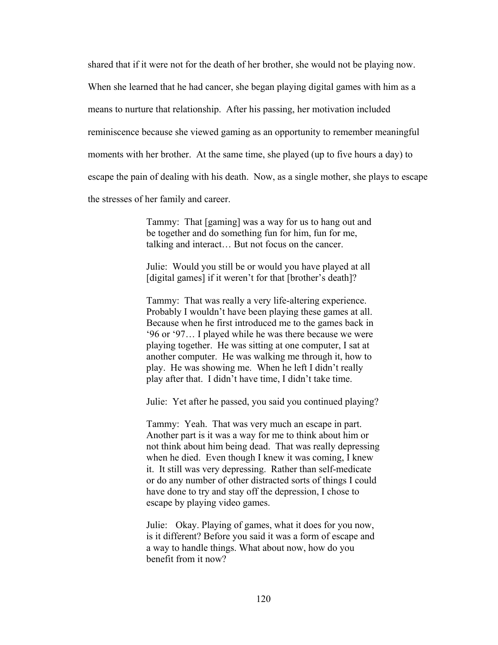shared that if it were not for the death of her brother, she would not be playing now.

When she learned that he had cancer, she began playing digital games with him as a

means to nurture that relationship. After his passing, her motivation included

reminiscence because she viewed gaming as an opportunity to remember meaningful

moments with her brother. At the same time, she played (up to five hours a day) to

escape the pain of dealing with his death. Now, as a single mother, she plays to escape

the stresses of her family and career.

Tammy: That [gaming] was a way for us to hang out and be together and do something fun for him, fun for me, talking and interact… But not focus on the cancer.

Julie: Would you still be or would you have played at all [digital games] if it weren't for that [brother's death]?

Tammy: That was really a very life-altering experience. Probably I wouldn't have been playing these games at all. Because when he first introduced me to the games back in '96 or '97… I played while he was there because we were playing together. He was sitting at one computer, I sat at another computer. He was walking me through it, how to play. He was showing me. When he left I didn't really play after that. I didn't have time, I didn't take time.

Julie: Yet after he passed, you said you continued playing?

Tammy: Yeah. That was very much an escape in part. Another part is it was a way for me to think about him or not think about him being dead. That was really depressing when he died. Even though I knew it was coming, I knew it. It still was very depressing. Rather than self-medicate or do any number of other distracted sorts of things I could have done to try and stay off the depression, I chose to escape by playing video games.

Julie: Okay. Playing of games, what it does for you now, is it different? Before you said it was a form of escape and a way to handle things. What about now, how do you benefit from it now?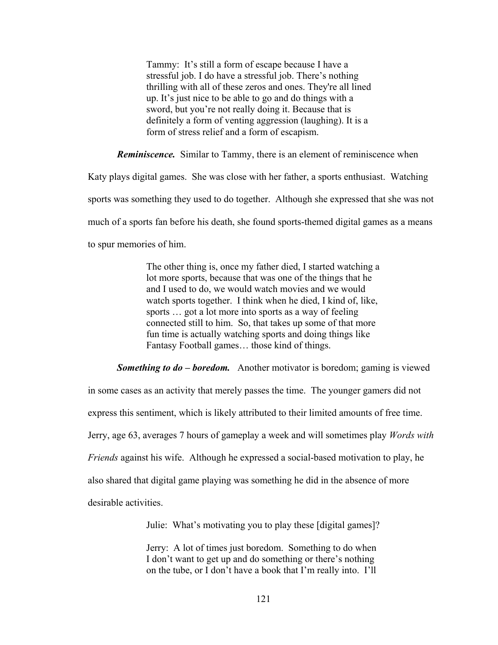Tammy: It's still a form of escape because I have a stressful job. I do have a stressful job. There's nothing thrilling with all of these zeros and ones. They're all lined up. It's just nice to be able to go and do things with a sword, but you're not really doing it. Because that is definitely a form of venting aggression (laughing). It is a form of stress relief and a form of escapism.

*Reminiscence.* Similar to Tammy, there is an element of reminiscence when

Katy plays digital games. She was close with her father, a sports enthusiast. Watching sports was something they used to do together. Although she expressed that she was not much of a sports fan before his death, she found sports-themed digital games as a means to spur memories of him.

> The other thing is, once my father died, I started watching a lot more sports, because that was one of the things that he and I used to do, we would watch movies and we would watch sports together. I think when he died, I kind of, like, sports … got a lot more into sports as a way of feeling connected still to him. So, that takes up some of that more fun time is actually watching sports and doing things like Fantasy Football games… those kind of things.

*Something to do – boredom.* Another motivator is boredom; gaming is viewed

in some cases as an activity that merely passes the time. The younger gamers did not

express this sentiment, which is likely attributed to their limited amounts of free time.

Jerry, age 63, averages 7 hours of gameplay a week and will sometimes play *Words with* 

*Friends* against his wife. Although he expressed a social-based motivation to play, he

also shared that digital game playing was something he did in the absence of more

desirable activities.

Julie: What's motivating you to play these [digital games]?

Jerry: A lot of times just boredom. Something to do when I don't want to get up and do something or there's nothing on the tube, or I don't have a book that I'm really into. I'll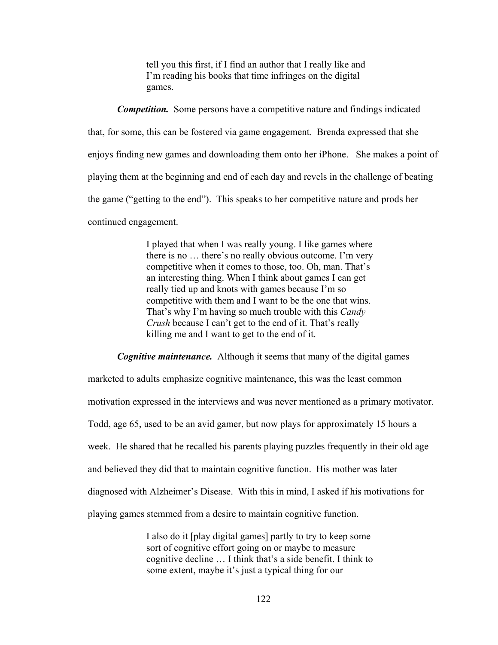tell you this first, if I find an author that I really like and I'm reading his books that time infringes on the digital games.

*Competition.* Some persons have a competitive nature and findings indicated that, for some, this can be fostered via game engagement. Brenda expressed that she enjoys finding new games and downloading them onto her iPhone. She makes a point of playing them at the beginning and end of each day and revels in the challenge of beating the game ("getting to the end"). This speaks to her competitive nature and prods her continued engagement.

> I played that when I was really young. I like games where there is no … there's no really obvious outcome. I'm very competitive when it comes to those, too. Oh, man. That's an interesting thing. When I think about games I can get really tied up and knots with games because I'm so competitive with them and I want to be the one that wins. That's why I'm having so much trouble with this *Candy Crush* because I can't get to the end of it. That's really killing me and I want to get to the end of it.

*Cognitive maintenance.* Although it seems that many of the digital games

marketed to adults emphasize cognitive maintenance, this was the least common motivation expressed in the interviews and was never mentioned as a primary motivator. Todd, age 65, used to be an avid gamer, but now plays for approximately 15 hours a week. He shared that he recalled his parents playing puzzles frequently in their old age and believed they did that to maintain cognitive function. His mother was later diagnosed with Alzheimer's Disease. With this in mind, I asked if his motivations for playing games stemmed from a desire to maintain cognitive function.

> I also do it [play digital games] partly to try to keep some sort of cognitive effort going on or maybe to measure cognitive decline … I think that's a side benefit. I think to some extent, maybe it's just a typical thing for our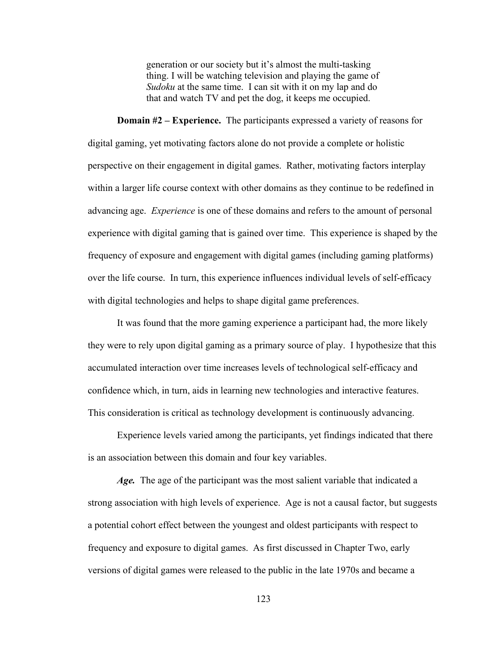generation or our society but it's almost the multi-tasking thing. I will be watching television and playing the game of *Sudoku* at the same time. I can sit with it on my lap and do that and watch TV and pet the dog, it keeps me occupied.

 **Domain #2 – Experience.** The participants expressed a variety of reasons for digital gaming, yet motivating factors alone do not provide a complete or holistic perspective on their engagement in digital games. Rather, motivating factors interplay within a larger life course context with other domains as they continue to be redefined in advancing age. *Experience* is one of these domains and refers to the amount of personal experience with digital gaming that is gained over time. This experience is shaped by the frequency of exposure and engagement with digital games (including gaming platforms) over the life course. In turn, this experience influences individual levels of self-efficacy with digital technologies and helps to shape digital game preferences.

 It was found that the more gaming experience a participant had, the more likely they were to rely upon digital gaming as a primary source of play. I hypothesize that this accumulated interaction over time increases levels of technological self-efficacy and confidence which, in turn, aids in learning new technologies and interactive features. This consideration is critical as technology development is continuously advancing.

 Experience levels varied among the participants, yet findings indicated that there is an association between this domain and four key variables.

*Age.* The age of the participant was the most salient variable that indicated a strong association with high levels of experience. Age is not a causal factor, but suggests a potential cohort effect between the youngest and oldest participants with respect to frequency and exposure to digital games. As first discussed in Chapter Two, early versions of digital games were released to the public in the late 1970s and became a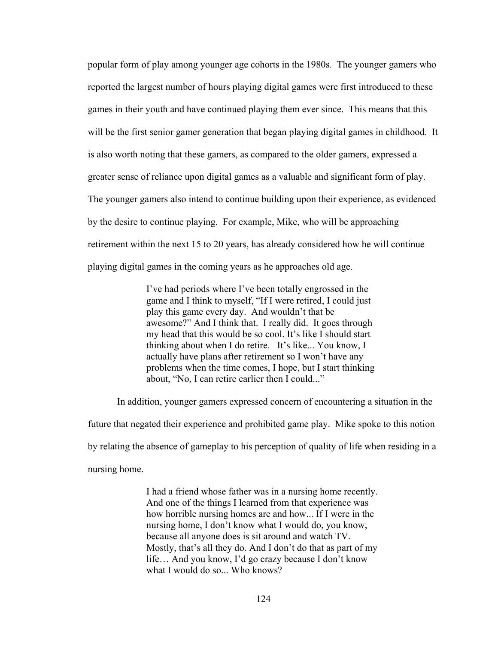popular form of play among younger age cohorts in the 1980s. The younger gamers who reported the largest number of hours playing digital games were first introduced to these games in their youth and have continued playing them ever since. This means that this will be the first senior gamer generation that began playing digital games in childhood. It is also worth noting that these gamers, as compared to the older gamers, expressed a greater sense of reliance upon digital games as a valuable and significant form of play. The younger gamers also intend to continue building upon their experience, as evidenced by the desire to continue playing. For example, Mike, who will be approaching retirement within the next 15 to 20 years, has already considered how he will continue playing digital games in the coming years as he approaches old age.

> I've had periods where I've been totally engrossed in the game and I think to myself, "If I were retired, I could just play this game every day. And wouldn't that be awesome?" And I think that. I really did. It goes through my head that this would be so cool. It's like I should start thinking about when I do retire. It's like... You know, I actually have plans after retirement so I won't have any problems when the time comes, I hope, but I start thinking about, "No, I can retire earlier then I could..."

 In addition, younger gamers expressed concern of encountering a situation in the future that negated their experience and prohibited game play. Mike spoke to this notion by relating the absence of gameplay to his perception of quality of life when residing in a nursing home.

> I had a friend whose father was in a nursing home recently. And one of the things I learned from that experience was how horrible nursing homes are and how... If I were in the nursing home, I don't know what I would do, you know, because all anyone does is sit around and watch TV. Mostly, that's all they do. And I don't do that as part of my life… And you know, I'd go crazy because I don't know what I would do so... Who knows?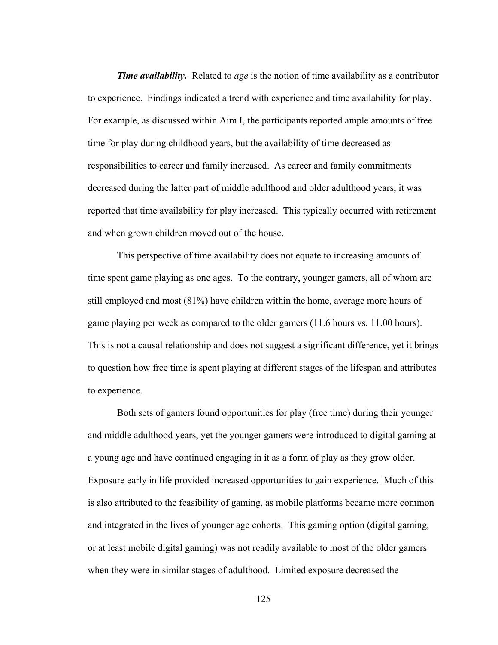*Time availability.* Related to *age* is the notion of time availability as a contributor to experience. Findings indicated a trend with experience and time availability for play. For example, as discussed within Aim I, the participants reported ample amounts of free time for play during childhood years, but the availability of time decreased as responsibilities to career and family increased. As career and family commitments decreased during the latter part of middle adulthood and older adulthood years, it was reported that time availability for play increased. This typically occurred with retirement and when grown children moved out of the house.

 This perspective of time availability does not equate to increasing amounts of time spent game playing as one ages. To the contrary, younger gamers, all of whom are still employed and most (81%) have children within the home, average more hours of game playing per week as compared to the older gamers (11.6 hours vs. 11.00 hours). This is not a causal relationship and does not suggest a significant difference, yet it brings to question how free time is spent playing at different stages of the lifespan and attributes to experience.

Both sets of gamers found opportunities for play (free time) during their younger and middle adulthood years, yet the younger gamers were introduced to digital gaming at a young age and have continued engaging in it as a form of play as they grow older. Exposure early in life provided increased opportunities to gain experience. Much of this is also attributed to the feasibility of gaming, as mobile platforms became more common and integrated in the lives of younger age cohorts. This gaming option (digital gaming, or at least mobile digital gaming) was not readily available to most of the older gamers when they were in similar stages of adulthood. Limited exposure decreased the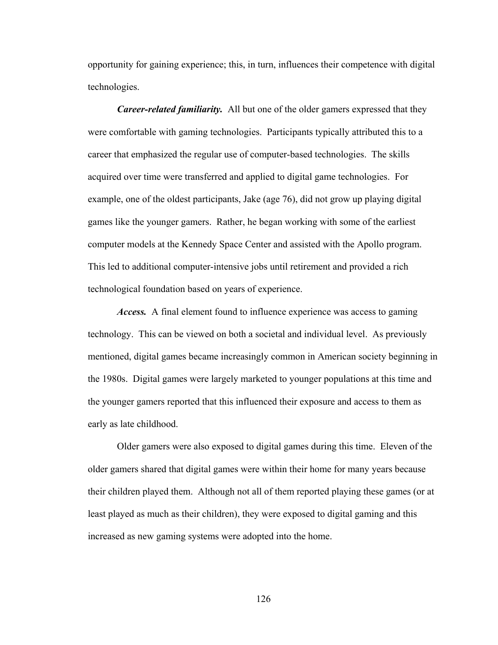opportunity for gaining experience; this, in turn, influences their competence with digital technologies.

*Career-related familiarity.* All but one of the older gamers expressed that they were comfortable with gaming technologies. Participants typically attributed this to a career that emphasized the regular use of computer-based technologies. The skills acquired over time were transferred and applied to digital game technologies. For example, one of the oldest participants, Jake (age 76), did not grow up playing digital games like the younger gamers. Rather, he began working with some of the earliest computer models at the Kennedy Space Center and assisted with the Apollo program. This led to additional computer-intensive jobs until retirement and provided a rich technological foundation based on years of experience.

*Access.* A final element found to influence experience was access to gaming technology. This can be viewed on both a societal and individual level. As previously mentioned, digital games became increasingly common in American society beginning in the 1980s. Digital games were largely marketed to younger populations at this time and the younger gamers reported that this influenced their exposure and access to them as early as late childhood.

Older gamers were also exposed to digital games during this time. Eleven of the older gamers shared that digital games were within their home for many years because their children played them. Although not all of them reported playing these games (or at least played as much as their children), they were exposed to digital gaming and this increased as new gaming systems were adopted into the home.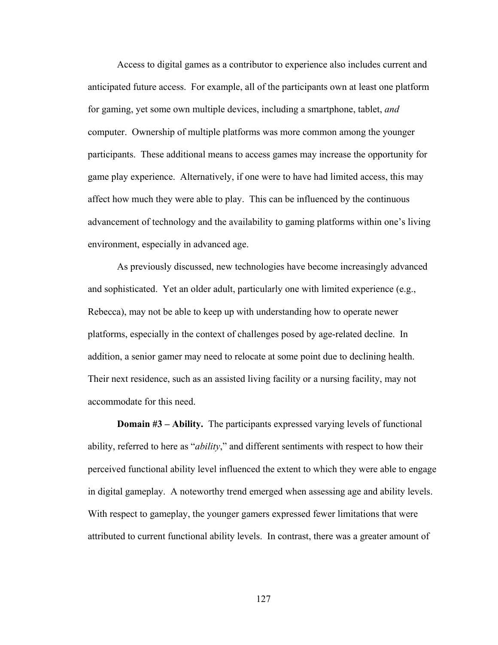Access to digital games as a contributor to experience also includes current and anticipated future access. For example, all of the participants own at least one platform for gaming, yet some own multiple devices, including a smartphone, tablet, *and* computer. Ownership of multiple platforms was more common among the younger participants. These additional means to access games may increase the opportunity for game play experience. Alternatively, if one were to have had limited access, this may affect how much they were able to play. This can be influenced by the continuous advancement of technology and the availability to gaming platforms within one's living environment, especially in advanced age.

As previously discussed, new technologies have become increasingly advanced and sophisticated. Yet an older adult, particularly one with limited experience (e.g., Rebecca), may not be able to keep up with understanding how to operate newer platforms, especially in the context of challenges posed by age-related decline. In addition, a senior gamer may need to relocate at some point due to declining health. Their next residence, such as an assisted living facility or a nursing facility, may not accommodate for this need.

 **Domain #3 – Ability.** The participants expressed varying levels of functional ability, referred to here as "*ability*," and different sentiments with respect to how their perceived functional ability level influenced the extent to which they were able to engage in digital gameplay. A noteworthy trend emerged when assessing age and ability levels. With respect to gameplay, the younger gamers expressed fewer limitations that were attributed to current functional ability levels. In contrast, there was a greater amount of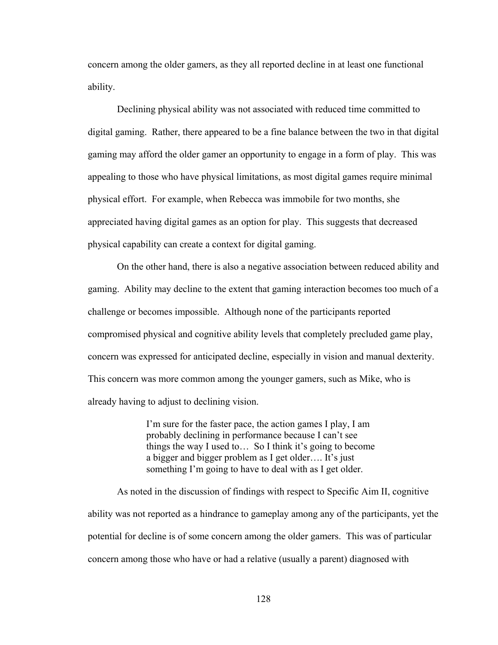concern among the older gamers, as they all reported decline in at least one functional ability.

Declining physical ability was not associated with reduced time committed to digital gaming. Rather, there appeared to be a fine balance between the two in that digital gaming may afford the older gamer an opportunity to engage in a form of play. This was appealing to those who have physical limitations, as most digital games require minimal physical effort. For example, when Rebecca was immobile for two months, she appreciated having digital games as an option for play. This suggests that decreased physical capability can create a context for digital gaming.

On the other hand, there is also a negative association between reduced ability and gaming. Ability may decline to the extent that gaming interaction becomes too much of a challenge or becomes impossible. Although none of the participants reported compromised physical and cognitive ability levels that completely precluded game play, concern was expressed for anticipated decline, especially in vision and manual dexterity. This concern was more common among the younger gamers, such as Mike, who is already having to adjust to declining vision.

> I'm sure for the faster pace, the action games I play, I am probably declining in performance because I can't see things the way I used to… So I think it's going to become a bigger and bigger problem as I get older…. It's just something I'm going to have to deal with as I get older.

As noted in the discussion of findings with respect to Specific Aim II, cognitive ability was not reported as a hindrance to gameplay among any of the participants, yet the potential for decline is of some concern among the older gamers. This was of particular concern among those who have or had a relative (usually a parent) diagnosed with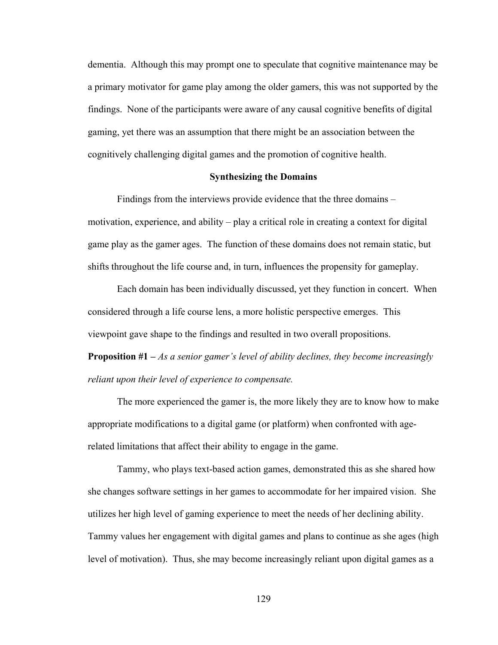dementia. Although this may prompt one to speculate that cognitive maintenance may be a primary motivator for game play among the older gamers, this was not supported by the findings. None of the participants were aware of any causal cognitive benefits of digital gaming, yet there was an assumption that there might be an association between the cognitively challenging digital games and the promotion of cognitive health.

## **Synthesizing the Domains**

 Findings from the interviews provide evidence that the three domains – motivation, experience, and ability – play a critical role in creating a context for digital game play as the gamer ages. The function of these domains does not remain static, but shifts throughout the life course and, in turn, influences the propensity for gameplay.

 Each domain has been individually discussed, yet they function in concert. When considered through a life course lens, a more holistic perspective emerges. This viewpoint gave shape to the findings and resulted in two overall propositions.

**Proposition #1 –** *As a senior gamer's level of ability declines, they become increasingly reliant upon their level of experience to compensate.*

The more experienced the gamer is, the more likely they are to know how to make appropriate modifications to a digital game (or platform) when confronted with agerelated limitations that affect their ability to engage in the game.

Tammy, who plays text-based action games, demonstrated this as she shared how she changes software settings in her games to accommodate for her impaired vision. She utilizes her high level of gaming experience to meet the needs of her declining ability. Tammy values her engagement with digital games and plans to continue as she ages (high level of motivation). Thus, she may become increasingly reliant upon digital games as a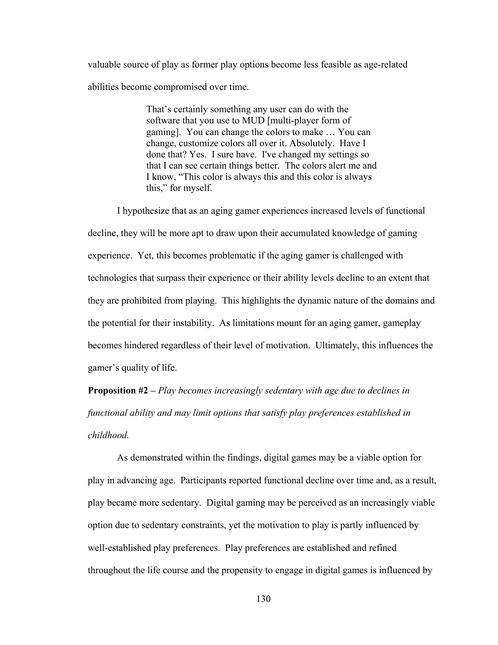valuable source of play as former play options become less feasible as age-related abilities become compromised over time.

> That's certainly something any user can do with the software that you use to MUD [multi-player form of gaming]. You can change the colors to make … You can change, customize colors all over it. Absolutely. Have I done that? Yes. I sure have. I've changed my settings so that I can see certain things better. The colors alert me and I know, "This color is always this and this color is always this," for myself.

I hypothesize that as an aging gamer experiences increased levels of functional decline, they will be more apt to draw upon their accumulated knowledge of gaming experience. Yet, this becomes problematic if the aging gamer is challenged with technologies that surpass their experience or their ability levels decline to an extent that they are prohibited from playing. This highlights the dynamic nature of the domains and the potential for their instability. As limitations mount for an aging gamer, gameplay becomes hindered regardless of their level of motivation. Ultimately, this influences the gamer's quality of life.

**Proposition #2 –** *Play becomes increasingly sedentary with age due to declines in functional ability and may limit options that satisfy play preferences established in childhood.*

As demonstrated within the findings, digital games may be a viable option for play in advancing age. Participants reported functional decline over time and, as a result, play became more sedentary. Digital gaming may be perceived as an increasingly viable option due to sedentary constraints, yet the motivation to play is partly influenced by well-established play preferences. Play preferences are established and refined throughout the life course and the propensity to engage in digital games is influenced by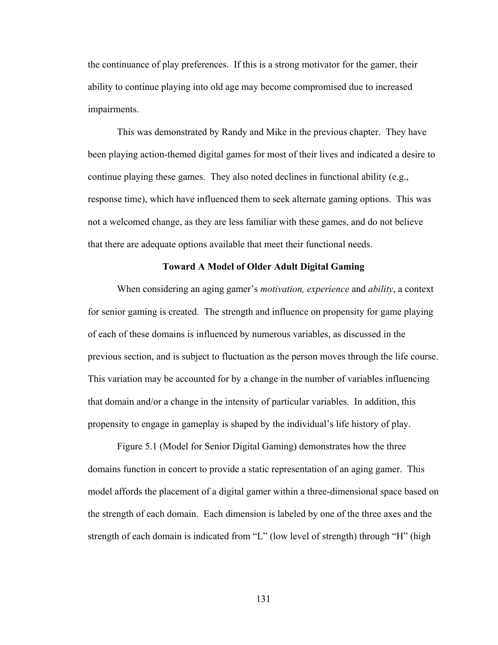the continuance of play preferences. If this is a strong motivator for the gamer, their ability to continue playing into old age may become compromised due to increased impairments.

This was demonstrated by Randy and Mike in the previous chapter. They have been playing action-themed digital games for most of their lives and indicated a desire to continue playing these games. They also noted declines in functional ability (e.g., response time), which have influenced them to seek alternate gaming options. This was not a welcomed change, as they are less familiar with these games, and do not believe that there are adequate options available that meet their functional needs.

#### **Toward A Model of Older Adult Digital Gaming**

 When considering an aging gamer's *motivation, experience* and *ability*, a context for senior gaming is created. The strength and influence on propensity for game playing of each of these domains is influenced by numerous variables, as discussed in the previous section, and is subject to fluctuation as the person moves through the life course. This variation may be accounted for by a change in the number of variables influencing that domain and/or a change in the intensity of particular variables. In addition, this propensity to engage in gameplay is shaped by the individual's life history of play.

 Figure 5.1 (Model for Senior Digital Gaming) demonstrates how the three domains function in concert to provide a static representation of an aging gamer. This model affords the placement of a digital gamer within a three-dimensional space based on the strength of each domain. Each dimension is labeled by one of the three axes and the strength of each domain is indicated from "L" (low level of strength) through "H" (high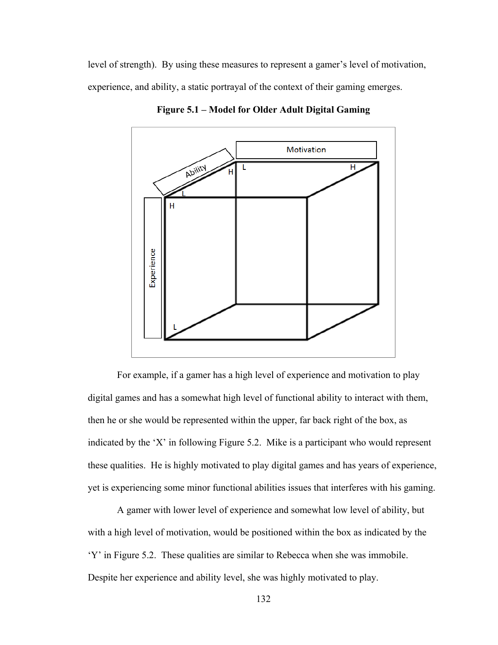level of strength). By using these measures to represent a gamer's level of motivation, experience, and ability, a static portrayal of the context of their gaming emerges.



**Figure 5.1 – Model for Older Adult Digital Gaming** 

 For example, if a gamer has a high level of experience and motivation to play digital games and has a somewhat high level of functional ability to interact with them, then he or she would be represented within the upper, far back right of the box, as indicated by the 'X' in following Figure 5.2. Mike is a participant who would represent these qualities. He is highly motivated to play digital games and has years of experience, yet is experiencing some minor functional abilities issues that interferes with his gaming.

 A gamer with lower level of experience and somewhat low level of ability, but with a high level of motivation, would be positioned within the box as indicated by the 'Y' in Figure 5.2. These qualities are similar to Rebecca when she was immobile. Despite her experience and ability level, she was highly motivated to play.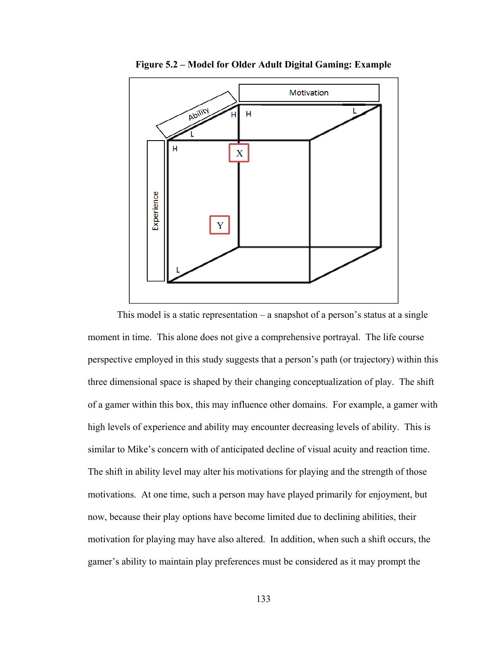

**Figure 5.2 – Model for Older Adult Digital Gaming: Example** 

This model is a static representation  $-\alpha$  snapshot of a person's status at a single moment in time. This alone does not give a comprehensive portrayal. The life course perspective employed in this study suggests that a person's path (or trajectory) within this three dimensional space is shaped by their changing conceptualization of play. The shift of a gamer within this box, this may influence other domains. For example, a gamer with high levels of experience and ability may encounter decreasing levels of ability. This is similar to Mike's concern with of anticipated decline of visual acuity and reaction time. The shift in ability level may alter his motivations for playing and the strength of those motivations. At one time, such a person may have played primarily for enjoyment, but now, because their play options have become limited due to declining abilities, their motivation for playing may have also altered. In addition, when such a shift occurs, the gamer's ability to maintain play preferences must be considered as it may prompt the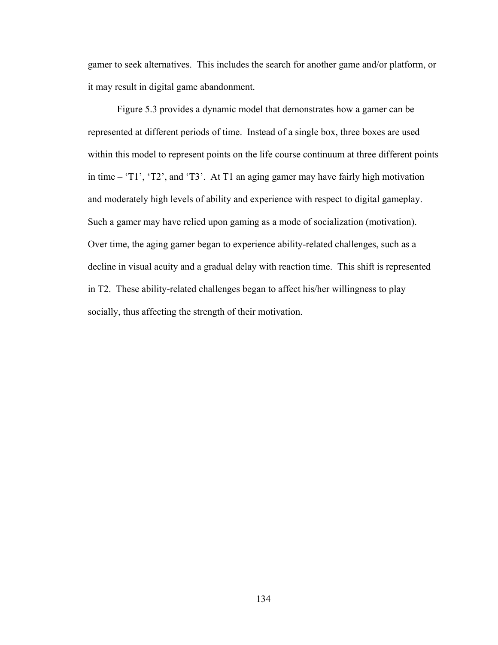gamer to seek alternatives. This includes the search for another game and/or platform, or it may result in digital game abandonment.

Figure 5.3 provides a dynamic model that demonstrates how a gamer can be represented at different periods of time. Instead of a single box, three boxes are used within this model to represent points on the life course continuum at three different points in time – 'T1', 'T2', and 'T3'. At T1 an aging gamer may have fairly high motivation and moderately high levels of ability and experience with respect to digital gameplay. Such a gamer may have relied upon gaming as a mode of socialization (motivation). Over time, the aging gamer began to experience ability-related challenges, such as a decline in visual acuity and a gradual delay with reaction time. This shift is represented in T2. These ability-related challenges began to affect his/her willingness to play socially, thus affecting the strength of their motivation.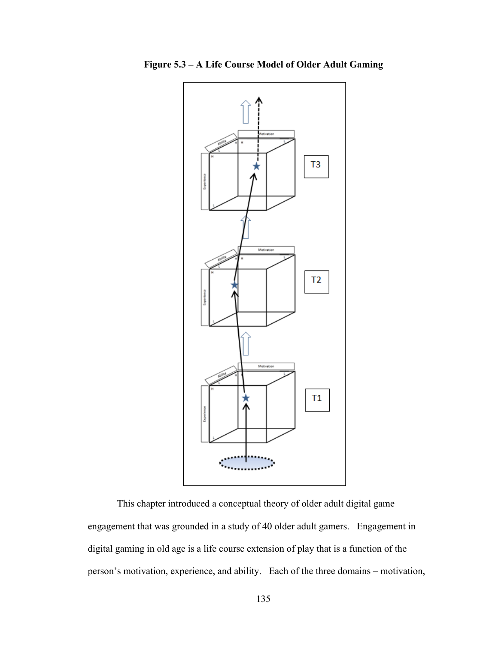

**Figure 5.3 – A Life Course Model of Older Adult Gaming**

This chapter introduced a conceptual theory of older adult digital game engagement that was grounded in a study of 40 older adult gamers. Engagement in digital gaming in old age is a life course extension of play that is a function of the person's motivation, experience, and ability. Each of the three domains – motivation,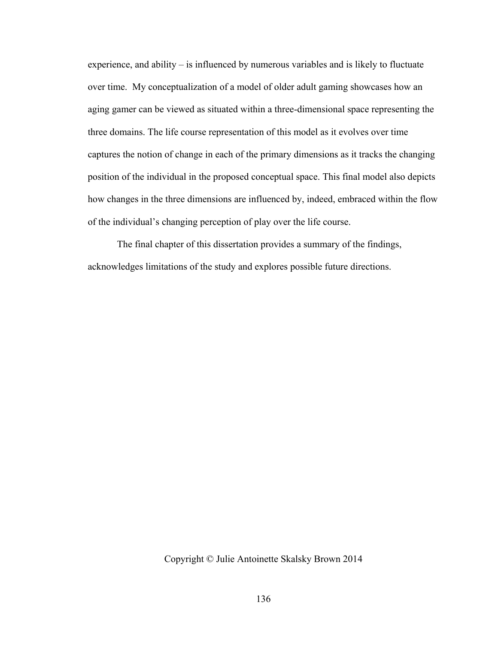experience, and ability – is influenced by numerous variables and is likely to fluctuate over time. My conceptualization of a model of older adult gaming showcases how an aging gamer can be viewed as situated within a three-dimensional space representing the three domains. The life course representation of this model as it evolves over time captures the notion of change in each of the primary dimensions as it tracks the changing position of the individual in the proposed conceptual space. This final model also depicts how changes in the three dimensions are influenced by, indeed, embraced within the flow of the individual's changing perception of play over the life course.

The final chapter of this dissertation provides a summary of the findings, acknowledges limitations of the study and explores possible future directions.

Copyright © Julie Antoinette Skalsky Brown 2014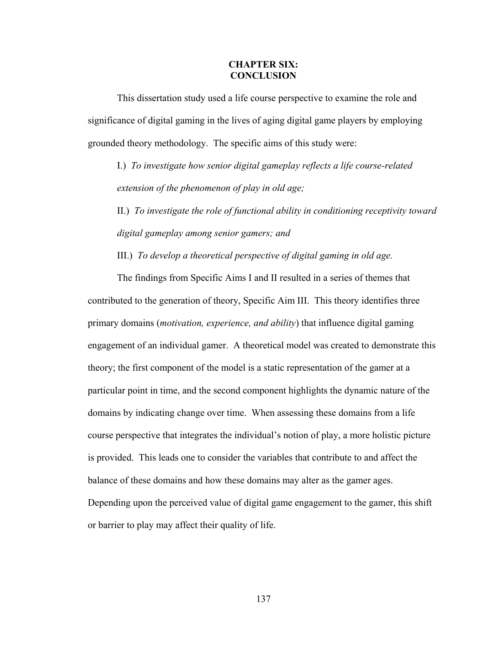#### **CHAPTER SIX: CONCLUSION**

 This dissertation study used a life course perspective to examine the role and significance of digital gaming in the lives of aging digital game players by employing grounded theory methodology. The specific aims of this study were:

I.) *To investigate how senior digital gameplay reflects a life course-related extension of the phenomenon of play in old age;* 

II.) *To investigate the role of functional ability in conditioning receptivity toward digital gameplay among senior gamers; and*

III.) *To develop a theoretical perspective of digital gaming in old age.* 

 The findings from Specific Aims I and II resulted in a series of themes that contributed to the generation of theory, Specific Aim III. This theory identifies three primary domains (*motivation, experience, and ability*) that influence digital gaming engagement of an individual gamer. A theoretical model was created to demonstrate this theory; the first component of the model is a static representation of the gamer at a particular point in time, and the second component highlights the dynamic nature of the domains by indicating change over time. When assessing these domains from a life course perspective that integrates the individual's notion of play, a more holistic picture is provided. This leads one to consider the variables that contribute to and affect the balance of these domains and how these domains may alter as the gamer ages. Depending upon the perceived value of digital game engagement to the gamer, this shift or barrier to play may affect their quality of life.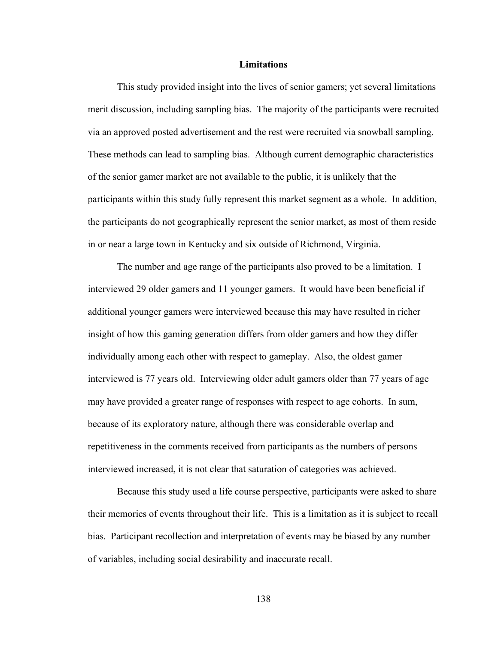#### **Limitations**

 This study provided insight into the lives of senior gamers; yet several limitations merit discussion, including sampling bias. The majority of the participants were recruited via an approved posted advertisement and the rest were recruited via snowball sampling. These methods can lead to sampling bias. Although current demographic characteristics of the senior gamer market are not available to the public, it is unlikely that the participants within this study fully represent this market segment as a whole. In addition, the participants do not geographically represent the senior market, as most of them reside in or near a large town in Kentucky and six outside of Richmond, Virginia.

 The number and age range of the participants also proved to be a limitation. I interviewed 29 older gamers and 11 younger gamers. It would have been beneficial if additional younger gamers were interviewed because this may have resulted in richer insight of how this gaming generation differs from older gamers and how they differ individually among each other with respect to gameplay. Also, the oldest gamer interviewed is 77 years old. Interviewing older adult gamers older than 77 years of age may have provided a greater range of responses with respect to age cohorts. In sum, because of its exploratory nature, although there was considerable overlap and repetitiveness in the comments received from participants as the numbers of persons interviewed increased, it is not clear that saturation of categories was achieved.

 Because this study used a life course perspective, participants were asked to share their memories of events throughout their life. This is a limitation as it is subject to recall bias. Participant recollection and interpretation of events may be biased by any number of variables, including social desirability and inaccurate recall.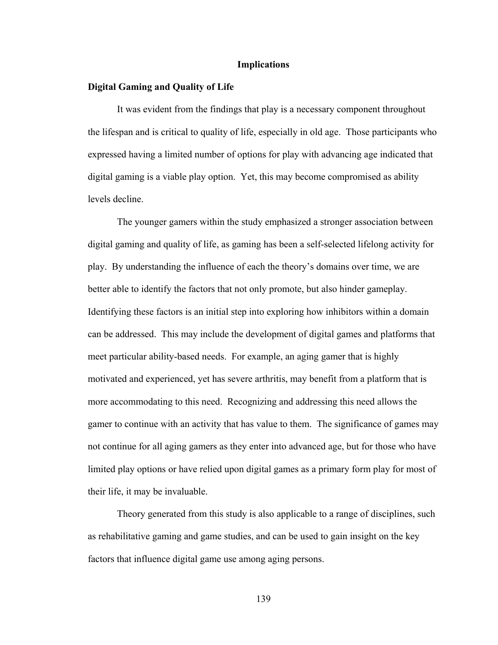#### **Implications**

#### **Digital Gaming and Quality of Life**

 It was evident from the findings that play is a necessary component throughout the lifespan and is critical to quality of life, especially in old age. Those participants who expressed having a limited number of options for play with advancing age indicated that digital gaming is a viable play option. Yet, this may become compromised as ability levels decline.

 The younger gamers within the study emphasized a stronger association between digital gaming and quality of life, as gaming has been a self-selected lifelong activity for play. By understanding the influence of each the theory's domains over time, we are better able to identify the factors that not only promote, but also hinder gameplay. Identifying these factors is an initial step into exploring how inhibitors within a domain can be addressed. This may include the development of digital games and platforms that meet particular ability-based needs. For example, an aging gamer that is highly motivated and experienced, yet has severe arthritis, may benefit from a platform that is more accommodating to this need. Recognizing and addressing this need allows the gamer to continue with an activity that has value to them. The significance of games may not continue for all aging gamers as they enter into advanced age, but for those who have limited play options or have relied upon digital games as a primary form play for most of their life, it may be invaluable.

 Theory generated from this study is also applicable to a range of disciplines, such as rehabilitative gaming and game studies, and can be used to gain insight on the key factors that influence digital game use among aging persons.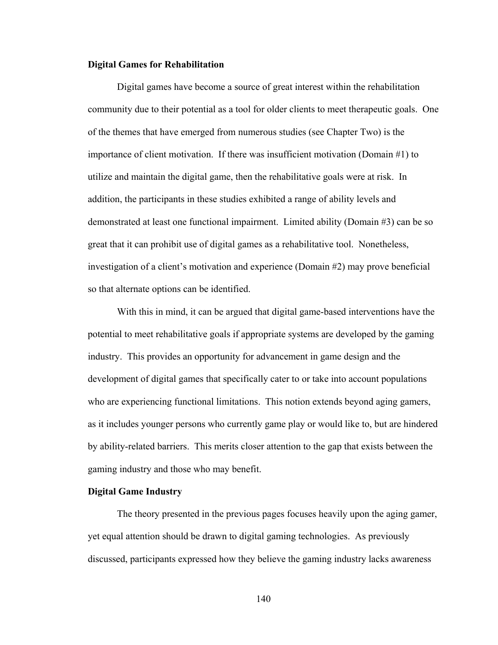#### **Digital Games for Rehabilitation**

Digital games have become a source of great interest within the rehabilitation community due to their potential as a tool for older clients to meet therapeutic goals. One of the themes that have emerged from numerous studies (see Chapter Two) is the importance of client motivation. If there was insufficient motivation (Domain #1) to utilize and maintain the digital game, then the rehabilitative goals were at risk. In addition, the participants in these studies exhibited a range of ability levels and demonstrated at least one functional impairment. Limited ability (Domain #3) can be so great that it can prohibit use of digital games as a rehabilitative tool. Nonetheless, investigation of a client's motivation and experience (Domain #2) may prove beneficial so that alternate options can be identified.

With this in mind, it can be argued that digital game-based interventions have the potential to meet rehabilitative goals if appropriate systems are developed by the gaming industry. This provides an opportunity for advancement in game design and the development of digital games that specifically cater to or take into account populations who are experiencing functional limitations. This notion extends beyond aging gamers, as it includes younger persons who currently game play or would like to, but are hindered by ability-related barriers. This merits closer attention to the gap that exists between the gaming industry and those who may benefit.

#### **Digital Game Industry**

The theory presented in the previous pages focuses heavily upon the aging gamer, yet equal attention should be drawn to digital gaming technologies. As previously discussed, participants expressed how they believe the gaming industry lacks awareness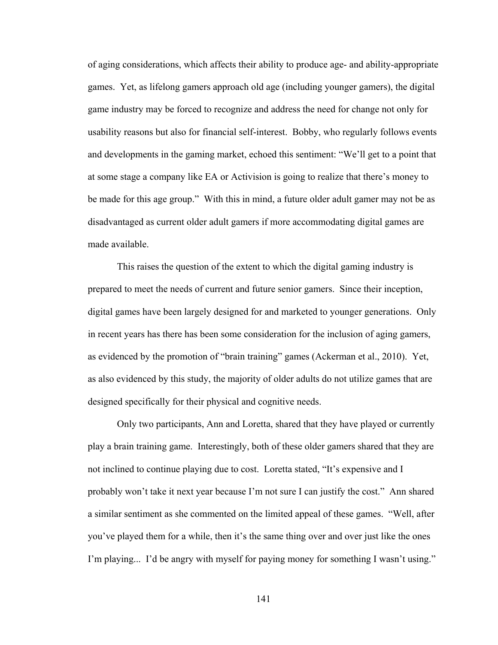of aging considerations, which affects their ability to produce age- and ability-appropriate games. Yet, as lifelong gamers approach old age (including younger gamers), the digital game industry may be forced to recognize and address the need for change not only for usability reasons but also for financial self-interest. Bobby, who regularly follows events and developments in the gaming market, echoed this sentiment: "We'll get to a point that at some stage a company like EA or Activision is going to realize that there's money to be made for this age group." With this in mind, a future older adult gamer may not be as disadvantaged as current older adult gamers if more accommodating digital games are made available.

 This raises the question of the extent to which the digital gaming industry is prepared to meet the needs of current and future senior gamers. Since their inception, digital games have been largely designed for and marketed to younger generations. Only in recent years has there has been some consideration for the inclusion of aging gamers, as evidenced by the promotion of "brain training" games (Ackerman et al., 2010). Yet, as also evidenced by this study, the majority of older adults do not utilize games that are designed specifically for their physical and cognitive needs.

 Only two participants, Ann and Loretta, shared that they have played or currently play a brain training game. Interestingly, both of these older gamers shared that they are not inclined to continue playing due to cost. Loretta stated, "It's expensive and I probably won't take it next year because I'm not sure I can justify the cost." Ann shared a similar sentiment as she commented on the limited appeal of these games. "Well, after you've played them for a while, then it's the same thing over and over just like the ones I'm playing... I'd be angry with myself for paying money for something I wasn't using."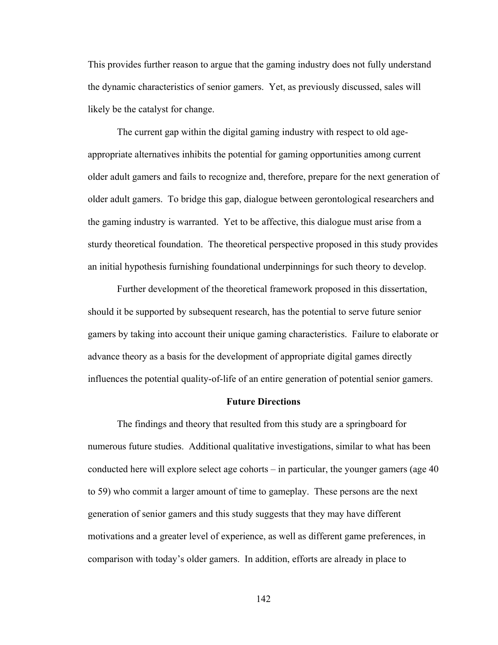This provides further reason to argue that the gaming industry does not fully understand the dynamic characteristics of senior gamers. Yet, as previously discussed, sales will likely be the catalyst for change.

The current gap within the digital gaming industry with respect to old ageappropriate alternatives inhibits the potential for gaming opportunities among current older adult gamers and fails to recognize and, therefore, prepare for the next generation of older adult gamers. To bridge this gap, dialogue between gerontological researchers and the gaming industry is warranted. Yet to be affective, this dialogue must arise from a sturdy theoretical foundation. The theoretical perspective proposed in this study provides an initial hypothesis furnishing foundational underpinnings for such theory to develop.

Further development of the theoretical framework proposed in this dissertation, should it be supported by subsequent research, has the potential to serve future senior gamers by taking into account their unique gaming characteristics. Failure to elaborate or advance theory as a basis for the development of appropriate digital games directly influences the potential quality-of-life of an entire generation of potential senior gamers.

#### **Future Directions**

The findings and theory that resulted from this study are a springboard for numerous future studies. Additional qualitative investigations, similar to what has been conducted here will explore select age cohorts – in particular, the younger gamers (age 40 to 59) who commit a larger amount of time to gameplay. These persons are the next generation of senior gamers and this study suggests that they may have different motivations and a greater level of experience, as well as different game preferences, in comparison with today's older gamers. In addition, efforts are already in place to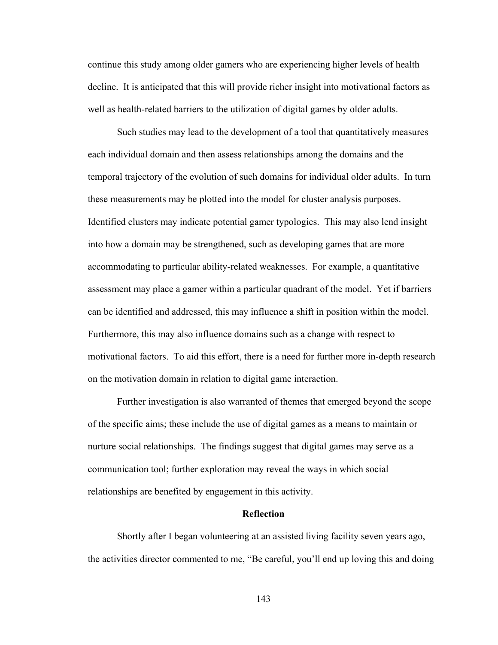continue this study among older gamers who are experiencing higher levels of health decline. It is anticipated that this will provide richer insight into motivational factors as well as health-related barriers to the utilization of digital games by older adults.

 Such studies may lead to the development of a tool that quantitatively measures each individual domain and then assess relationships among the domains and the temporal trajectory of the evolution of such domains for individual older adults. In turn these measurements may be plotted into the model for cluster analysis purposes. Identified clusters may indicate potential gamer typologies. This may also lend insight into how a domain may be strengthened, such as developing games that are more accommodating to particular ability-related weaknesses. For example, a quantitative assessment may place a gamer within a particular quadrant of the model. Yet if barriers can be identified and addressed, this may influence a shift in position within the model. Furthermore, this may also influence domains such as a change with respect to motivational factors. To aid this effort, there is a need for further more in-depth research on the motivation domain in relation to digital game interaction.

 Further investigation is also warranted of themes that emerged beyond the scope of the specific aims; these include the use of digital games as a means to maintain or nurture social relationships. The findings suggest that digital games may serve as a communication tool; further exploration may reveal the ways in which social relationships are benefited by engagement in this activity.

#### **Reflection**

 Shortly after I began volunteering at an assisted living facility seven years ago, the activities director commented to me, "Be careful, you'll end up loving this and doing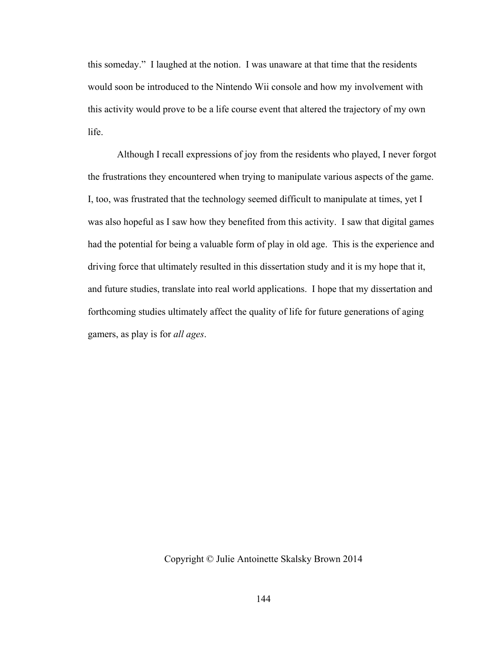this someday." I laughed at the notion. I was unaware at that time that the residents would soon be introduced to the Nintendo Wii console and how my involvement with this activity would prove to be a life course event that altered the trajectory of my own life.

 Although I recall expressions of joy from the residents who played, I never forgot the frustrations they encountered when trying to manipulate various aspects of the game. I, too, was frustrated that the technology seemed difficult to manipulate at times, yet I was also hopeful as I saw how they benefited from this activity. I saw that digital games had the potential for being a valuable form of play in old age. This is the experience and driving force that ultimately resulted in this dissertation study and it is my hope that it, and future studies, translate into real world applications. I hope that my dissertation and forthcoming studies ultimately affect the quality of life for future generations of aging gamers, as play is for *all ages*.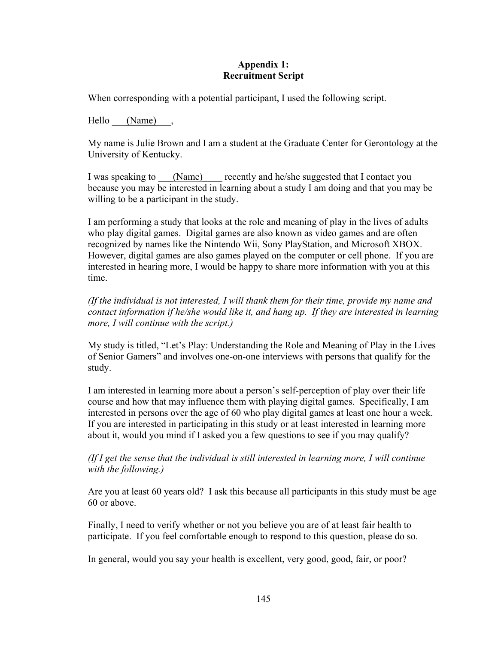### **Appendix 1: Recruitment Script**

When corresponding with a potential participant, I used the following script.

Hello  $(Name)$ ,

My name is Julie Brown and I am a student at the Graduate Center for Gerontology at the University of Kentucky.

I was speaking to (Name) recently and he/she suggested that I contact you because you may be interested in learning about a study I am doing and that you may be willing to be a participant in the study.

I am performing a study that looks at the role and meaning of play in the lives of adults who play digital games. Digital games are also known as video games and are often recognized by names like the Nintendo Wii, Sony PlayStation, and Microsoft XBOX. However, digital games are also games played on the computer or cell phone. If you are interested in hearing more, I would be happy to share more information with you at this time.

*(If the individual is not interested, I will thank them for their time, provide my name and contact information if he/she would like it, and hang up. If they are interested in learning more, I will continue with the script.)* 

My study is titled, "Let's Play: Understanding the Role and Meaning of Play in the Lives of Senior Gamers" and involves one-on-one interviews with persons that qualify for the study.

I am interested in learning more about a person's self-perception of play over their life course and how that may influence them with playing digital games. Specifically, I am interested in persons over the age of 60 who play digital games at least one hour a week. If you are interested in participating in this study or at least interested in learning more about it, would you mind if I asked you a few questions to see if you may qualify?

*(If I get the sense that the individual is still interested in learning more, I will continue with the following.)* 

Are you at least 60 years old? I ask this because all participants in this study must be age 60 or above.

Finally, I need to verify whether or not you believe you are of at least fair health to participate. If you feel comfortable enough to respond to this question, please do so.

In general, would you say your health is excellent, very good, good, fair, or poor?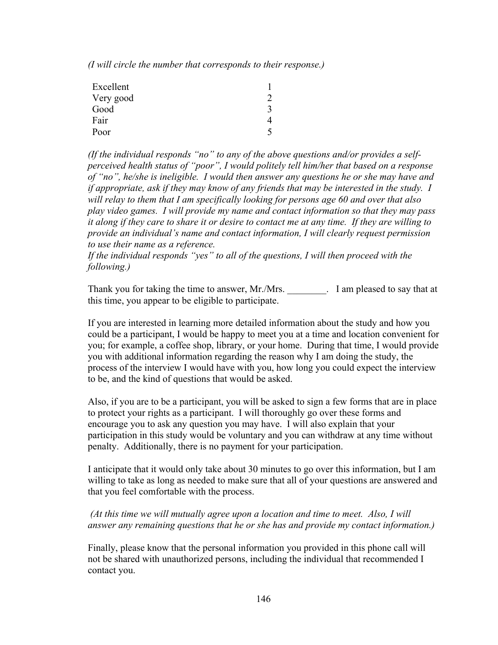*(I will circle the number that corresponds to their response.)* 

| Excellent |  |
|-----------|--|
| Very good |  |
| Good      |  |
| Fair      |  |
| Poor      |  |

*(If the individual responds "no" to any of the above questions and/or provides a selfperceived health status of "poor", I would politely tell him/her that based on a response of "no", he/she is ineligible. I would then answer any questions he or she may have and if appropriate, ask if they may know of any friends that may be interested in the study. I will relay to them that I am specifically looking for persons age 60 and over that also play video games. I will provide my name and contact information so that they may pass it along if they care to share it or desire to contact me at any time. If they are willing to provide an individual's name and contact information, I will clearly request permission to use their name as a reference.* 

*If the individual responds "yes" to all of the questions, I will then proceed with the following.)* 

Thank you for taking the time to answer, Mr./Mrs. \_\_\_\_\_\_\_\_\_. I am pleased to say that at this time, you appear to be eligible to participate.

If you are interested in learning more detailed information about the study and how you could be a participant, I would be happy to meet you at a time and location convenient for you; for example, a coffee shop, library, or your home. During that time, I would provide you with additional information regarding the reason why I am doing the study, the process of the interview I would have with you, how long you could expect the interview to be, and the kind of questions that would be asked.

Also, if you are to be a participant, you will be asked to sign a few forms that are in place to protect your rights as a participant. I will thoroughly go over these forms and encourage you to ask any question you may have. I will also explain that your participation in this study would be voluntary and you can withdraw at any time without penalty. Additionally, there is no payment for your participation.

I anticipate that it would only take about 30 minutes to go over this information, but I am willing to take as long as needed to make sure that all of your questions are answered and that you feel comfortable with the process.

### *(At this time we will mutually agree upon a location and time to meet. Also, I will answer any remaining questions that he or she has and provide my contact information.)*

Finally, please know that the personal information you provided in this phone call will not be shared with unauthorized persons, including the individual that recommended I contact you.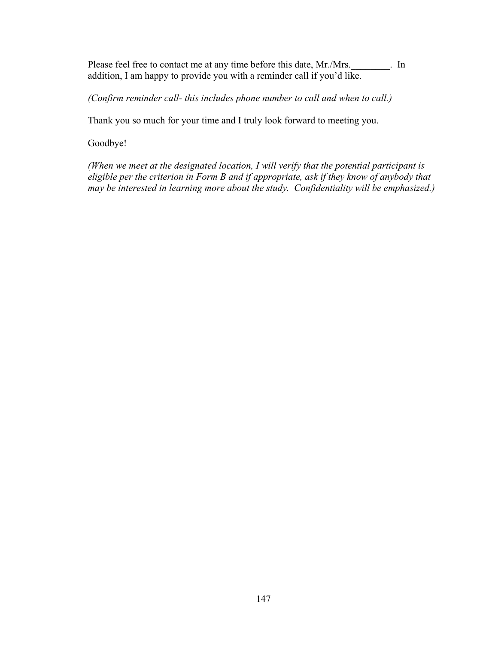Please feel free to contact me at any time before this date, Mr./Mrs. 11 addition, I am happy to provide you with a reminder call if you'd like.

*(Confirm reminder call- this includes phone number to call and when to call.)* 

Thank you so much for your time and I truly look forward to meeting you.

Goodbye!

*(When we meet at the designated location, I will verify that the potential participant is eligible per the criterion in Form B and if appropriate, ask if they know of anybody that may be interested in learning more about the study. Confidentiality will be emphasized.)*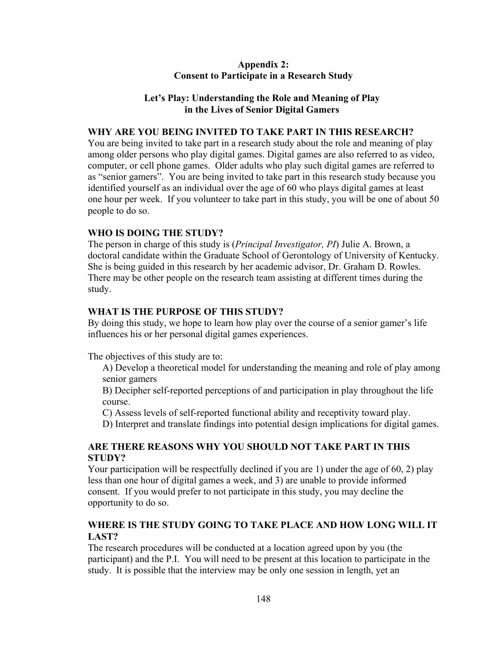### **Appendix 2: Consent to Participate in a Research Study**

### **Let's Play: Understanding the Role and Meaning of Play in the Lives of Senior Digital Gamers**

### **WHY ARE YOU BEING INVITED TO TAKE PART IN THIS RESEARCH?**

You are being invited to take part in a research study about the role and meaning of play among older persons who play digital games. Digital games are also referred to as video, computer, or cell phone games. Older adults who play such digital games are referred to as "senior gamers". You are being invited to take part in this research study because you identified yourself as an individual over the age of 60 who plays digital games at least one hour per week. If you volunteer to take part in this study, you will be one of about 50 people to do so.

#### **WHO IS DOING THE STUDY?**

The person in charge of this study is (*Principal Investigator, PI*) Julie A. Brown, a doctoral candidate within the Graduate School of Gerontology of University of Kentucky. She is being guided in this research by her academic advisor, Dr. Graham D. Rowles. There may be other people on the research team assisting at different times during the study.

### **WHAT IS THE PURPOSE OF THIS STUDY?**

By doing this study, we hope to learn how play over the course of a senior gamer's life influences his or her personal digital games experiences.

The objectives of this study are to:

A) Develop a theoretical model for understanding the meaning and role of play among senior gamers

B) Decipher self-reported perceptions of and participation in play throughout the life course.

C) Assess levels of self-reported functional ability and receptivity toward play.

D) Interpret and translate findings into potential design implications for digital games.

## **ARE THERE REASONS WHY YOU SHOULD NOT TAKE PART IN THIS STUDY?**

Your participation will be respectfully declined if you are 1) under the age of 60, 2) play less than one hour of digital games a week, and 3) are unable to provide informed consent. If you would prefer to not participate in this study, you may decline the opportunity to do so.

## **WHERE IS THE STUDY GOING TO TAKE PLACE AND HOW LONG WILL IT LAST?**

The research procedures will be conducted at a location agreed upon by you (the participant) and the P.I. You will need to be present at this location to participate in the study. It is possible that the interview may be only one session in length, yet an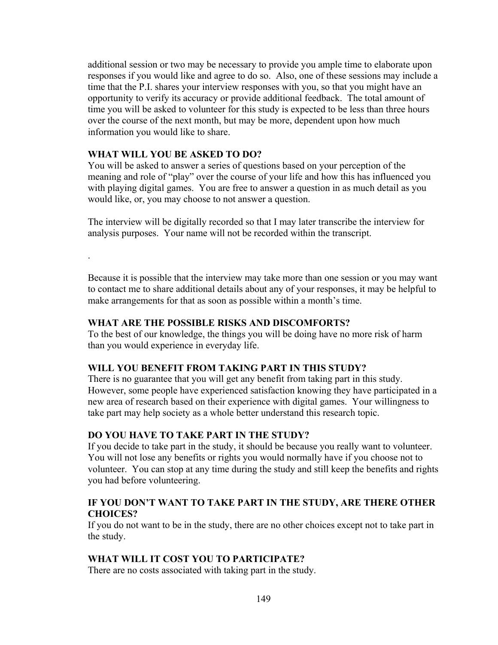additional session or two may be necessary to provide you ample time to elaborate upon responses if you would like and agree to do so. Also, one of these sessions may include a time that the P.I. shares your interview responses with you, so that you might have an opportunity to verify its accuracy or provide additional feedback. The total amount of time you will be asked to volunteer for this study is expected to be less than three hours over the course of the next month, but may be more, dependent upon how much information you would like to share.

### **WHAT WILL YOU BE ASKED TO DO?**

.

You will be asked to answer a series of questions based on your perception of the meaning and role of "play" over the course of your life and how this has influenced you with playing digital games. You are free to answer a question in as much detail as you would like, or, you may choose to not answer a question.

The interview will be digitally recorded so that I may later transcribe the interview for analysis purposes. Your name will not be recorded within the transcript.

Because it is possible that the interview may take more than one session or you may want to contact me to share additional details about any of your responses, it may be helpful to make arrangements for that as soon as possible within a month's time.

### **WHAT ARE THE POSSIBLE RISKS AND DISCOMFORTS?**

To the best of our knowledge, the things you will be doing have no more risk of harm than you would experience in everyday life.

### **WILL YOU BENEFIT FROM TAKING PART IN THIS STUDY?**

There is no guarantee that you will get any benefit from taking part in this study. However, some people have experienced satisfaction knowing they have participated in a new area of research based on their experience with digital games. Your willingness to take part may help society as a whole better understand this research topic.

### **DO YOU HAVE TO TAKE PART IN THE STUDY?**

If you decide to take part in the study, it should be because you really want to volunteer. You will not lose any benefits or rights you would normally have if you choose not to volunteer. You can stop at any time during the study and still keep the benefits and rights you had before volunteering.

## **IF YOU DON'T WANT TO TAKE PART IN THE STUDY, ARE THERE OTHER CHOICES?**

If you do not want to be in the study, there are no other choices except not to take part in the study.

## **WHAT WILL IT COST YOU TO PARTICIPATE?**

There are no costs associated with taking part in the study.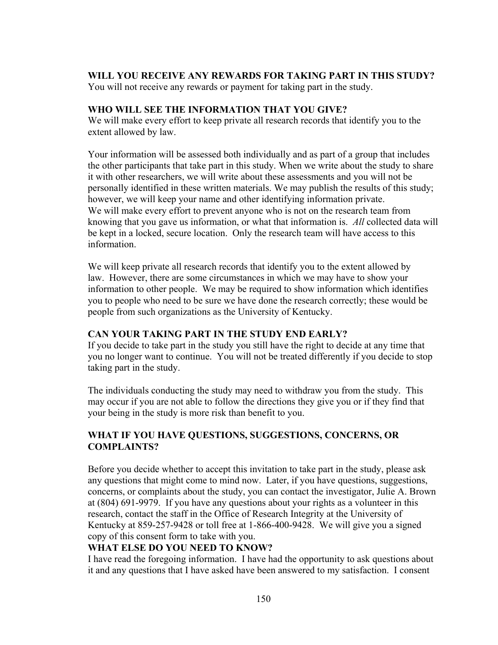## **WILL YOU RECEIVE ANY REWARDS FOR TAKING PART IN THIS STUDY?**

You will not receive any rewards or payment for taking part in the study.

## **WHO WILL SEE THE INFORMATION THAT YOU GIVE?**

We will make every effort to keep private all research records that identify you to the extent allowed by law.

Your information will be assessed both individually and as part of a group that includes the other participants that take part in this study. When we write about the study to share it with other researchers, we will write about these assessments and you will not be personally identified in these written materials. We may publish the results of this study; however, we will keep your name and other identifying information private. We will make every effort to prevent anyone who is not on the research team from knowing that you gave us information, or what that information is. *All* collected data will be kept in a locked, secure location. Only the research team will have access to this information.

We will keep private all research records that identify you to the extent allowed by law. However, there are some circumstances in which we may have to show your information to other people. We may be required to show information which identifies you to people who need to be sure we have done the research correctly; these would be people from such organizations as the University of Kentucky.

## **CAN YOUR TAKING PART IN THE STUDY END EARLY?**

If you decide to take part in the study you still have the right to decide at any time that you no longer want to continue. You will not be treated differently if you decide to stop taking part in the study.

The individuals conducting the study may need to withdraw you from the study. This may occur if you are not able to follow the directions they give you or if they find that your being in the study is more risk than benefit to you.

## **WHAT IF YOU HAVE QUESTIONS, SUGGESTIONS, CONCERNS, OR COMPLAINTS?**

Before you decide whether to accept this invitation to take part in the study, please ask any questions that might come to mind now. Later, if you have questions, suggestions, concerns, or complaints about the study, you can contact the investigator, Julie A. Brown at (804) 691-9979. If you have any questions about your rights as a volunteer in this research, contact the staff in the Office of Research Integrity at the University of Kentucky at 859-257-9428 or toll free at 1-866-400-9428. We will give you a signed copy of this consent form to take with you.

## **WHAT ELSE DO YOU NEED TO KNOW?**

I have read the foregoing information. I have had the opportunity to ask questions about it and any questions that I have asked have been answered to my satisfaction. I consent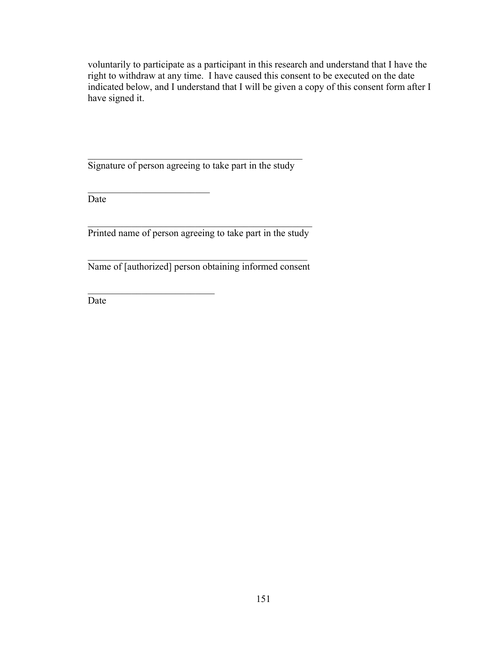voluntarily to participate as a participant in this research and understand that I have the right to withdraw at any time. I have caused this consent to be executed on the date indicated below, and I understand that I will be given a copy of this consent form after I have signed it.

Signature of person agreeing to take part in the study

 $\mathcal{L}_\text{max}$  , where  $\mathcal{L}_\text{max}$  , we are the set of the set of the set of the set of the set of the set of the set of the set of the set of the set of the set of the set of the set of the set of the set of the set of

 $\mathcal{L}_\text{max}$  , where  $\mathcal{L}_\text{max}$  and  $\mathcal{L}_\text{max}$ 

Date

 $\mathcal{L}_\text{max}$  and the contract of the contract of the contract of the contract of the contract of the contract of the contract of the contract of the contract of the contract of the contract of the contract of the contrac Printed name of person agreeing to take part in the study

 $\mathcal{L}_\text{max}$  and  $\mathcal{L}_\text{max}$  and  $\mathcal{L}_\text{max}$  and  $\mathcal{L}_\text{max}$  and  $\mathcal{L}_\text{max}$ Name of [authorized] person obtaining informed consent

Date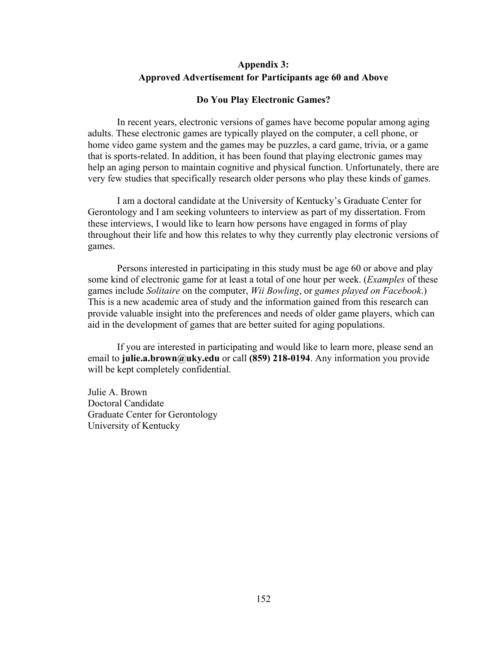## **Appendix 3: Approved Advertisement for Participants age 60 and Above**

#### **Do You Play Electronic Games?**

In recent years, electronic versions of games have become popular among aging adults. These electronic games are typically played on the computer, a cell phone, or home video game system and the games may be puzzles, a card game, trivia, or a game that is sports-related. In addition, it has been found that playing electronic games may help an aging person to maintain cognitive and physical function. Unfortunately, there are very few studies that specifically research older persons who play these kinds of games.

I am a doctoral candidate at the University of Kentucky's Graduate Center for Gerontology and I am seeking volunteers to interview as part of my dissertation. From these interviews, I would like to learn how persons have engaged in forms of play throughout their life and how this relates to why they currently play electronic versions of games.

Persons interested in participating in this study must be age 60 or above and play some kind of electronic game for at least a total of one hour per week. (*Examples* of these games include *Solitaire* on the computer, *Wii Bowling*, or *games played on Facebook*.) This is a new academic area of study and the information gained from this research can provide valuable insight into the preferences and needs of older game players, which can aid in the development of games that are better suited for aging populations.

If you are interested in participating and would like to learn more, please send an email to **julie.a.brown@uky.edu** or call **(859) 218-0194**. Any information you provide will be kept completely confidential.

Julie A. Brown Doctoral Candidate Graduate Center for Gerontology University of Kentucky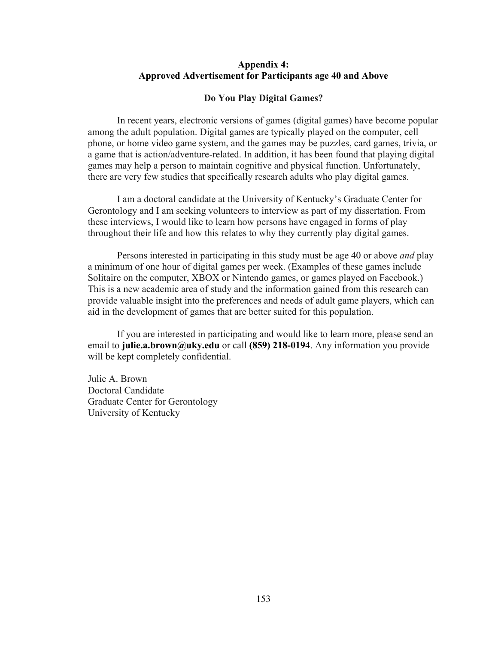#### **Appendix 4: Approved Advertisement for Participants age 40 and Above**

#### **Do You Play Digital Games?**

 In recent years, electronic versions of games (digital games) have become popular among the adult population. Digital games are typically played on the computer, cell phone, or home video game system, and the games may be puzzles, card games, trivia, or a game that is action/adventure-related. In addition, it has been found that playing digital games may help a person to maintain cognitive and physical function. Unfortunately, there are very few studies that specifically research adults who play digital games.

 I am a doctoral candidate at the University of Kentucky's Graduate Center for Gerontology and I am seeking volunteers to interview as part of my dissertation. From these interviews, I would like to learn how persons have engaged in forms of play throughout their life and how this relates to why they currently play digital games.

 Persons interested in participating in this study must be age 40 or above *and* play a minimum of one hour of digital games per week. (Examples of these games include Solitaire on the computer, XBOX or Nintendo games, or games played on Facebook.) This is a new academic area of study and the information gained from this research can provide valuable insight into the preferences and needs of adult game players, which can aid in the development of games that are better suited for this population.

 If you are interested in participating and would like to learn more, please send an email to **julie.a.brown@uky.edu** or call **(859) 218-0194**. Any information you provide will be kept completely confidential.

Julie A. Brown Doctoral Candidate Graduate Center for Gerontology University of Kentucky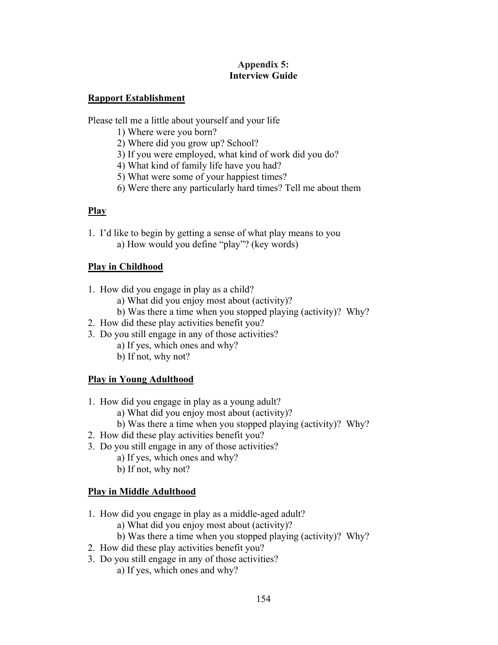### **Appendix 5: Interview Guide**

## **Rapport Establishment**

Please tell me a little about yourself and your life

- 1) Where were you born?
- 2) Where did you grow up? School?
- 3) If you were employed, what kind of work did you do?
- 4) What kind of family life have you had?
- 5) What were some of your happiest times?
- 6) Were there any particularly hard times? Tell me about them

## **Play**

1. I'd like to begin by getting a sense of what play means to you a) How would you define "play"? (key words)

## **Play in Childhood**

- 1. How did you engage in play as a child?
	- a) What did you enjoy most about (activity)?
	- b) Was there a time when you stopped playing (activity)? Why?
- 2. How did these play activities benefit you?
- 3. Do you still engage in any of those activities?
	- a) If yes, which ones and why?
	- b) If not, why not?

# **Play in Young Adulthood**

- 1. How did you engage in play as a young adult?
	- a) What did you enjoy most about (activity)?
	- b) Was there a time when you stopped playing (activity)? Why?
- 2. How did these play activities benefit you?
- 3. Do you still engage in any of those activities?
	- a) If yes, which ones and why?
	- b) If not, why not?

# **Play in Middle Adulthood**

- 1. How did you engage in play as a middle-aged adult?
	- a) What did you enjoy most about (activity)?
	- b) Was there a time when you stopped playing (activity)? Why?
- 2. How did these play activities benefit you?
- 3. Do you still engage in any of those activities?
	- a) If yes, which ones and why?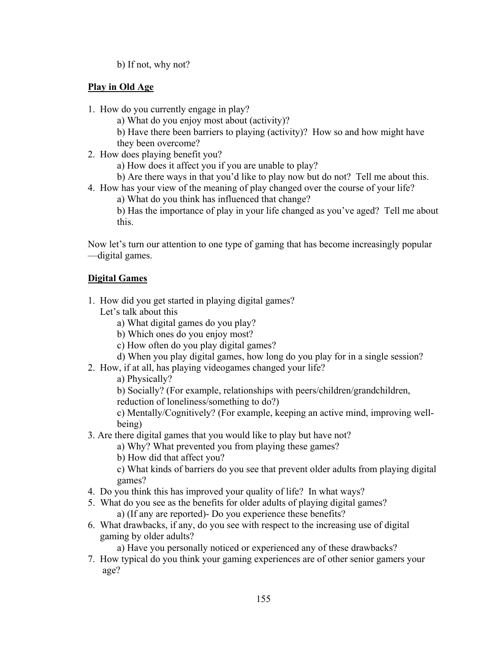b) If not, why not?

## **Play in Old Age**

- 1. How do you currently engage in play?
	- a) What do you enjoy most about (activity)?
	- b) Have there been barriers to playing (activity)? How so and how might have they been overcome?
- 2. How does playing benefit you?
	- a) How does it affect you if you are unable to play?
	- b) Are there ways in that you'd like to play now but do not? Tell me about this.
- 4. How has your view of the meaning of play changed over the course of your life?
	- a) What do you think has influenced that change?
	- b) Has the importance of play in your life changed as you've aged? Tell me about this.

Now let's turn our attention to one type of gaming that has become increasingly popular —digital games.

# **Digital Games**

- 1. How did you get started in playing digital games?
	- Let's talk about this
		- a) What digital games do you play?
		- b) Which ones do you enjoy most?
		- c) How often do you play digital games?
		- d) When you play digital games, how long do you play for in a single session?
- 2. How, if at all, has playing videogames changed your life?

a) Physically?

b) Socially? (For example, relationships with peers/children/grandchildren,

reduction of loneliness/something to do?)

 c) Mentally/Cognitively? (For example, keeping an active mind, improving well being)

3. Are there digital games that you would like to play but have not?

a) Why? What prevented you from playing these games?

b) How did that affect you?

 c) What kinds of barriers do you see that prevent older adults from playing digital games?

- 4. Do you think this has improved your quality of life? In what ways?
- 5. What do you see as the benefits for older adults of playing digital games?

a) (If any are reported)- Do you experience these benefits?

6. What drawbacks, if any, do you see with respect to the increasing use of digital gaming by older adults?

a) Have you personally noticed or experienced any of these drawbacks?

7. How typical do you think your gaming experiences are of other senior gamers your age?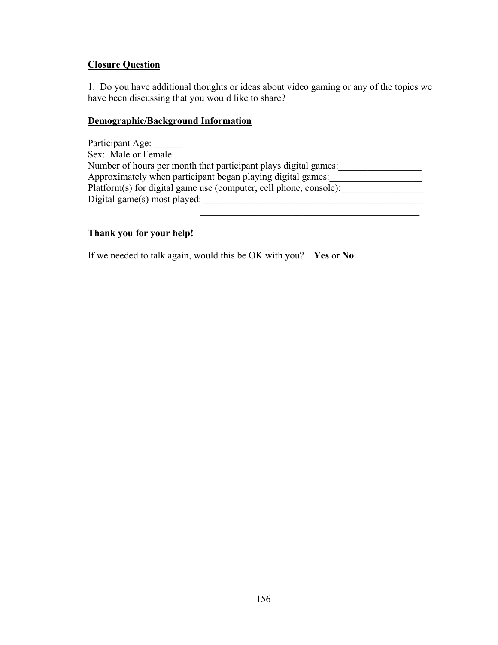### **Closure Question**

1. Do you have additional thoughts or ideas about video gaming or any of the topics we have been discussing that you would like to share?

### **Demographic/Background Information**

Participant Age: \_\_\_\_\_\_ Sex: Male or Female Number of hours per month that participant plays digital games: Approximately when participant began playing digital games: Platform(s) for digital game use (computer, cell phone, console): Digital game(s) most played: \_\_\_\_\_\_\_\_\_\_\_\_\_\_\_\_\_\_\_\_\_\_\_\_\_\_\_\_\_\_\_\_\_\_\_\_\_\_\_\_\_\_\_\_\_

## **Thank you for your help!**

If we needed to talk again, would this be OK with you? **Yes** or **No**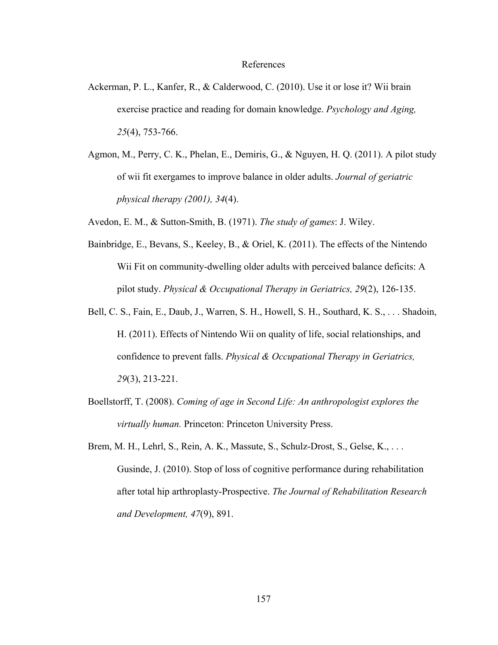#### References

- Ackerman, P. L., Kanfer, R., & Calderwood, C. (2010). Use it or lose it? Wii brain exercise practice and reading for domain knowledge. *Psychology and Aging, 25*(4), 753-766.
- Agmon, M., Perry, C. K., Phelan, E., Demiris, G., & Nguyen, H. Q. (2011). A pilot study of wii fit exergames to improve balance in older adults. *Journal of geriatric physical therapy (2001), 34*(4).
- Avedon, E. M., & Sutton-Smith, B. (1971). *The study of games*: J. Wiley.
- Bainbridge, E., Bevans, S., Keeley, B., & Oriel, K. (2011). The effects of the Nintendo Wii Fit on community-dwelling older adults with perceived balance deficits: A pilot study. *Physical & Occupational Therapy in Geriatrics, 29*(2), 126-135.
- Bell, C. S., Fain, E., Daub, J., Warren, S. H., Howell, S. H., Southard, K. S., . . . Shadoin, H. (2011). Effects of Nintendo Wii on quality of life, social relationships, and confidence to prevent falls. *Physical & Occupational Therapy in Geriatrics, 29*(3), 213-221.
- Boellstorff, T. (2008). *Coming of age in Second Life: An anthropologist explores the virtually human.* Princeton: Princeton University Press.
- Brem, M. H., Lehrl, S., Rein, A. K., Massute, S., Schulz-Drost, S., Gelse, K., . . . Gusinde, J. (2010). Stop of loss of cognitive performance during rehabilitation after total hip arthroplasty-Prospective. *The Journal of Rehabilitation Research and Development, 47*(9), 891.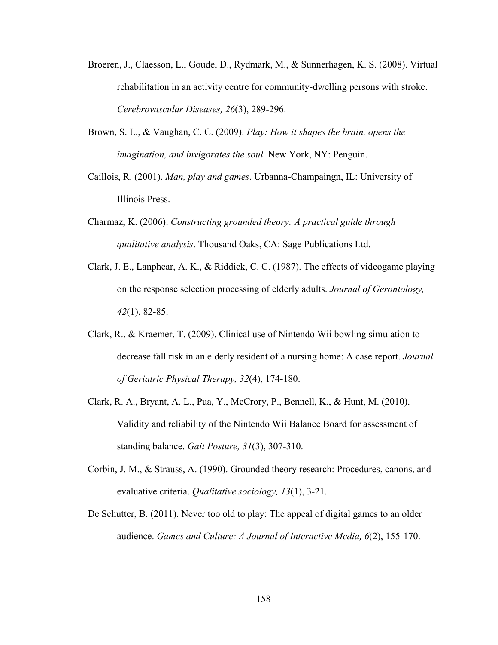- Broeren, J., Claesson, L., Goude, D., Rydmark, M., & Sunnerhagen, K. S. (2008). Virtual rehabilitation in an activity centre for community-dwelling persons with stroke. *Cerebrovascular Diseases, 26*(3), 289-296.
- Brown, S. L., & Vaughan, C. C. (2009). *Play: How it shapes the brain, opens the imagination, and invigorates the soul.* New York, NY: Penguin.
- Caillois, R. (2001). *Man, play and games*. Urbanna-Champaingn, IL: University of Illinois Press.
- Charmaz, K. (2006). *Constructing grounded theory: A practical guide through qualitative analysis*. Thousand Oaks, CA: Sage Publications Ltd.
- Clark, J. E., Lanphear, A. K., & Riddick, C. C. (1987). The effects of videogame playing on the response selection processing of elderly adults. *Journal of Gerontology, 42*(1), 82-85.
- Clark, R., & Kraemer, T. (2009). Clinical use of Nintendo Wii bowling simulation to decrease fall risk in an elderly resident of a nursing home: A case report. *Journal of Geriatric Physical Therapy, 32*(4), 174-180.
- Clark, R. A., Bryant, A. L., Pua, Y., McCrory, P., Bennell, K., & Hunt, M. (2010). Validity and reliability of the Nintendo Wii Balance Board for assessment of standing balance. *Gait Posture, 31*(3), 307-310.
- Corbin, J. M., & Strauss, A. (1990). Grounded theory research: Procedures, canons, and evaluative criteria. *Qualitative sociology, 13*(1), 3-21.
- De Schutter, B. (2011). Never too old to play: The appeal of digital games to an older audience. *Games and Culture: A Journal of Interactive Media, 6*(2), 155-170.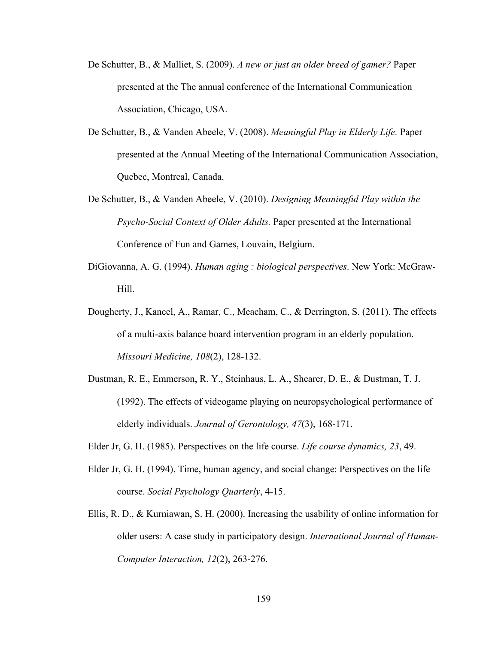- De Schutter, B., & Malliet, S. (2009). *A new or just an older breed of gamer?* Paper presented at the The annual conference of the International Communication Association, Chicago, USA.
- De Schutter, B., & Vanden Abeele, V. (2008). *Meaningful Play in Elderly Life.* Paper presented at the Annual Meeting of the International Communication Association, Quebec, Montreal, Canada.
- De Schutter, B., & Vanden Abeele, V. (2010). *Designing Meaningful Play within the Psycho-Social Context of Older Adults.* Paper presented at the International Conference of Fun and Games, Louvain, Belgium.
- DiGiovanna, A. G. (1994). *Human aging : biological perspectives*. New York: McGraw-Hill.
- Dougherty, J., Kancel, A., Ramar, C., Meacham, C., & Derrington, S. (2011). The effects of a multi-axis balance board intervention program in an elderly population. *Missouri Medicine, 108*(2), 128-132.
- Dustman, R. E., Emmerson, R. Y., Steinhaus, L. A., Shearer, D. E., & Dustman, T. J. (1992). The effects of videogame playing on neuropsychological performance of elderly individuals. *Journal of Gerontology, 47*(3), 168-171.
- Elder Jr, G. H. (1985). Perspectives on the life course. *Life course dynamics, 23*, 49.
- Elder Jr, G. H. (1994). Time, human agency, and social change: Perspectives on the life course. *Social Psychology Quarterly*, 4-15.
- Ellis, R. D., & Kurniawan, S. H. (2000). Increasing the usability of online information for older users: A case study in participatory design. *International Journal of Human-Computer Interaction, 12*(2), 263-276.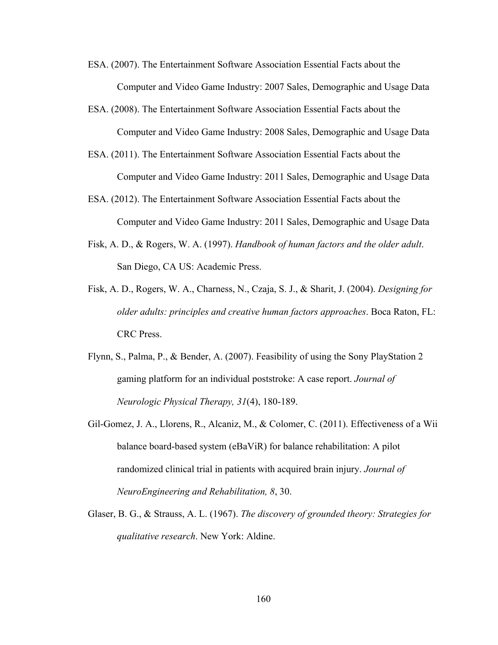- ESA. (2007). The Entertainment Software Association Essential Facts about the Computer and Video Game Industry: 2007 Sales, Demographic and Usage Data
- ESA. (2008). The Entertainment Software Association Essential Facts about the Computer and Video Game Industry: 2008 Sales, Demographic and Usage Data
- ESA. (2011). The Entertainment Software Association Essential Facts about the Computer and Video Game Industry: 2011 Sales, Demographic and Usage Data
- ESA. (2012). The Entertainment Software Association Essential Facts about the Computer and Video Game Industry: 2011 Sales, Demographic and Usage Data
- Fisk, A. D., & Rogers, W. A. (1997). *Handbook of human factors and the older adult*. San Diego, CA US: Academic Press.
- Fisk, A. D., Rogers, W. A., Charness, N., Czaja, S. J., & Sharit, J. (2004). *Designing for older adults: principles and creative human factors approaches*. Boca Raton, FL: CRC Press.
- Flynn, S., Palma, P., & Bender, A. (2007). Feasibility of using the Sony PlayStation 2 gaming platform for an individual poststroke: A case report. *Journal of Neurologic Physical Therapy, 31*(4), 180-189.
- Gil-Gomez, J. A., Llorens, R., Alcaniz, M., & Colomer, C. (2011). Effectiveness of a Wii balance board-based system (eBaViR) for balance rehabilitation: A pilot randomized clinical trial in patients with acquired brain injury. *Journal of NeuroEngineering and Rehabilitation, 8*, 30.
- Glaser, B. G., & Strauss, A. L. (1967). *The discovery of grounded theory: Strategies for qualitative research*. New York: Aldine.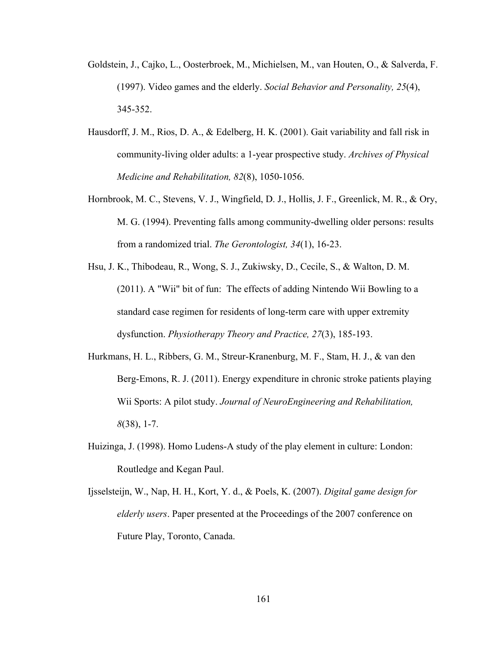- Goldstein, J., Cajko, L., Oosterbroek, M., Michielsen, M., van Houten, O., & Salverda, F. (1997). Video games and the elderly. *Social Behavior and Personality, 25*(4), 345-352.
- Hausdorff, J. M., Rios, D. A., & Edelberg, H. K. (2001). Gait variability and fall risk in community-living older adults: a 1-year prospective study. *Archives of Physical Medicine and Rehabilitation, 82*(8), 1050-1056.
- Hornbrook, M. C., Stevens, V. J., Wingfield, D. J., Hollis, J. F., Greenlick, M. R., & Ory, M. G. (1994). Preventing falls among community-dwelling older persons: results from a randomized trial. *The Gerontologist, 34*(1), 16-23.
- Hsu, J. K., Thibodeau, R., Wong, S. J., Zukiwsky, D., Cecile, S., & Walton, D. M. (2011). A "Wii" bit of fun: The effects of adding Nintendo Wii Bowling to a standard case regimen for residents of long-term care with upper extremity dysfunction. *Physiotherapy Theory and Practice, 27*(3), 185-193.
- Hurkmans, H. L., Ribbers, G. M., Streur-Kranenburg, M. F., Stam, H. J., & van den Berg-Emons, R. J. (2011). Energy expenditure in chronic stroke patients playing Wii Sports: A pilot study. *Journal of NeuroEngineering and Rehabilitation, 8*(38), 1-7.
- Huizinga, J. (1998). Homo Ludens-A study of the play element in culture: London: Routledge and Kegan Paul.
- Ijsselsteijn, W., Nap, H. H., Kort, Y. d., & Poels, K. (2007). *Digital game design for elderly users*. Paper presented at the Proceedings of the 2007 conference on Future Play, Toronto, Canada.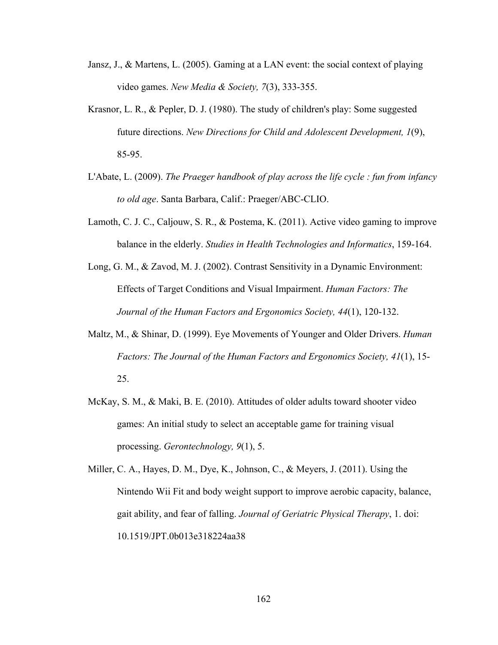- Jansz, J., & Martens, L. (2005). Gaming at a LAN event: the social context of playing video games. *New Media & Society, 7*(3), 333-355.
- Krasnor, L. R., & Pepler, D. J. (1980). The study of children's play: Some suggested future directions. *New Directions for Child and Adolescent Development, 1*(9), 85-95.
- L'Abate, L. (2009). *The Praeger handbook of play across the life cycle : fun from infancy to old age*. Santa Barbara, Calif.: Praeger/ABC-CLIO.
- Lamoth, C. J. C., Caljouw, S. R., & Postema, K. (2011). Active video gaming to improve balance in the elderly. *Studies in Health Technologies and Informatics*, 159-164.
- Long, G. M., & Zavod, M. J. (2002). Contrast Sensitivity in a Dynamic Environment: Effects of Target Conditions and Visual Impairment. *Human Factors: The Journal of the Human Factors and Ergonomics Society, 44*(1), 120-132.
- Maltz, M., & Shinar, D. (1999). Eye Movements of Younger and Older Drivers. *Human Factors: The Journal of the Human Factors and Ergonomics Society, 41*(1), 15- 25.
- McKay, S. M., & Maki, B. E. (2010). Attitudes of older adults toward shooter video games: An initial study to select an acceptable game for training visual processing. *Gerontechnology, 9*(1), 5.

Miller, C. A., Hayes, D. M., Dye, K., Johnson, C., & Meyers, J. (2011). Using the Nintendo Wii Fit and body weight support to improve aerobic capacity, balance, gait ability, and fear of falling. *Journal of Geriatric Physical Therapy*, 1. doi: 10.1519/JPT.0b013e318224aa38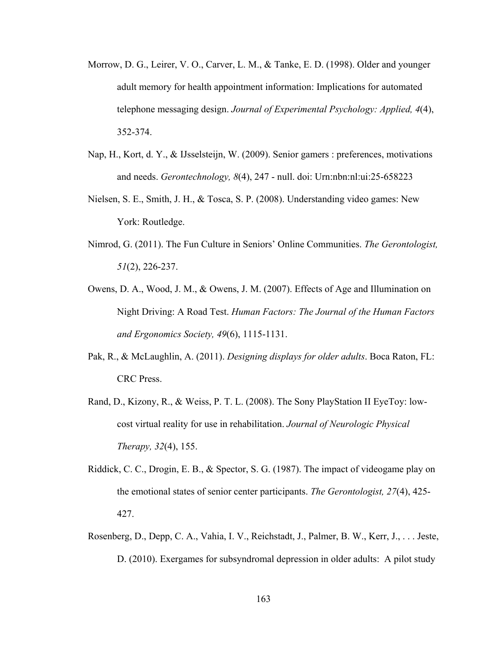- Morrow, D. G., Leirer, V. O., Carver, L. M., & Tanke, E. D. (1998). Older and younger adult memory for health appointment information: Implications for automated telephone messaging design. *Journal of Experimental Psychology: Applied, 4*(4), 352-374.
- Nap, H., Kort, d. Y., & IJsselsteijn, W. (2009). Senior gamers : preferences, motivations and needs. *Gerontechnology, 8*(4), 247 - null. doi: Urn:nbn:nl:ui:25-658223
- Nielsen, S. E., Smith, J. H., & Tosca, S. P. (2008). Understanding video games: New York: Routledge.
- Nimrod, G. (2011). The Fun Culture in Seniors' Online Communities. *The Gerontologist, 51*(2), 226-237.
- Owens, D. A., Wood, J. M., & Owens, J. M. (2007). Effects of Age and Illumination on Night Driving: A Road Test. *Human Factors: The Journal of the Human Factors and Ergonomics Society, 49*(6), 1115-1131.
- Pak, R., & McLaughlin, A. (2011). *Designing displays for older adults*. Boca Raton, FL: CRC Press.
- Rand, D., Kizony, R., & Weiss, P. T. L. (2008). The Sony PlayStation II EyeToy: lowcost virtual reality for use in rehabilitation. *Journal of Neurologic Physical Therapy, 32*(4), 155.
- Riddick, C. C., Drogin, E. B., & Spector, S. G. (1987). The impact of videogame play on the emotional states of senior center participants. *The Gerontologist, 27*(4), 425- 427.
- Rosenberg, D., Depp, C. A., Vahia, I. V., Reichstadt, J., Palmer, B. W., Kerr, J., . . . Jeste, D. (2010). Exergames for subsyndromal depression in older adults: A pilot study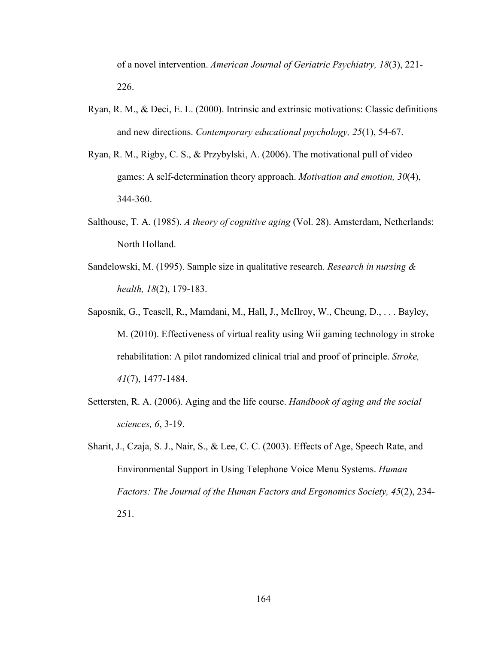of a novel intervention. *American Journal of Geriatric Psychiatry, 18*(3), 221- 226.

- Ryan, R. M., & Deci, E. L. (2000). Intrinsic and extrinsic motivations: Classic definitions and new directions. *Contemporary educational psychology, 25*(1), 54-67.
- Ryan, R. M., Rigby, C. S., & Przybylski, A. (2006). The motivational pull of video games: A self-determination theory approach. *Motivation and emotion, 30*(4), 344-360.
- Salthouse, T. A. (1985). *A theory of cognitive aging* (Vol. 28). Amsterdam, Netherlands: North Holland.
- Sandelowski, M. (1995). Sample size in qualitative research. *Research in nursing & health, 18*(2), 179-183.
- Saposnik, G., Teasell, R., Mamdani, M., Hall, J., McIlroy, W., Cheung, D., . . . Bayley, M. (2010). Effectiveness of virtual reality using Wii gaming technology in stroke rehabilitation: A pilot randomized clinical trial and proof of principle. *Stroke, 41*(7), 1477-1484.
- Settersten, R. A. (2006). Aging and the life course. *Handbook of aging and the social sciences, 6*, 3-19.
- Sharit, J., Czaja, S. J., Nair, S., & Lee, C. C. (2003). Effects of Age, Speech Rate, and Environmental Support in Using Telephone Voice Menu Systems. *Human Factors: The Journal of the Human Factors and Ergonomics Society, 45*(2), 234- 251.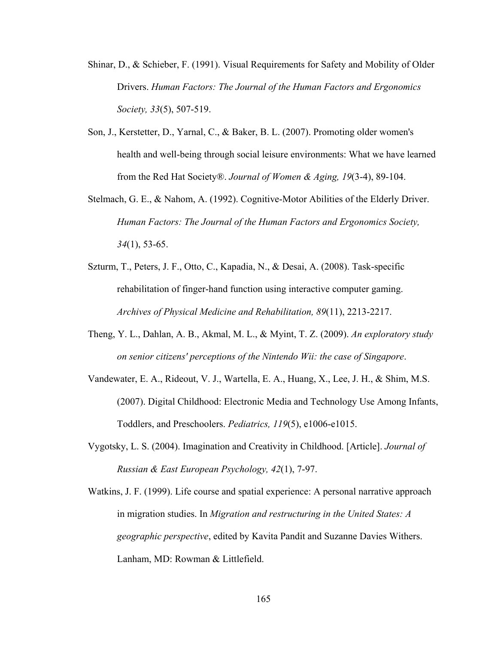- Shinar, D., & Schieber, F. (1991). Visual Requirements for Safety and Mobility of Older Drivers. *Human Factors: The Journal of the Human Factors and Ergonomics Society, 33*(5), 507-519.
- Son, J., Kerstetter, D., Yarnal, C., & Baker, B. L. (2007). Promoting older women's health and well-being through social leisure environments: What we have learned from the Red Hat Society®. *Journal of Women & Aging, 19*(3-4), 89-104.
- Stelmach, G. E., & Nahom, A. (1992). Cognitive-Motor Abilities of the Elderly Driver. *Human Factors: The Journal of the Human Factors and Ergonomics Society, 34*(1), 53-65.
- Szturm, T., Peters, J. F., Otto, C., Kapadia, N., & Desai, A. (2008). Task-specific rehabilitation of finger-hand function using interactive computer gaming. *Archives of Physical Medicine and Rehabilitation, 89*(11), 2213-2217.
- Theng, Y. L., Dahlan, A. B., Akmal, M. L., & Myint, T. Z. (2009). *An exploratory study on senior citizens' perceptions of the Nintendo Wii: the case of Singapore*.
- Vandewater, E. A., Rideout, V. J., Wartella, E. A., Huang, X., Lee, J. H., & Shim, M.S. (2007). Digital Childhood: Electronic Media and Technology Use Among Infants, Toddlers, and Preschoolers. *Pediatrics, 119*(5), e1006-e1015.
- Vygotsky, L. S. (2004). Imagination and Creativity in Childhood. [Article]. *Journal of Russian & East European Psychology, 42*(1), 7-97.
- Watkins, J. F. (1999). Life course and spatial experience: A personal narrative approach in migration studies. In *Migration and restructuring in the United States: A geographic perspective*, edited by Kavita Pandit and Suzanne Davies Withers. Lanham, MD: Rowman & Littlefield.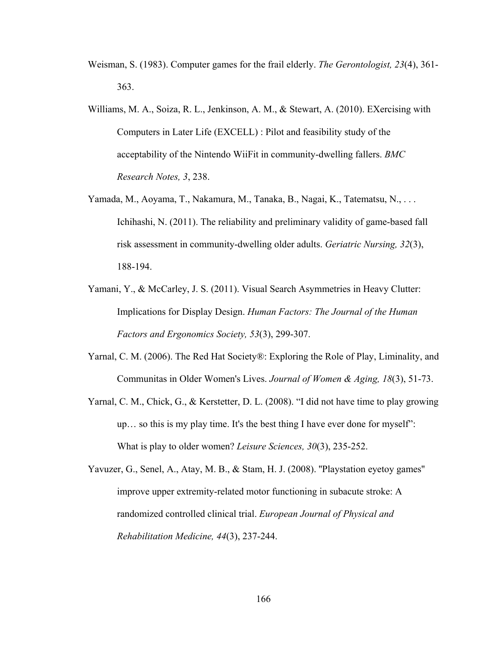- Weisman, S. (1983). Computer games for the frail elderly. *The Gerontologist, 23*(4), 361- 363.
- Williams, M. A., Soiza, R. L., Jenkinson, A. M., & Stewart, A. (2010). EXercising with Computers in Later Life (EXCELL) : Pilot and feasibility study of the acceptability of the Nintendo WiiFit in community-dwelling fallers. *BMC Research Notes, 3*, 238.
- Yamada, M., Aoyama, T., Nakamura, M., Tanaka, B., Nagai, K., Tatematsu, N., . . . Ichihashi, N. (2011). The reliability and preliminary validity of game-based fall risk assessment in community-dwelling older adults. *Geriatric Nursing, 32*(3), 188-194.
- Yamani, Y., & McCarley, J. S. (2011). Visual Search Asymmetries in Heavy Clutter: Implications for Display Design. *Human Factors: The Journal of the Human Factors and Ergonomics Society, 53*(3), 299-307.
- Yarnal, C. M. (2006). The Red Hat Society®: Exploring the Role of Play, Liminality, and Communitas in Older Women's Lives. *Journal of Women & Aging, 18*(3), 51-73.
- Yarnal, C. M., Chick, G., & Kerstetter, D. L. (2008). "I did not have time to play growing up… so this is my play time. It's the best thing I have ever done for myself": What is play to older women? *Leisure Sciences, 30*(3), 235-252.
- Yavuzer, G., Senel, A., Atay, M. B., & Stam, H. J. (2008). ''Playstation eyetoy games'' improve upper extremity-related motor functioning in subacute stroke: A randomized controlled clinical trial. *European Journal of Physical and Rehabilitation Medicine, 44*(3), 237-244.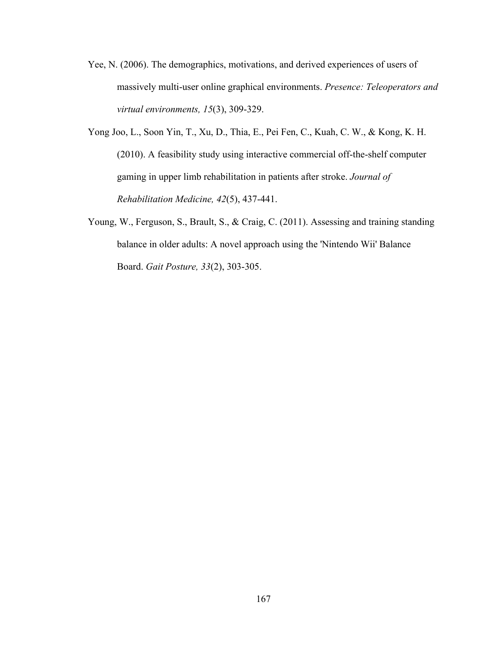- Yee, N. (2006). The demographics, motivations, and derived experiences of users of massively multi-user online graphical environments. *Presence: Teleoperators and virtual environments, 15*(3), 309-329.
- Yong Joo, L., Soon Yin, T., Xu, D., Thia, E., Pei Fen, C., Kuah, C. W., & Kong, K. H. (2010). A feasibility study using interactive commercial off-the-shelf computer gaming in upper limb rehabilitation in patients after stroke. *Journal of Rehabilitation Medicine, 42*(5), 437-441.
- Young, W., Ferguson, S., Brault, S., & Craig, C. (2011). Assessing and training standing balance in older adults: A novel approach using the 'Nintendo Wii' Balance Board. *Gait Posture, 33*(2), 303-305.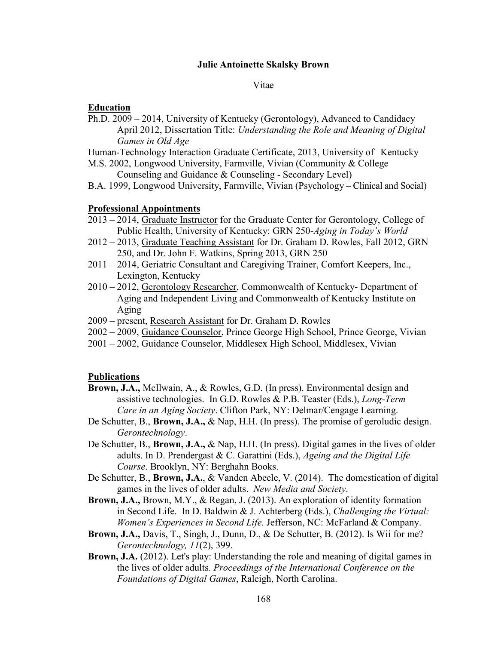# **Julie Antoinette Skalsky Brown**

### Vitae

## **Education**

Ph.D. 2009 – 2014, University of Kentucky (Gerontology), Advanced to Candidacy April 2012, Dissertation Title: *Understanding the Role and Meaning of Digital Games in Old Age*

Human-Technology Interaction Graduate Certificate, 2013, University of Kentucky

- M.S. 2002, Longwood University, Farmville, Vivian (Community & College Counseling and Guidance & Counseling - Secondary Level)
- B.A. 1999, Longwood University, Farmville, Vivian (Psychology Clinical and Social)

## **Professional Appointments**

- 2013 2014, Graduate Instructor for the Graduate Center for Gerontology, College of Public Health, University of Kentucky: GRN 250-*Aging in Today's World*
- 2012 2013, Graduate Teaching Assistant for Dr. Graham D. Rowles, Fall 2012, GRN 250, and Dr. John F. Watkins, Spring 2013, GRN 250
- 2011 2014, Geriatric Consultant and Caregiving Trainer, Comfort Keepers, Inc., Lexington, Kentucky
- 2010 2012, Gerontology Researcher, Commonwealth of Kentucky- Department of Aging and Independent Living and Commonwealth of Kentucky Institute on Aging
- 2009 present, Research Assistant for Dr. Graham D. Rowles
- 2002 2009, Guidance Counselor, Prince George High School, Prince George, Vivian
- 2001 2002, Guidance Counselor, Middlesex High School, Middlesex, Vivian

## **Publications**

- **Brown, J.A.,** McIlwain, A., & Rowles, G.D. (In press). Environmental design and assistive technologies. In G.D. Rowles & P.B. Teaster (Eds.), *Long-Term Care in an Aging Society*. Clifton Park, NY: Delmar/Cengage Learning.
- De Schutter, B., **Brown, J.A.,** & Nap, H.H. (In press). The promise of geroludic design. *Gerontechnology*.
- De Schutter, B., **Brown, J.A.,** & Nap, H.H. (In press). Digital games in the lives of older adults. In D. Prendergast & C. Garattini (Eds.), *Ageing and the Digital Life Course*. Brooklyn, NY: Berghahn Books.
- De Schutter, B., **Brown, J.A.**, & Vanden Abeele, V. (2014). The domestication of digital games in the lives of older adults. *New Media and Society*.
- **Brown, J.A.,** Brown, M.Y., & Regan, J. (2013). An exploration of identity formation in Second Life. In D. Baldwin & J. Achterberg (Eds.), *Challenging the Virtual: Women's Experiences in Second Life.* Jefferson, NC: McFarland & Company.
- **Brown, J.A.,** Davis, T., Singh, J., Dunn, D., & De Schutter, B. (2012). Is Wii for me? *Gerontechnology, 11*(2), 399.
- **Brown, J.A.** (2012). Let's play: Understanding the role and meaning of digital games in the lives of older adults. *Proceedings of the International Conference on the Foundations of Digital Games*, Raleigh, North Carolina.